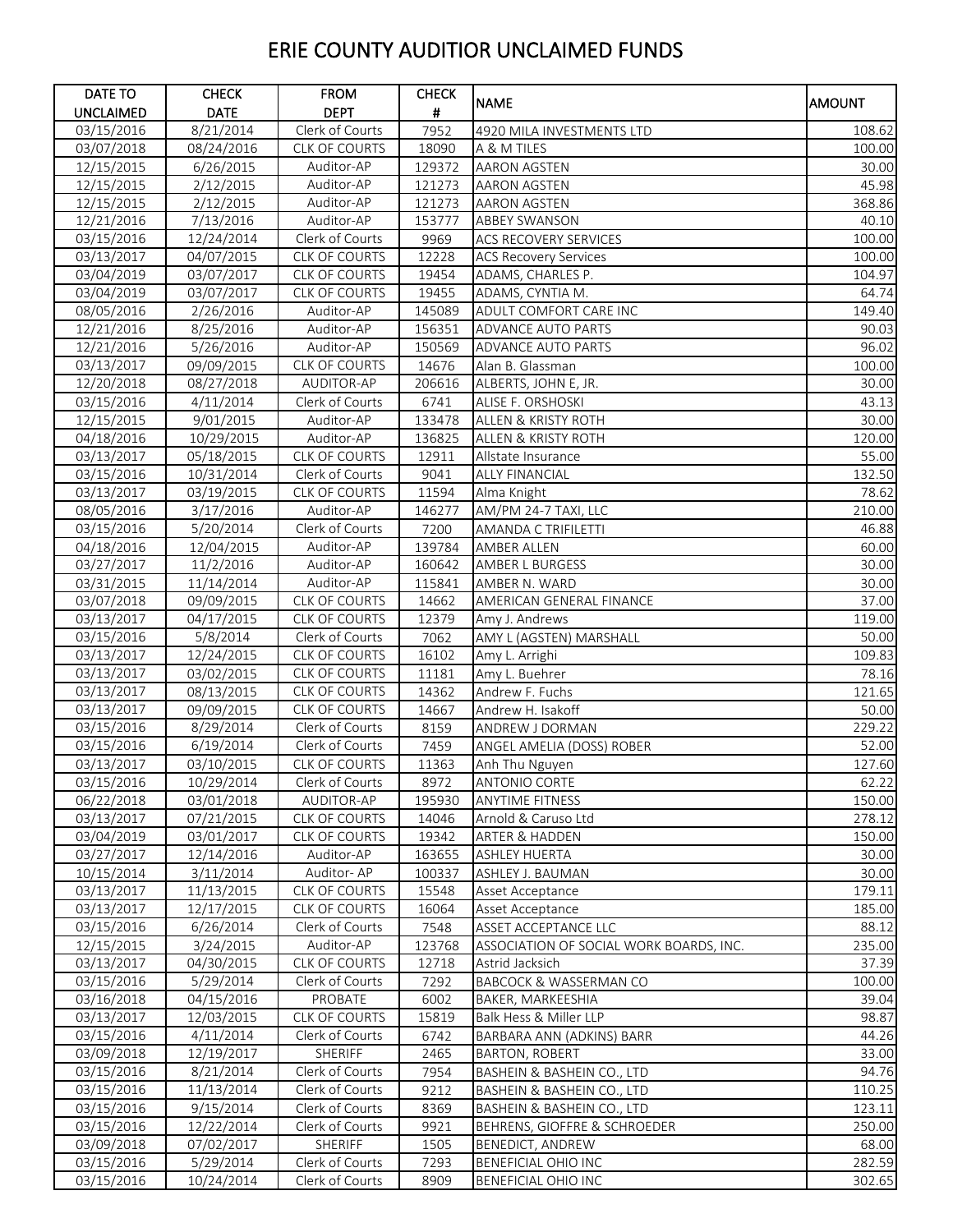| DATE TO          | <b>CHECK</b> | <b>FROM</b>          | <b>CHECK</b> |                                         |               |
|------------------|--------------|----------------------|--------------|-----------------------------------------|---------------|
| <b>UNCLAIMED</b> | <b>DATE</b>  | <b>DEPT</b>          | #            | <b>NAME</b>                             | <b>AMOUNT</b> |
| 03/15/2016       | 8/21/2014    | Clerk of Courts      | 7952         | 4920 MILA INVESTMENTS LTD               | 108.62        |
| 03/07/2018       | 08/24/2016   | <b>CLK OF COURTS</b> | 18090        | A & M TILES                             | 100.00        |
| 12/15/2015       | 6/26/2015    | Auditor-AP           | 129372       | <b>AARON AGSTEN</b>                     | 30.00         |
| 12/15/2015       | 2/12/2015    | Auditor-AP           | 121273       | <b>AARON AGSTEN</b>                     | 45.98         |
| 12/15/2015       | 2/12/2015    | Auditor-AP           | 121273       | <b>AARON AGSTEN</b>                     | 368.86        |
| 12/21/2016       | 7/13/2016    | Auditor-AP           | 153777       | <b>ABBEY SWANSON</b>                    | 40.10         |
| 03/15/2016       | 12/24/2014   | Clerk of Courts      | 9969         | <b>ACS RECOVERY SERVICES</b>            | 100.00        |
| 03/13/2017       | 04/07/2015   | CLK OF COURTS        | 12228        | <b>ACS Recovery Services</b>            | 100.00        |
| 03/04/2019       | 03/07/2017   | CLK OF COURTS        | 19454        | ADAMS, CHARLES P.                       | 104.97        |
| 03/04/2019       | 03/07/2017   | <b>CLK OF COURTS</b> | 19455        | ADAMS, CYNTIA M.                        | 64.74         |
| 08/05/2016       | 2/26/2016    | Auditor-AP           | 145089       | ADULT COMFORT CARE INC                  | 149.40        |
| 12/21/2016       | 8/25/2016    | Auditor-AP           | 156351       | ADVANCE AUTO PARTS                      | 90.03         |
| 12/21/2016       | 5/26/2016    | Auditor-AP           | 150569       | ADVANCE AUTO PARTS                      | 96.02         |
|                  |              | <b>CLK OF COURTS</b> | 14676        | Alan B. Glassman                        |               |
| 03/13/2017       | 09/09/2015   |                      |              |                                         | 100.00        |
| 12/20/2018       | 08/27/2018   | AUDITOR-AP           | 206616       | ALBERTS, JOHN E, JR.                    | 30.00         |
| 03/15/2016       | 4/11/2014    | Clerk of Courts      | 6741         | ALISE F. ORSHOSKI                       | 43.13         |
| 12/15/2015       | 9/01/2015    | Auditor-AP           | 133478       | ALLEN & KRISTY ROTH                     | 30.00         |
| 04/18/2016       | 10/29/2015   | Auditor-AP           | 136825       | ALLEN & KRISTY ROTH                     | 120.00        |
| 03/13/2017       | 05/18/2015   | <b>CLK OF COURTS</b> | 12911        | Allstate Insurance                      | 55.00         |
| 03/15/2016       | 10/31/2014   | Clerk of Courts      | 9041         | <b>ALLY FINANCIAL</b>                   | 132.50        |
| 03/13/2017       | 03/19/2015   | <b>CLK OF COURTS</b> | 11594        | Alma Knight                             | 78.62         |
| 08/05/2016       | 3/17/2016    | Auditor-AP           | 146277       | AM/PM 24-7 TAXI, LLC                    | 210.00        |
| 03/15/2016       | 5/20/2014    | Clerk of Courts      | 7200         | <b>AMANDA C TRIFILETTI</b>              | 46.88         |
| 04/18/2016       | 12/04/2015   | Auditor-AP           | 139784       | AMBER ALLEN                             | 60.00         |
| 03/27/2017       | 11/2/2016    | Auditor-AP           | 160642       | AMBER L BURGESS                         | 30.00         |
| 03/31/2015       | 11/14/2014   | Auditor-AP           | 115841       | AMBER N. WARD                           | 30.00         |
| 03/07/2018       | 09/09/2015   | CLK OF COURTS        | 14662        | AMERICAN GENERAL FINANCE                | 37.00         |
| 03/13/2017       | 04/17/2015   | CLK OF COURTS        | 12379        | Amy J. Andrews                          | 119.00        |
| 03/15/2016       | 5/8/2014     | Clerk of Courts      | 7062         | AMY L (AGSTEN) MARSHALL                 | 50.00         |
| 03/13/2017       | 12/24/2015   | <b>CLK OF COURTS</b> | 16102        | Amy L. Arrighi                          | 109.83        |
| 03/13/2017       | 03/02/2015   | <b>CLK OF COURTS</b> | 11181        | Amy L. Buehrer                          | 78.16         |
| 03/13/2017       | 08/13/2015   | CLK OF COURTS        | 14362        | Andrew F. Fuchs                         | 121.65        |
| 03/13/2017       | 09/09/2015   | CLK OF COURTS        | 14667        | Andrew H. Isakoff                       | 50.00         |
| 03/15/2016       | 8/29/2014    | Clerk of Courts      | 8159         | ANDREW J DORMAN                         | 229.22        |
| 03/15/2016       | 6/19/2014    | Clerk of Courts      | 7459         | ANGEL AMELIA (DOSS) ROBER               | 52.00         |
| 03/13/2017       | 03/10/2015   | <b>CLK OF COURTS</b> | 11363        | Anh Thu Nguyen                          | 127.60        |
| 03/15/2016       | 10/29/2014   | Clerk of Courts      | 8972         | ANTONIO CORTE                           | 62.22         |
| 06/22/2018       | 03/01/2018   | AUDITOR-AP           | 195930       | <b>ANYTIME FITNESS</b>                  | 150.00        |
| 03/13/2017       | 07/21/2015   | <b>CLK OF COURTS</b> | 14046        | Arnold & Caruso Ltd                     | 278.12        |
| 03/04/2019       | 03/01/2017   | <b>CLK OF COURTS</b> | 19342        | <b>ARTER &amp; HADDEN</b>               | 150.00        |
| 03/27/2017       | 12/14/2016   | Auditor-AP           | 163655       | <b>ASHLEY HUERTA</b>                    | 30.00         |
| 10/15/2014       | 3/11/2014    | Auditor-AP           | 100337       | <b>ASHLEY J. BAUMAN</b>                 | 30.00         |
| 03/13/2017       | 11/13/2015   | <b>CLK OF COURTS</b> | 15548        | Asset Acceptance                        | 179.11        |
| 03/13/2017       | 12/17/2015   | CLK OF COURTS        | 16064        | Asset Acceptance                        | 185.00        |
| 03/15/2016       | 6/26/2014    | Clerk of Courts      | 7548         | ASSET ACCEPTANCE LLC                    | 88.12         |
| 12/15/2015       | 3/24/2015    | Auditor-AP           | 123768       | ASSOCIATION OF SOCIAL WORK BOARDS, INC. | 235.00        |
| 03/13/2017       | 04/30/2015   | <b>CLK OF COURTS</b> | 12718        | Astrid Jacksich                         | 37.39         |
| 03/15/2016       | 5/29/2014    | Clerk of Courts      | 7292         | <b>BABCOCK &amp; WASSERMAN CO</b>       | 100.00        |
| 03/16/2018       | 04/15/2016   | PROBATE              | 6002         | BAKER, MARKEESHIA                       | 39.04         |
| 03/13/2017       | 12/03/2015   | <b>CLK OF COURTS</b> | 15819        | Balk Hess & Miller LLP                  | 98.87         |
| 03/15/2016       |              | Clerk of Courts      |              |                                         | 44.26         |
|                  | 4/11/2014    | <b>SHERIFF</b>       | 6742<br>2465 | BARBARA ANN (ADKINS) BARR               | 33.00         |
| 03/09/2018       | 12/19/2017   |                      |              | <b>BARTON, ROBERT</b>                   |               |
| 03/15/2016       | 8/21/2014    | Clerk of Courts      | 7954         | BASHEIN & BASHEIN CO., LTD              | 94.76         |
| 03/15/2016       | 11/13/2014   | Clerk of Courts      | 9212         | BASHEIN & BASHEIN CO., LTD              | 110.25        |
| 03/15/2016       | 9/15/2014    | Clerk of Courts      | 8369         | BASHEIN & BASHEIN CO., LTD              | 123.11        |
| 03/15/2016       | 12/22/2014   | Clerk of Courts      | 9921         | BEHRENS, GIOFFRE & SCHROEDER            | 250.00        |
| 03/09/2018       | 07/02/2017   | SHERIFF              | 1505         | BENEDICT, ANDREW                        | 68.00         |
| 03/15/2016       | 5/29/2014    | Clerk of Courts      | 7293         | BENEFICIAL OHIO INC                     | 282.59        |
| 03/15/2016       | 10/24/2014   | Clerk of Courts      | 8909         | <b>BENEFICIAL OHIO INC</b>              | 302.65        |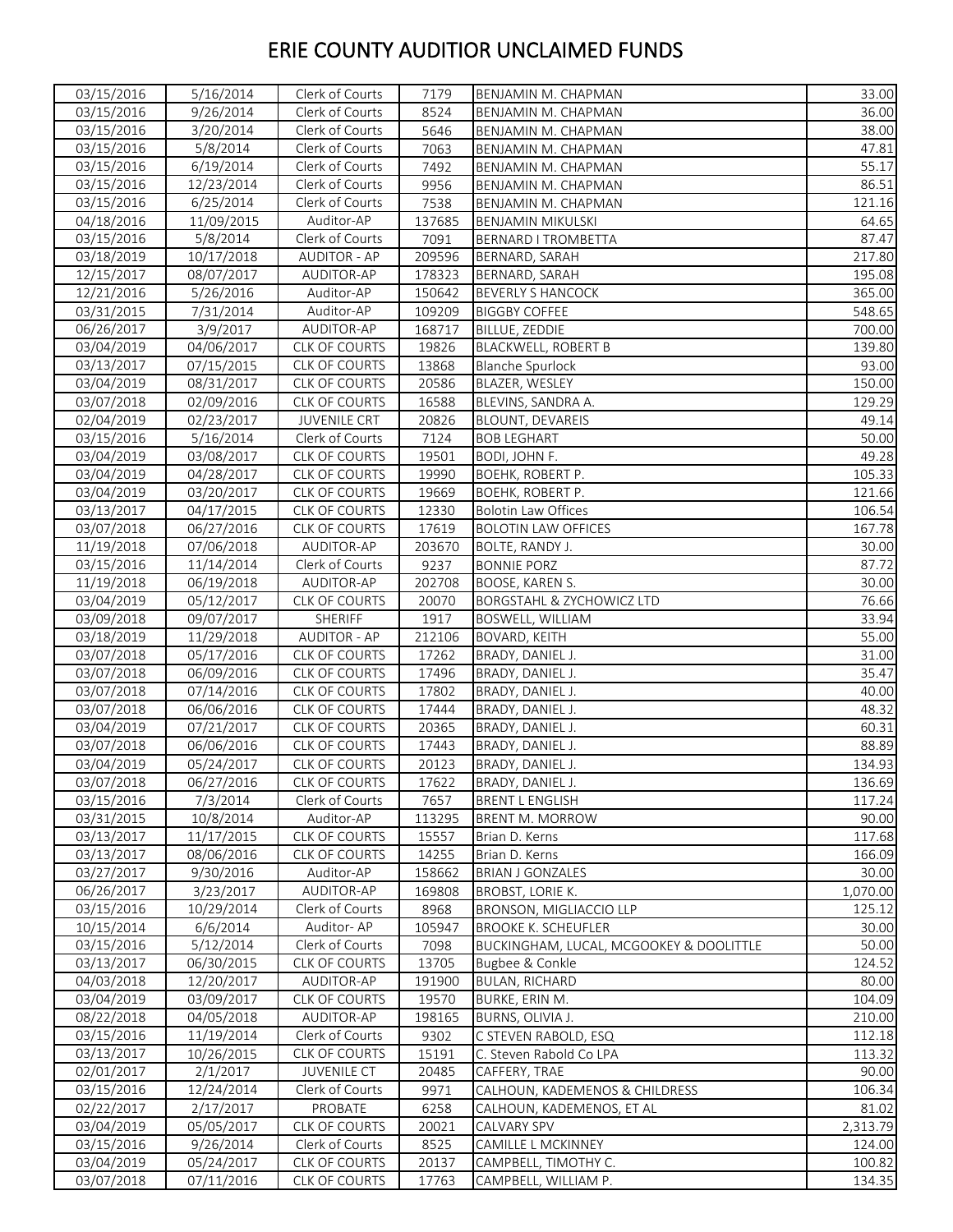| 03/15/2016              | 5/16/2014  | Clerk of Courts      | 7179   | BENJAMIN M. CHAPMAN                     | 33.00    |
|-------------------------|------------|----------------------|--------|-----------------------------------------|----------|
| 03/15/2016              | 9/26/2014  | Clerk of Courts      | 8524   | BENJAMIN M. CHAPMAN                     | 36.00    |
| 03/15/2016              | 3/20/2014  | Clerk of Courts      | 5646   | BENJAMIN M. CHAPMAN                     | 38.00    |
| 03/15/2016              | 5/8/2014   | Clerk of Courts      | 7063   | BENJAMIN M. CHAPMAN                     | 47.81    |
| $\overline{03}/15/2016$ | 6/19/2014  | Clerk of Courts      | 7492   | BENJAMIN M. CHAPMAN                     | 55.17    |
| 03/15/2016              | 12/23/2014 | Clerk of Courts      | 9956   | BENJAMIN M. CHAPMAN                     | 86.51    |
| 03/15/2016              | 6/25/2014  | Clerk of Courts      | 7538   | BENJAMIN M. CHAPMAN                     | 121.16   |
| 04/18/2016              | 11/09/2015 | Auditor-AP           | 137685 | <b>BENJAMIN MIKULSKI</b>                | 64.65    |
| 03/15/2016              | 5/8/2014   | Clerk of Courts      | 7091   | <b>BERNARD I TROMBETTA</b>              | 87.47    |
| 03/18/2019              | 10/17/2018 | <b>AUDITOR - AP</b>  | 209596 | BERNARD, SARAH                          | 217.80   |
| 12/15/2017              | 08/07/2017 | AUDITOR-AP           | 178323 | BERNARD, SARAH                          | 195.08   |
| 12/21/2016              | 5/26/2016  | Auditor-AP           | 150642 | <b>BEVERLY S HANCOCK</b>                | 365.00   |
| 03/31/2015              | 7/31/2014  | Auditor-AP           | 109209 | <b>BIGGBY COFFEE</b>                    | 548.65   |
| 06/26/2017              | 3/9/2017   | AUDITOR-AP           | 168717 | BILLUE, ZEDDIE                          | 700.00   |
| 03/04/2019              | 04/06/2017 | CLK OF COURTS        | 19826  | <b>BLACKWELL, ROBERT B</b>              | 139.80   |
| 03/13/2017              | 07/15/2015 | <b>CLK OF COURTS</b> | 13868  | <b>Blanche Spurlock</b>                 | 93.00    |
| 03/04/2019              | 08/31/2017 | <b>CLK OF COURTS</b> | 20586  | BLAZER, WESLEY                          | 150.00   |
| 03/07/2018              | 02/09/2016 | CLK OF COURTS        | 16588  | BLEVINS, SANDRA A.                      | 129.29   |
| 02/04/2019              | 02/23/2017 | <b>JUVENILE CRT</b>  | 20826  | BLOUNT, DEVAREIS                        | 49.14    |
| 03/15/2016              | 5/16/2014  | Clerk of Courts      | 7124   | <b>BOB LEGHART</b>                      | 50.00    |
| 03/04/2019              | 03/08/2017 | <b>CLK OF COURTS</b> | 19501  | BODI, JOHN F.                           | 49.28    |
| 03/04/2019              | 04/28/2017 | CLK OF COURTS        | 19990  | BOEHK, ROBERT P.                        | 105.33   |
| 03/04/2019              | 03/20/2017 | <b>CLK OF COURTS</b> | 19669  | BOEHK, ROBERT P.                        | 121.66   |
| 03/13/2017              | 04/17/2015 | CLK OF COURTS        | 12330  | <b>Bolotin Law Offices</b>              | 106.54   |
| 03/07/2018              | 06/27/2016 | <b>CLK OF COURTS</b> | 17619  | <b>BOLOTIN LAW OFFICES</b>              | 167.78   |
| 11/19/2018              | 07/06/2018 | AUDITOR-AP           | 203670 | BOLTE, RANDY J.                         | 30.00    |
| 03/15/2016              | 11/14/2014 | Clerk of Courts      | 9237   | <b>BONNIE PORZ</b>                      | 87.72    |
| 11/19/2018              | 06/19/2018 | AUDITOR-AP           | 202708 | BOOSE, KAREN S.                         | 30.00    |
| 03/04/2019              | 05/12/2017 | <b>CLK OF COURTS</b> | 20070  | <b>BORGSTAHL &amp; ZYCHOWICZ LTD</b>    | 76.66    |
| 03/09/2018              | 09/07/2017 | SHERIFF              | 1917   | BOSWELL, WILLIAM                        | 33.94    |
| 03/18/2019              | 11/29/2018 | <b>AUDITOR - AP</b>  | 212106 | BOVARD, KEITH                           | 55.00    |
| 03/07/2018              | 05/17/2016 | CLK OF COURTS        | 17262  | BRADY, DANIEL J.                        | 31.00    |
| 03/07/2018              | 06/09/2016 | <b>CLK OF COURTS</b> | 17496  | BRADY, DANIEL J.                        | 35.47    |
| 03/07/2018              | 07/14/2016 | <b>CLK OF COURTS</b> | 17802  | BRADY, DANIEL J.                        | 40.00    |
| 03/07/2018              | 06/06/2016 | <b>CLK OF COURTS</b> | 17444  | BRADY, DANIEL J.                        | 48.32    |
| 03/04/2019              | 07/21/2017 | <b>CLK OF COURTS</b> | 20365  | BRADY, DANIEL J.                        | 60.31    |
| 03/07/2018              | 06/06/2016 | CLK OF COURTS        | 17443  | BRADY, DANIEL J.                        | 88.89    |
| 03/04/2019              | 05/24/2017 | <b>CLK OF COURTS</b> | 20123  | BRADY, DANIEL J.                        | 134.93   |
| 03/07/2018              | 06/27/2016 | CLK OF COURTS        | 17622  | BRADY, DANIEL J.                        | 136.69   |
| 03/15/2016              | 7/3/2014   | Clerk of Courts      | 7657   | <b>BRENT L ENGLISH</b>                  | 117.24   |
| 03/31/2015              | 10/8/2014  | Auditor-AP           | 113295 | BRENT M. MORROW                         | 90.00    |
| 03/13/2017              | 11/17/2015 | CLK OF COURTS        | 15557  | Brian D. Kerns                          | 117.68   |
| 03/13/2017              | 08/06/2016 | CLK OF COURTS        | 14255  | Brian D. Kerns                          | 166.09   |
| 03/27/2017              | 9/30/2016  | Auditor-AP           | 158662 | <b>BRIAN J GONZALES</b>                 | 30.00    |
| 06/26/2017              | 3/23/2017  | AUDITOR-AP           | 169808 | BROBST, LORIE K.                        | 1,070.00 |
| 03/15/2016              | 10/29/2014 | Clerk of Courts      | 8968   | BRONSON, MIGLIACCIO LLP                 | 125.12   |
| 10/15/2014              | 6/6/2014   | Auditor-AP           | 105947 | <b>BROOKE K. SCHEUFLER</b>              | 30.00    |
| 03/15/2016              | 5/12/2014  | Clerk of Courts      | 7098   | BUCKINGHAM, LUCAL, MCGOOKEY & DOOLITTLE | 50.00    |
| 03/13/2017              | 06/30/2015 | <b>CLK OF COURTS</b> | 13705  | Bugbee & Conkle                         | 124.52   |
| 04/03/2018              | 12/20/2017 | AUDITOR-AP           | 191900 | <b>BULAN, RICHARD</b>                   | 80.00    |
| 03/04/2019              | 03/09/2017 | <b>CLK OF COURTS</b> | 19570  | BURKE, ERIN M.                          | 104.09   |
| 08/22/2018              | 04/05/2018 | AUDITOR-AP           | 198165 | BURNS, OLIVIA J.                        | 210.00   |
| 03/15/2016              | 11/19/2014 | Clerk of Courts      | 9302   | C STEVEN RABOLD, ESQ                    | 112.18   |
| 03/13/2017              | 10/26/2015 | CLK OF COURTS        | 15191  | C. Steven Rabold Co LPA                 | 113.32   |
| 02/01/2017              | 2/1/2017   | <b>JUVENILE CT</b>   | 20485  | CAFFERY, TRAE                           | 90.00    |
| 03/15/2016              | 12/24/2014 | Clerk of Courts      | 9971   | CALHOUN, KADEMENOS & CHILDRESS          | 106.34   |
| 02/22/2017              | 2/17/2017  | PROBATE              | 6258   | CALHOUN, KADEMENOS, ET AL               | 81.02    |
| 03/04/2019              | 05/05/2017 | CLK OF COURTS        | 20021  | CALVARY SPV                             | 2,313.79 |
| 03/15/2016              | 9/26/2014  | Clerk of Courts      | 8525   | CAMILLE L MCKINNEY                      | 124.00   |
| 03/04/2019              | 05/24/2017 | CLK OF COURTS        | 20137  | CAMPBELL, TIMOTHY C.                    | 100.82   |
| 03/07/2018              | 07/11/2016 | CLK OF COURTS        | 17763  | CAMPBELL, WILLIAM P.                    | 134.35   |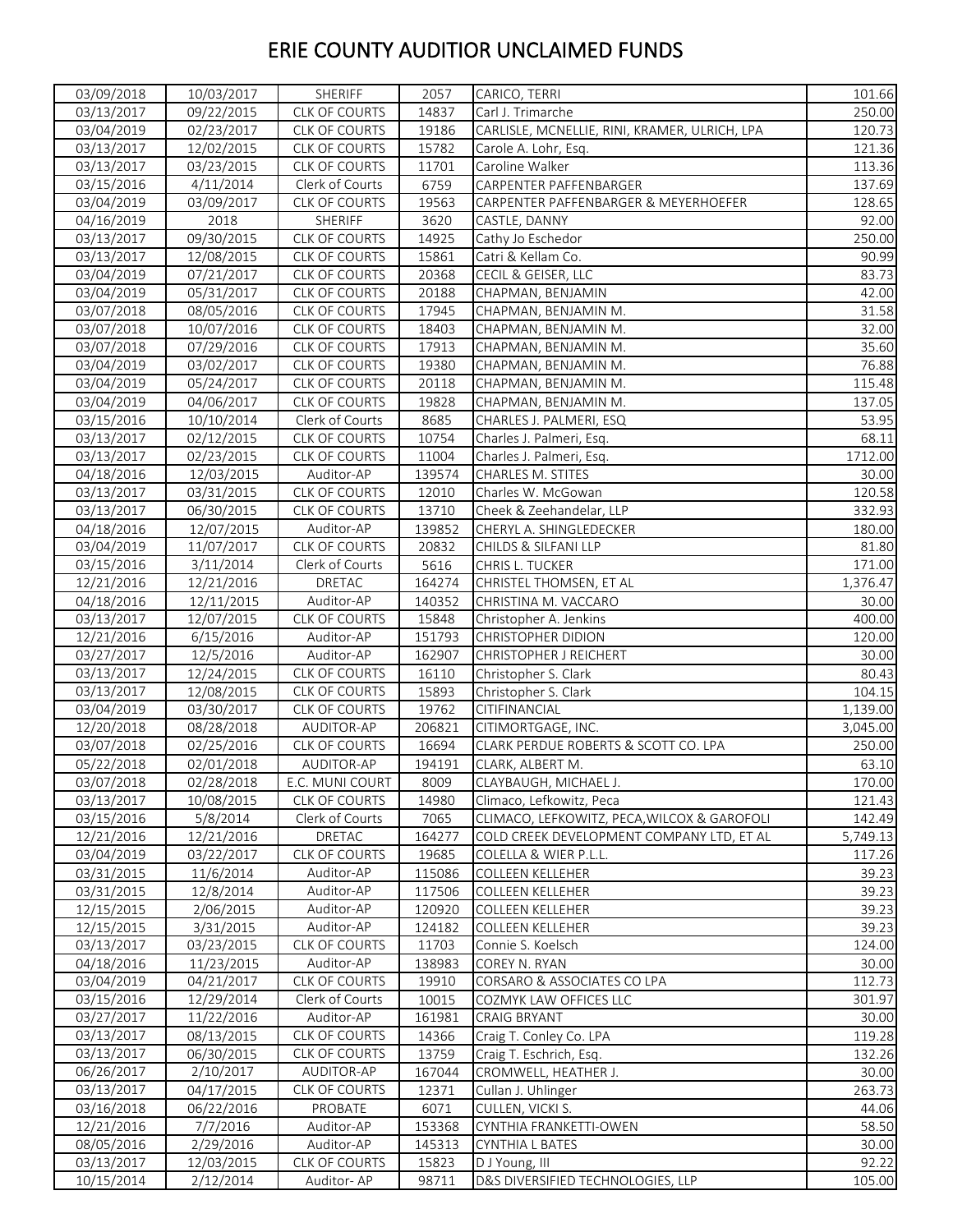| 03/09/2018               | 10/03/2017               | SHERIFF                     | 2057   | CARICO, TERRI                                 | 101.66   |
|--------------------------|--------------------------|-----------------------------|--------|-----------------------------------------------|----------|
| 03/13/2017               | 09/22/2015               | CLK OF COURTS               | 14837  | Carl J. Trimarche                             | 250.00   |
| 03/04/2019               | 02/23/2017               | CLK OF COURTS               | 19186  | CARLISLE, MCNELLIE, RINI, KRAMER, ULRICH, LPA | 120.73   |
| 03/13/2017               | 12/02/2015               | CLK OF COURTS               | 15782  | Carole A. Lohr, Esg.                          | 121.36   |
| 03/13/2017               | 03/23/2015               | CLK OF COURTS               | 11701  | Caroline Walker                               | 113.36   |
| 03/15/2016               | 4/11/2014                | Clerk of Courts             | 6759   | CARPENTER PAFFENBARGER                        | 137.69   |
| 03/04/2019               | 03/09/2017               | CLK OF COURTS               | 19563  | CARPENTER PAFFENBARGER & MEYERHOEFER          | 128.65   |
| 04/16/2019               | 2018                     | SHERIFF                     | 3620   | CASTLE, DANNY                                 | 92.00    |
| 03/13/2017               | 09/30/2015               | CLK OF COURTS               | 14925  | Cathy Jo Eschedor                             | 250.00   |
| 03/13/2017               | 12/08/2015               | <b>CLK OF COURTS</b>        | 15861  | Catri & Kellam Co.                            | 90.99    |
| 03/04/2019               | 07/21/2017               | CLK OF COURTS               | 20368  | CECIL & GEISER, LLC                           | 83.73    |
| 03/04/2019               | 05/31/2017               | CLK OF COURTS               | 20188  | CHAPMAN, BENJAMIN                             | 42.00    |
| 03/07/2018               | 08/05/2016               | CLK OF COURTS               | 17945  | CHAPMAN, BENJAMIN M.                          | 31.58    |
| 03/07/2018               | 10/07/2016               | CLK OF COURTS               | 18403  | CHAPMAN, BENJAMIN M.                          | 32.00    |
| 03/07/2018               | 07/29/2016               | CLK OF COURTS               | 17913  | CHAPMAN, BENJAMIN M.                          | 35.60    |
| 03/04/2019               | 03/02/2017               | CLK OF COURTS               | 19380  | CHAPMAN, BENJAMIN M.                          | 76.88    |
| 03/04/2019               | 05/24/2017               | <b>CLK OF COURTS</b>        | 20118  | CHAPMAN, BENJAMIN M.                          | 115.48   |
| 03/04/2019               | 04/06/2017               | <b>CLK OF COURTS</b>        | 19828  | CHAPMAN, BENJAMIN M.                          | 137.05   |
| 03/15/2016               | 10/10/2014               | Clerk of Courts             | 8685   | CHARLES J. PALMERI, ESQ                       | 53.95    |
|                          |                          | <b>CLK OF COURTS</b>        | 10754  | Charles J. Palmeri, Esq.                      | 68.11    |
| 03/13/2017<br>03/13/2017 | 02/12/2015<br>02/23/2015 | CLK OF COURTS               |        | Charles J. Palmeri, Esg.                      |          |
|                          |                          |                             | 11004  |                                               | 1712.00  |
| 04/18/2016               | 12/03/2015               | Auditor-AP<br>CLK OF COURTS | 139574 | CHARLES M. STITES                             | 30.00    |
| 03/13/2017               | 03/31/2015               |                             | 12010  | Charles W. McGowan                            | 120.58   |
| 03/13/2017               | 06/30/2015               | CLK OF COURTS               | 13710  | Cheek & Zeehandelar, LLP                      | 332.93   |
| 04/18/2016               | 12/07/2015               | Auditor-AP                  | 139852 | CHERYL A. SHINGLEDECKER                       | 180.00   |
| 03/04/2019               | 11/07/2017               | <b>CLK OF COURTS</b>        | 20832  | CHILDS & SILFANI LLP                          | 81.80    |
| 03/15/2016               | 3/11/2014                | Clerk of Courts             | 5616   | CHRIS L. TUCKER                               | 171.00   |
| 12/21/2016               | 12/21/2016               | DRETAC                      | 164274 | CHRISTEL THOMSEN, ET AL                       | 1,376.47 |
| 04/18/2016               | 12/11/2015               | Auditor-AP                  | 140352 | CHRISTINA M. VACCARO                          | 30.00    |
| 03/13/2017               | 12/07/2015               | CLK OF COURTS               | 15848  | Christopher A. Jenkins                        | 400.00   |
| 12/21/2016               | 6/15/2016                | Auditor-AP                  | 151793 | <b>CHRISTOPHER DIDION</b>                     | 120.00   |
| 03/27/2017               | 12/5/2016                | Auditor-AP                  | 162907 | CHRISTOPHER J REICHERT                        | 30.00    |
| 03/13/2017               | 12/24/2015               | CLK OF COURTS               | 16110  | Christopher S. Clark                          | 80.43    |
| 03/13/2017               | 12/08/2015               | CLK OF COURTS               | 15893  | Christopher S. Clark                          | 104.15   |
| 03/04/2019               | 03/30/2017               | <b>CLK OF COURTS</b>        | 19762  | CITIFINANCIAL                                 | 1,139.00 |
| 12/20/2018               | 08/28/2018               | AUDITOR-AP                  | 206821 | CITIMORTGAGE, INC.                            | 3,045.00 |
| 03/07/2018               | 02/25/2016               | <b>CLK OF COURTS</b>        | 16694  | CLARK PERDUE ROBERTS & SCOTT CO. LPA          | 250.00   |
| 05/22/2018               | 02/01/2018               | AUDITOR-AP                  | 194191 | CLARK, ALBERT M.                              | 63.10    |
| 03/07/2018               | 02/28/2018               | E.C. MUNI COURT             | 8009   | CLAYBAUGH, MICHAEL J.                         | 170.00   |
| 03/13/2017               | 10/08/2015               | <b>CLK OF COURTS</b>        | 14980  | Climaco, Lefkowitz, Peca                      | 121.43   |
| 03/15/2016               | 5/8/2014                 | Clerk of Courts             | 7065   | CLIMACO, LEFKOWITZ, PECA, WILCOX & GAROFOLI   | 142.49   |
| 12/21/2016               | 12/21/2016               | DRETAC                      | 164277 | COLD CREEK DEVELOPMENT COMPANY LTD, ET AL     | 5,749.13 |
| 03/04/2019               | 03/22/2017               | CLK OF COURTS               | 19685  | COLELLA & WIER P.L.L.                         | 117.26   |
| 03/31/2015               | 11/6/2014                | Auditor-AP                  | 115086 | <b>COLLEEN KELLEHER</b>                       | 39.23    |
| 03/31/2015               | 12/8/2014                | Auditor-AP                  | 117506 | COLLEEN KELLEHER                              | 39.23    |
| 12/15/2015               | 2/06/2015                | Auditor-AP                  | 120920 | <b>COLLEEN KELLEHER</b>                       | 39.23    |
| 12/15/2015               | 3/31/2015                | Auditor-AP                  | 124182 | <b>COLLEEN KELLEHER</b>                       | 39.23    |
| 03/13/2017               | 03/23/2015               | CLK OF COURTS               | 11703  | Connie S. Koelsch                             | 124.00   |
| 04/18/2016               | 11/23/2015               | Auditor-AP                  | 138983 | COREY N. RYAN                                 | 30.00    |
| 03/04/2019               | 04/21/2017               | <b>CLK OF COURTS</b>        | 19910  | CORSARO & ASSOCIATES CO LPA                   | 112.73   |
| 03/15/2016               | 12/29/2014               | Clerk of Courts             | 10015  | COZMYK LAW OFFICES LLC                        | 301.97   |
| 03/27/2017               | 11/22/2016               | Auditor-AP                  | 161981 | <b>CRAIG BRYANT</b>                           | 30.00    |
| 03/13/2017               | 08/13/2015               | <b>CLK OF COURTS</b>        | 14366  | Craig T. Conley Co. LPA                       | 119.28   |
| 03/13/2017               | 06/30/2015               | CLK OF COURTS               | 13759  | Craig T. Eschrich, Esq.                       | 132.26   |
| 06/26/2017               | 2/10/2017                | AUDITOR-AP                  | 167044 | CROMWELL, HEATHER J.                          | 30.00    |
| 03/13/2017               | 04/17/2015               | CLK OF COURTS               | 12371  | Cullan J. Uhlinger                            | 263.73   |
| 03/16/2018               | 06/22/2016               | PROBATE                     | 6071   | CULLEN, VICKI S.                              | 44.06    |
| 12/21/2016               | 7/7/2016                 | Auditor-AP                  | 153368 | CYNTHIA FRANKETTI-OWEN                        | 58.50    |
| 08/05/2016               | 2/29/2016                | Auditor-AP                  | 145313 | CYNTHIA L BATES                               | 30.00    |
| 03/13/2017               | 12/03/2015               | CLK OF COURTS               | 15823  | D J Young, III                                | 92.22    |
| 10/15/2014               | 2/12/2014                | Auditor-AP                  | 98711  | D&S DIVERSIFIED TECHNOLOGIES, LLP             | 105.00   |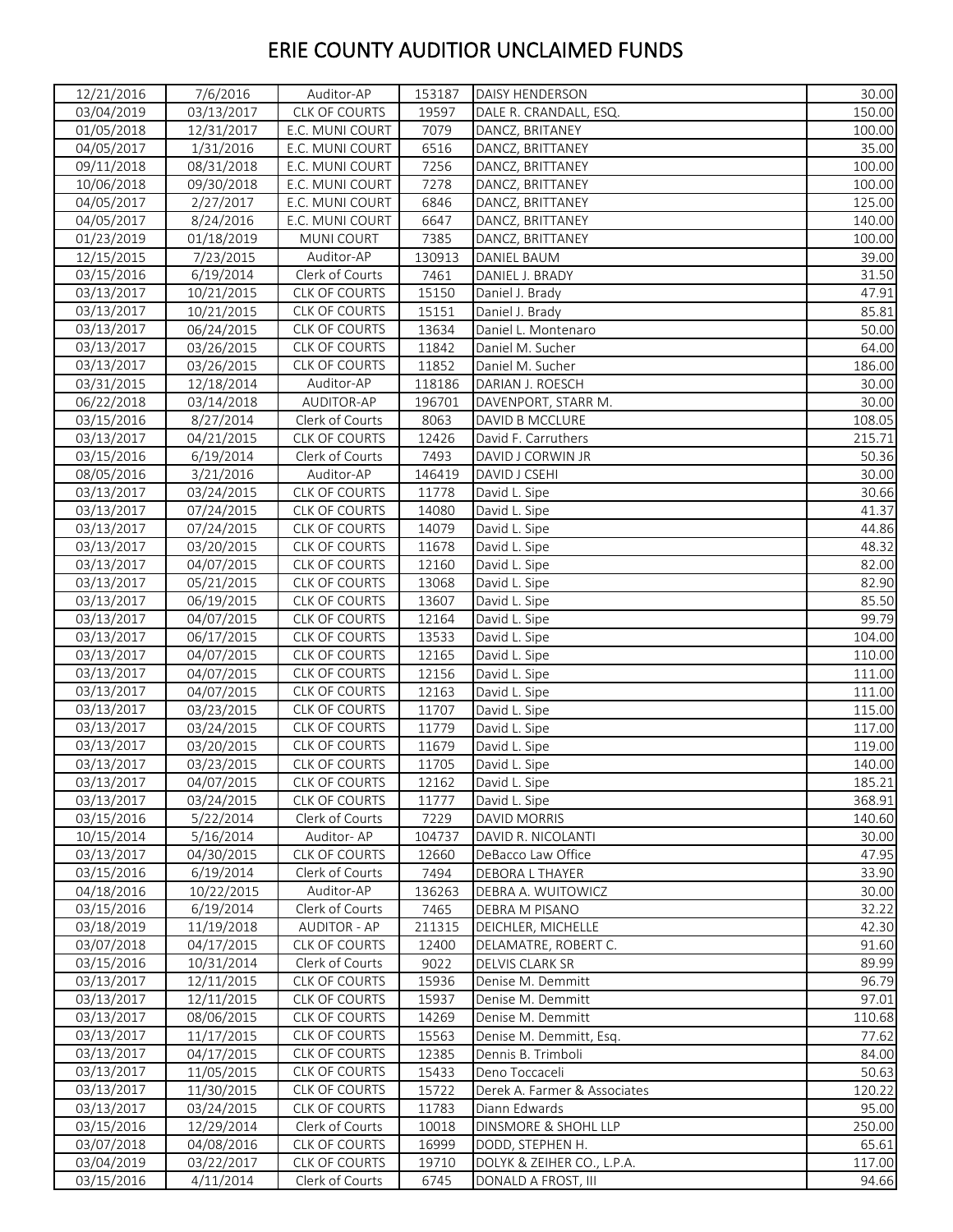| 12/21/2016 | 7/6/2016   | Auditor-AP           | 153187 | DAISY HENDERSON              | 30.00  |
|------------|------------|----------------------|--------|------------------------------|--------|
| 03/04/2019 | 03/13/2017 | CLK OF COURTS        | 19597  | DALE R. CRANDALL, ESQ.       | 150.00 |
| 01/05/2018 | 12/31/2017 | E.C. MUNI COURT      | 7079   | DANCZ, BRITANEY              | 100.00 |
| 04/05/2017 | 1/31/2016  | E.C. MUNI COURT      | 6516   | DANCZ, BRITTANEY             | 35.00  |
| 09/11/2018 | 08/31/2018 | E.C. MUNI COURT      | 7256   | DANCZ, BRITTANEY             | 100.00 |
| 10/06/2018 | 09/30/2018 | E.C. MUNI COURT      | 7278   | DANCZ, BRITTANEY             | 100.00 |
| 04/05/2017 | 2/27/2017  | E.C. MUNI COURT      | 6846   | DANCZ, BRITTANEY             | 125.00 |
| 04/05/2017 | 8/24/2016  | E.C. MUNI COURT      | 6647   | DANCZ, BRITTANEY             | 140.00 |
| 01/23/2019 | 01/18/2019 | <b>MUNICOURT</b>     | 7385   | DANCZ, BRITTANEY             | 100.00 |
| 12/15/2015 | 7/23/2015  | Auditor-AP           | 130913 | DANIEL BAUM                  | 39.00  |
| 03/15/2016 | 6/19/2014  | Clerk of Courts      | 7461   | DANIEL J. BRADY              | 31.50  |
| 03/13/2017 | 10/21/2015 | CLK OF COURTS        | 15150  | Daniel J. Brady              | 47.91  |
| 03/13/2017 | 10/21/2015 | CLK OF COURTS        | 15151  | Daniel J. Brady              | 85.81  |
| 03/13/2017 | 06/24/2015 | CLK OF COURTS        | 13634  | Daniel L. Montenaro          | 50.00  |
| 03/13/2017 | 03/26/2015 | CLK OF COURTS        | 11842  | Daniel M. Sucher             | 64.00  |
| 03/13/2017 | 03/26/2015 | <b>CLK OF COURTS</b> | 11852  | Daniel M. Sucher             | 186.00 |
| 03/31/2015 | 12/18/2014 | Auditor-AP           | 118186 | DARIAN J. ROESCH             | 30.00  |
| 06/22/2018 | 03/14/2018 | AUDITOR-AP           | 196701 | DAVENPORT, STARR M.          | 30.00  |
| 03/15/2016 | 8/27/2014  | Clerk of Courts      | 8063   | DAVID B MCCLURE              | 108.05 |
| 03/13/2017 | 04/21/2015 | <b>CLK OF COURTS</b> | 12426  | David F. Carruthers          | 215.71 |
| 03/15/2016 | 6/19/2014  | Clerk of Courts      | 7493   | DAVID J CORWIN JR            | 50.36  |
| 08/05/2016 | 3/21/2016  | Auditor-AP           | 146419 | DAVID J CSEHI                | 30.00  |
| 03/13/2017 | 03/24/2015 | CLK OF COURTS        | 11778  | David L. Sipe                | 30.66  |
| 03/13/2017 | 07/24/2015 | CLK OF COURTS        | 14080  | David L. Sipe                | 41.37  |
| 03/13/2017 | 07/24/2015 | CLK OF COURTS        | 14079  | David L. Sipe                | 44.86  |
| 03/13/2017 | 03/20/2015 | CLK OF COURTS        | 11678  | David L. Sipe                | 48.32  |
| 03/13/2017 | 04/07/2015 | CLK OF COURTS        | 12160  | David L. Sipe                | 82.00  |
| 03/13/2017 | 05/21/2015 | CLK OF COURTS        | 13068  | David L. Sipe                | 82.90  |
| 03/13/2017 | 06/19/2015 | CLK OF COURTS        | 13607  | David L. Sipe                | 85.50  |
| 03/13/2017 | 04/07/2015 | CLK OF COURTS        | 12164  | David L. Sipe                | 99.79  |
| 03/13/2017 | 06/17/2015 | CLK OF COURTS        | 13533  | David L. Sipe                | 104.00 |
| 03/13/2017 | 04/07/2015 | CLK OF COURTS        | 12165  | David L. Sipe                | 110.00 |
| 03/13/2017 | 04/07/2015 | <b>CLK OF COURTS</b> | 12156  | David L. Sipe                | 111.00 |
| 03/13/2017 | 04/07/2015 | <b>CLK OF COURTS</b> | 12163  | David L. Sipe                | 111.00 |
| 03/13/2017 | 03/23/2015 | CLK OF COURTS        | 11707  | David L. Sipe                | 115.00 |
| 03/13/2017 | 03/24/2015 | CLK OF COURTS        | 11779  | David L. Sipe                | 117.00 |
| 03/13/2017 | 03/20/2015 | <b>CLK OF COURTS</b> | 11679  | David L. Sipe                | 119.00 |
| 03/13/2017 | 03/23/2015 | <b>CLK OF COURTS</b> | 11705  | David L. Sipe                | 140.00 |
| 03/13/2017 | 04/07/2015 | <b>CLK OF COURTS</b> | 12162  | David L. Sipe                | 185.21 |
| 03/13/2017 | 03/24/2015 | <b>CLK OF COURTS</b> | 11777  | David L. Sipe                | 368.91 |
| 03/15/2016 | 5/22/2014  | Clerk of Courts      | 7229   | DAVID MORRIS                 | 140.60 |
| 10/15/2014 | 5/16/2014  | Auditor-AP           | 104737 | DAVID R. NICOLANTI           | 30.00  |
| 03/13/2017 | 04/30/2015 | <b>CLK OF COURTS</b> | 12660  | DeBacco Law Office           | 47.95  |
| 03/15/2016 | 6/19/2014  | Clerk of Courts      | 7494   | DEBORA L THAYER              | 33.90  |
| 04/18/2016 | 10/22/2015 | Auditor-AP           | 136263 | DEBRA A. WUITOWICZ           | 30.00  |
| 03/15/2016 | 6/19/2014  | Clerk of Courts      | 7465   | DEBRA M PISANO               | 32.22  |
| 03/18/2019 | 11/19/2018 | <b>AUDITOR - AP</b>  | 211315 | DEICHLER, MICHELLE           | 42.30  |
| 03/07/2018 | 04/17/2015 | CLK OF COURTS        | 12400  | DELAMATRE, ROBERT C.         | 91.60  |
| 03/15/2016 | 10/31/2014 | Clerk of Courts      | 9022   | DELVIS CLARK SR              | 89.99  |
| 03/13/2017 | 12/11/2015 | <b>CLK OF COURTS</b> | 15936  | Denise M. Demmitt            | 96.79  |
| 03/13/2017 | 12/11/2015 | <b>CLK OF COURTS</b> | 15937  | Denise M. Demmitt            | 97.01  |
| 03/13/2017 | 08/06/2015 | CLK OF COURTS        | 14269  | Denise M. Demmitt            | 110.68 |
| 03/13/2017 | 11/17/2015 | <b>CLK OF COURTS</b> | 15563  | Denise M. Demmitt, Esg.      | 77.62  |
| 03/13/2017 | 04/17/2015 | CLK OF COURTS        | 12385  | Dennis B. Trimboli           | 84.00  |
| 03/13/2017 | 11/05/2015 | <b>CLK OF COURTS</b> | 15433  | Deno Toccaceli               | 50.63  |
| 03/13/2017 | 11/30/2015 | <b>CLK OF COURTS</b> | 15722  | Derek A. Farmer & Associates | 120.22 |
| 03/13/2017 | 03/24/2015 | CLK OF COURTS        | 11783  | Diann Edwards                | 95.00  |
| 03/15/2016 | 12/29/2014 | Clerk of Courts      | 10018  | DINSMORE & SHOHL LLP         | 250.00 |
| 03/07/2018 | 04/08/2016 | CLK OF COURTS        | 16999  | DODD, STEPHEN H.             | 65.61  |
| 03/04/2019 | 03/22/2017 | CLK OF COURTS        | 19710  | DOLYK & ZEIHER CO., L.P.A.   | 117.00 |
| 03/15/2016 | 4/11/2014  | Clerk of Courts      | 6745   | DONALD A FROST, III          | 94.66  |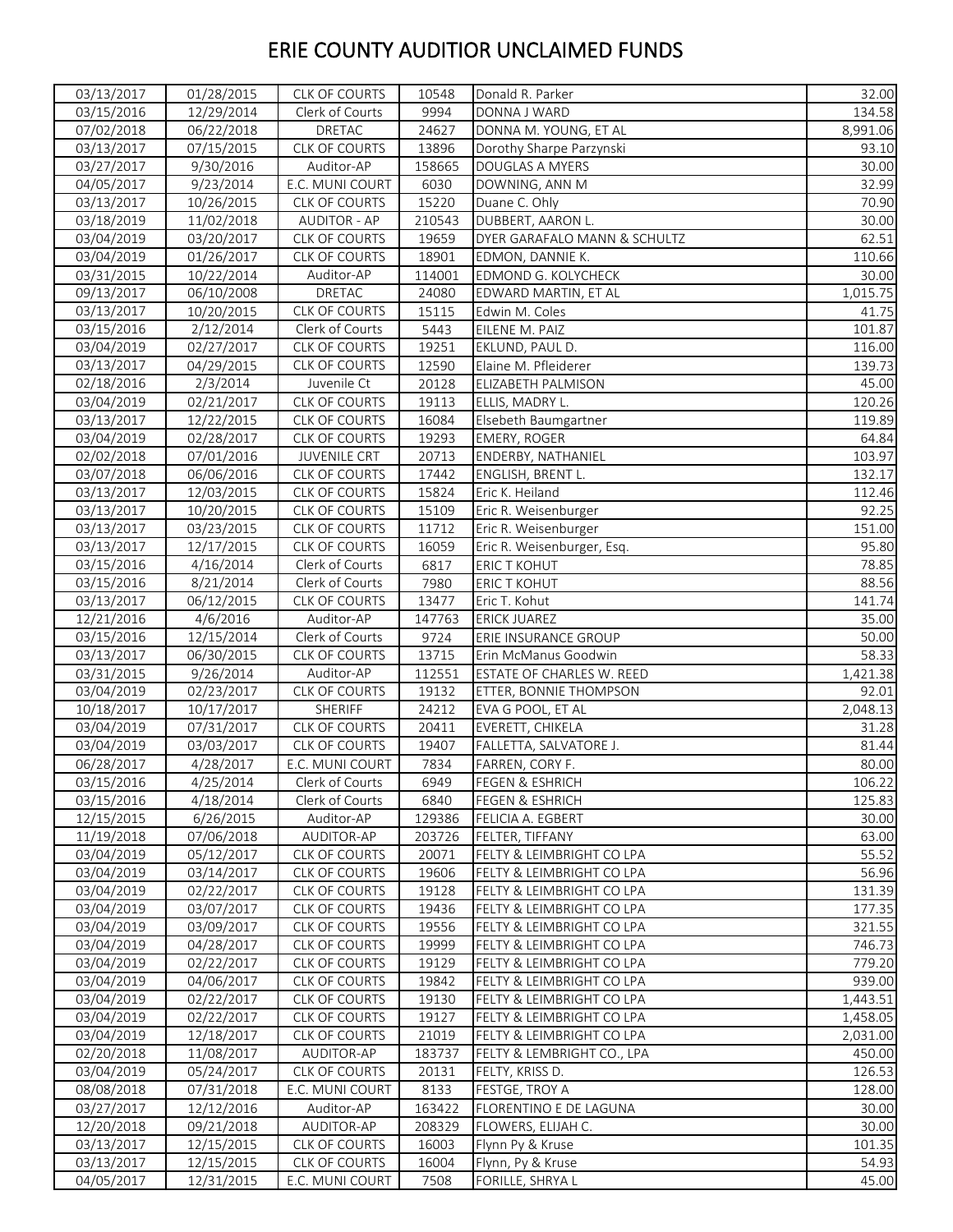| 03/13/2017 | 01/28/2015          | CLK OF COURTS        | 10548  | Donald R. Parker             | 32.00    |
|------------|---------------------|----------------------|--------|------------------------------|----------|
| 03/15/2016 | 12/29/2014          | Clerk of Courts      | 9994   | DONNA J WARD                 | 134.58   |
| 07/02/2018 | 06/22/2018          | DRETAC               | 24627  | DONNA M. YOUNG, ET AL        | 8,991.06 |
| 03/13/2017 | 07/15/2015          | CLK OF COURTS        | 13896  | Dorothy Sharpe Parzynski     | 93.10    |
| 03/27/2017 | 9/30/2016           | Auditor-AP           | 158665 | DOUGLAS A MYERS              | 30.00    |
| 04/05/2017 | $\frac{9}{23}/2014$ | E.C. MUNI COURT      | 6030   | DOWNING, ANN M               | 32.99    |
| 03/13/2017 | 10/26/2015          | <b>CLK OF COURTS</b> | 15220  | Duane C. Ohly                | 70.90    |
| 03/18/2019 | 11/02/2018          | <b>AUDITOR - AP</b>  | 210543 | DUBBERT, AARON L.            | 30.00    |
| 03/04/2019 | 03/20/2017          | CLK OF COURTS        | 19659  | DYER GARAFALO MANN & SCHULTZ | 62.51    |
| 03/04/2019 | 01/26/2017          | CLK OF COURTS        | 18901  | EDMON, DANNIE K.             | 110.66   |
| 03/31/2015 | 10/22/2014          | Auditor-AP           | 114001 | EDMOND G. KOLYCHECK          | 30.00    |
| 09/13/2017 | 06/10/2008          | DRETAC               | 24080  | EDWARD MARTIN, ET AL         | 1,015.75 |
| 03/13/2017 | 10/20/2015          | CLK OF COURTS        | 15115  | Edwin M. Coles               | 41.75    |
| 03/15/2016 | 2/12/2014           | Clerk of Courts      | 5443   | EILENE M. PAIZ               | 101.87   |
| 03/04/2019 | 02/27/2017          | <b>CLK OF COURTS</b> | 19251  | EKLUND, PAUL D.              | 116.00   |
| 03/13/2017 | 04/29/2015          | CLK OF COURTS        | 12590  | Elaine M. Pfleiderer         | 139.73   |
| 02/18/2016 | 2/3/2014            | Juvenile Ct          | 20128  | ELIZABETH PALMISON           | 45.00    |
| 03/04/2019 | 02/21/2017          | CLK OF COURTS        | 19113  | ELLIS, MADRY L.              | 120.26   |
| 03/13/2017 | 12/22/2015          | CLK OF COURTS        | 16084  | Elsebeth Baumgartner         | 119.89   |
| 03/04/2019 |                     | CLK OF COURTS        | 19293  | <b>EMERY, ROGER</b>          | 64.84    |
|            | 02/28/2017          |                      |        |                              | 103.97   |
| 02/02/2018 | 07/01/2016          | <b>JUVENILE CRT</b>  | 20713  | ENDERBY, NATHANIEL           |          |
| 03/07/2018 | 06/06/2016          | <b>CLK OF COURTS</b> | 17442  | ENGLISH, BRENT L.            | 132.17   |
| 03/13/2017 | 12/03/2015          | CLK OF COURTS        | 15824  | Eric K. Heiland              | 112.46   |
| 03/13/2017 | 10/20/2015          | <b>CLK OF COURTS</b> | 15109  | Eric R. Weisenburger         | 92.25    |
| 03/13/2017 | 03/23/2015          | CLK OF COURTS        | 11712  | Eric R. Weisenburger         | 151.00   |
| 03/13/2017 | 12/17/2015          | CLK OF COURTS        | 16059  | Eric R. Weisenburger, Esq.   | 95.80    |
| 03/15/2016 | 4/16/2014           | Clerk of Courts      | 6817   | <b>ERIC T KOHUT</b>          | 78.85    |
| 03/15/2016 | 8/21/2014           | Clerk of Courts      | 7980   | <b>ERIC T KOHUT</b>          | 88.56    |
| 03/13/2017 | 06/12/2015          | CLK OF COURTS        | 13477  | Eric T. Kohut                | 141.74   |
| 12/21/2016 | 4/6/2016            | Auditor-AP           | 147763 | <b>ERICK JUAREZ</b>          | 35.00    |
| 03/15/2016 | 12/15/2014          | Clerk of Courts      | 9724   | ERIE INSURANCE GROUP         | 50.00    |
| 03/13/2017 | 06/30/2015          | <b>CLK OF COURTS</b> | 13715  | Erin McManus Goodwin         | 58.33    |
| 03/31/2015 | 9/26/2014           | Auditor-AP           | 112551 | ESTATE OF CHARLES W. REED    | 1,421.38 |
| 03/04/2019 | 02/23/2017          | <b>CLK OF COURTS</b> | 19132  | ETTER, BONNIE THOMPSON       | 92.01    |
| 10/18/2017 | 10/17/2017          | SHERIFF              | 24212  | EVA G POOL, ET AL            | 2,048.13 |
| 03/04/2019 | 07/31/2017          | CLK OF COURTS        | 20411  | EVERETT, CHIKELA             | 31.28    |
| 03/04/2019 | 03/03/2017          | <b>CLK OF COURTS</b> | 19407  | FALLETTA, SALVATORE J.       | 81.44    |
| 06/28/2017 | 4/28/2017           | E.C. MUNI COURT      | 7834   | FARREN, CORY F.              | 80.00    |
| 03/15/2016 | 4/25/2014           | Clerk of Courts      | 6949   | <b>FEGEN &amp; ESHRICH</b>   | 106.22   |
| 03/15/2016 | 4/18/2014           | Clerk of Courts      | 6840   | <b>FEGEN &amp; ESHRICH</b>   | 125.83   |
| 12/15/2015 | 6/26/2015           | Auditor-AP           | 129386 | FELICIA A. EGBERT            | 30.00    |
| 11/19/2018 | 07/06/2018          | AUDITOR-AP           | 203726 | FELTER, TIFFANY              | 63.00    |
| 03/04/2019 | 05/12/2017          | <b>CLK OF COURTS</b> | 20071  | FELTY & LEIMBRIGHT CO LPA    | 55.52    |
| 03/04/2019 | 03/14/2017          | CLK OF COURTS        | 19606  | FELTY & LEIMBRIGHT CO LPA    | 56.96    |
| 03/04/2019 | 02/22/2017          | CLK OF COURTS        | 19128  | FELTY & LEIMBRIGHT CO LPA    | 131.39   |
| 03/04/2019 | 03/07/2017          | <b>CLK OF COURTS</b> | 19436  | FELTY & LEIMBRIGHT CO LPA    | 177.35   |
| 03/04/2019 | 03/09/2017          | CLK OF COURTS        | 19556  | FELTY & LEIMBRIGHT CO LPA    | 321.55   |
| 03/04/2019 | 04/28/2017          | CLK OF COURTS        | 19999  | FELTY & LEIMBRIGHT CO LPA    | 746.73   |
| 03/04/2019 | 02/22/2017          | CLK OF COURTS        | 19129  | FELTY & LEIMBRIGHT CO LPA    | 779.20   |
| 03/04/2019 | 04/06/2017          | CLK OF COURTS        | 19842  | FELTY & LEIMBRIGHT CO LPA    | 939.00   |
| 03/04/2019 | 02/22/2017          | <b>CLK OF COURTS</b> | 19130  | FELTY & LEIMBRIGHT CO LPA    | 1,443.51 |
| 03/04/2019 | 02/22/2017          | CLK OF COURTS        | 19127  | FELTY & LEIMBRIGHT CO LPA    | 1,458.05 |
| 03/04/2019 | 12/18/2017          | <b>CLK OF COURTS</b> | 21019  | FELTY & LEIMBRIGHT CO LPA    | 2,031.00 |
| 02/20/2018 | 11/08/2017          | AUDITOR-AP           | 183737 | FELTY & LEMBRIGHT CO., LPA   | 450.00   |
| 03/04/2019 | 05/24/2017          | <b>CLK OF COURTS</b> | 20131  | FELTY, KRISS D.              | 126.53   |
| 08/08/2018 | 07/31/2018          | E.C. MUNI COURT      | 8133   | FESTGE, TROY A               | 128.00   |
| 03/27/2017 | 12/12/2016          | Auditor-AP           | 163422 | FLORENTINO E DE LAGUNA       | 30.00    |
| 12/20/2018 | 09/21/2018          | AUDITOR-AP           | 208329 | FLOWERS, ELIJAH C.           | 30.00    |
| 03/13/2017 | 12/15/2015          | CLK OF COURTS        | 16003  | Flynn Py & Kruse             | 101.35   |
| 03/13/2017 | 12/15/2015          | CLK OF COURTS        | 16004  | Flynn, Py & Kruse            | 54.93    |
| 04/05/2017 | 12/31/2015          | E.C. MUNI COURT      | 7508   | FORILLE, SHRYA L             | 45.00    |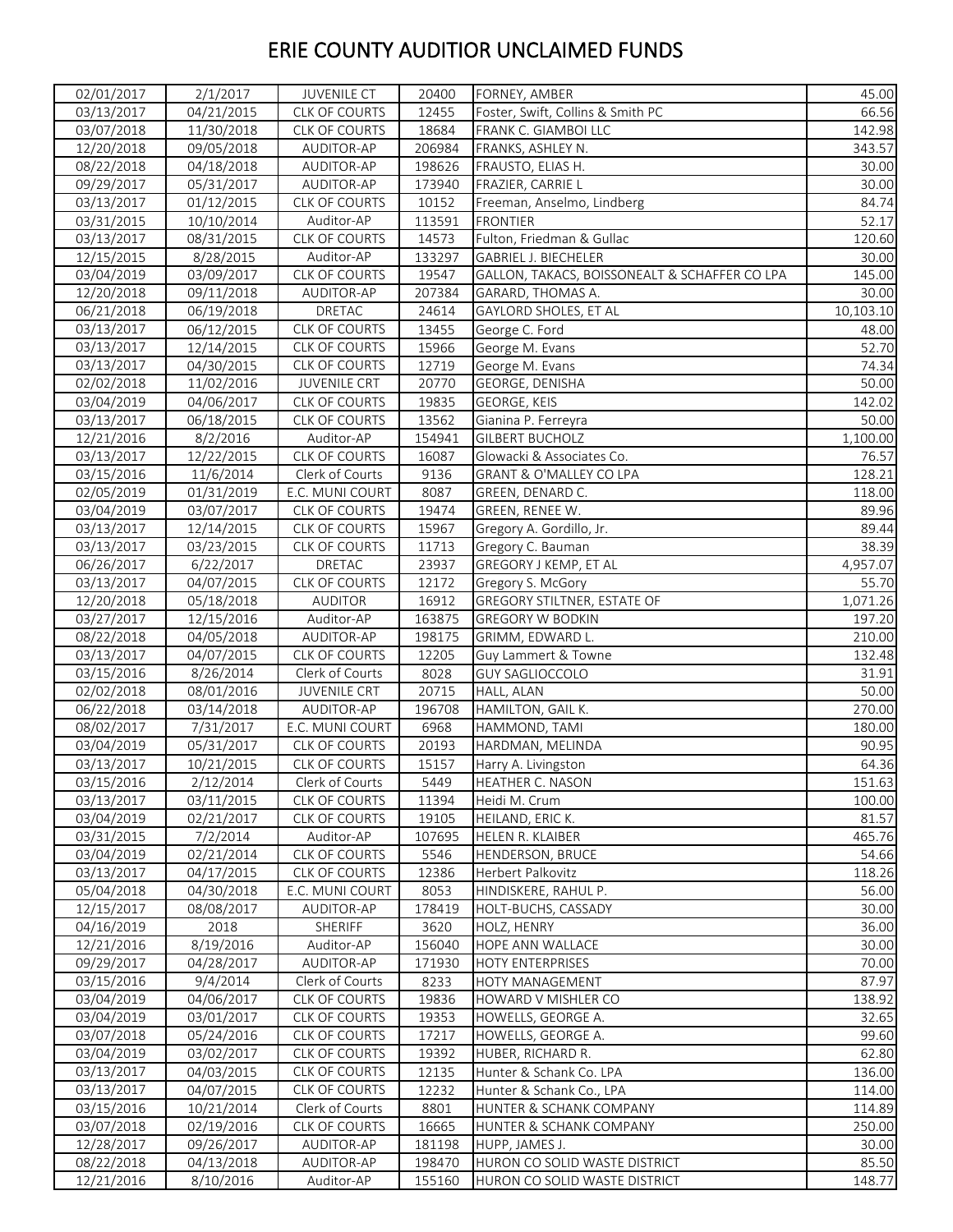| 02/01/2017 | 2/1/2017   | <b>JUVENILE CT</b>   | 20400  | FORNEY, AMBER                                 | 45.00             |
|------------|------------|----------------------|--------|-----------------------------------------------|-------------------|
| 03/13/2017 | 04/21/2015 | CLK OF COURTS        | 12455  | Foster, Swift, Collins & Smith PC             | 66.56             |
| 03/07/2018 | 11/30/2018 | CLK OF COURTS        | 18684  | FRANK C. GIAMBOI LLC                          | 142.98            |
| 12/20/2018 | 09/05/2018 | AUDITOR-AP           | 206984 | FRANKS, ASHLEY N.                             | 343.57            |
| 08/22/2018 | 04/18/2018 | AUDITOR-AP           | 198626 | FRAUSTO, ELIAS H.                             | 30.00             |
| 09/29/2017 | 05/31/2017 | AUDITOR-AP           | 173940 | FRAZIER, CARRIE L                             | 30.00             |
| 03/13/2017 | 01/12/2015 | CLK OF COURTS        | 10152  | Freeman, Anselmo, Lindberg                    | 84.74             |
| 03/31/2015 | 10/10/2014 | Auditor-AP           | 113591 | <b>FRONTIER</b>                               | 52.17             |
| 03/13/2017 | 08/31/2015 | CLK OF COURTS        | 14573  | Fulton, Friedman & Gullac                     | 120.60            |
| 12/15/2015 | 8/28/2015  | Auditor-AP           | 133297 | GABRIEL J. BIECHELER                          | 30.00             |
| 03/04/2019 | 03/09/2017 | CLK OF COURTS        | 19547  | GALLON, TAKACS, BOISSONEALT & SCHAFFER CO LPA | 145.00            |
| 12/20/2018 | 09/11/2018 | AUDITOR-AP           | 207384 | GARARD, THOMAS A.                             | 30.00             |
| 06/21/2018 | 06/19/2018 | DRETAC               | 24614  | GAYLORD SHOLES, ET AL                         | 10,103.10         |
| 03/13/2017 | 06/12/2015 | CLK OF COURTS        | 13455  | George C. Ford                                | 48.00             |
| 03/13/2017 | 12/14/2015 | CLK OF COURTS        | 15966  | George M. Evans                               | 52.70             |
| 03/13/2017 | 04/30/2015 | <b>CLK OF COURTS</b> | 12719  | George M. Evans                               | 74.34             |
| 02/02/2018 | 11/02/2016 | <b>JUVENILE CRT</b>  | 20770  | GEORGE, DENISHA                               | 50.00             |
| 03/04/2019 | 04/06/2017 | CLK OF COURTS        | 19835  | GEORGE, KEIS                                  | 142.02            |
| 03/13/2017 | 06/18/2015 | CLK OF COURTS        | 13562  | Gianina P. Ferreyra                           | 50.00             |
| 12/21/2016 | 8/2/2016   | Auditor-AP           | 154941 | <b>GILBERT BUCHOLZ</b>                        | 1,100.00          |
| 03/13/2017 | 12/22/2015 | <b>CLK OF COURTS</b> | 16087  | Glowacki & Associates Co.                     | 76.57             |
| 03/15/2016 | 11/6/2014  | Clerk of Courts      | 9136   | GRANT & O'MALLEY CO LPA                       | 128.21            |
| 02/05/2019 | 01/31/2019 | E.C. MUNI COURT      | 8087   | GREEN, DENARD C.                              | 118.00            |
| 03/04/2019 | 03/07/2017 | CLK OF COURTS        | 19474  | GREEN, RENEE W.                               | 89.96             |
| 03/13/2017 |            | <b>CLK OF COURTS</b> |        |                                               | 89.44             |
|            | 12/14/2015 |                      | 15967  | Gregory A. Gordillo, Jr.                      |                   |
| 03/13/2017 | 03/23/2015 | CLK OF COURTS        | 11713  | Gregory C. Bauman                             | 38.39<br>4,957.07 |
| 06/26/2017 | 6/22/2017  | DRETAC               | 23937  | GREGORY J KEMP, ET AL                         |                   |
| 03/13/2017 | 04/07/2015 | CLK OF COURTS        | 12172  | Gregory S. McGory                             | 55.70             |
| 12/20/2018 | 05/18/2018 | <b>AUDITOR</b>       | 16912  | <b>GREGORY STILTNER, ESTATE OF</b>            | 1,071.26          |
| 03/27/2017 | 12/15/2016 | Auditor-AP           | 163875 | <b>GREGORY W BODKIN</b>                       | 197.20            |
| 08/22/2018 | 04/05/2018 | AUDITOR-AP           | 198175 | GRIMM, EDWARD L.                              | 210.00            |
| 03/13/2017 | 04/07/2015 | CLK OF COURTS        | 12205  | Guy Lammert & Towne                           | 132.48            |
| 03/15/2016 | 8/26/2014  | Clerk of Courts      | 8028   | <b>GUY SAGLIOCCOLO</b>                        | 31.91             |
| 02/02/2018 | 08/01/2016 | <b>JUVENILE CRT</b>  | 20715  | HALL, ALAN                                    | 50.00             |
| 06/22/2018 | 03/14/2018 | AUDITOR-AP           | 196708 | HAMILTON, GAIL K.                             | 270.00            |
| 08/02/2017 | 7/31/2017  | E.C. MUNI COURT      | 6968   | HAMMOND, TAMI                                 | 180.00            |
| 03/04/2019 | 05/31/2017 | CLK OF COURTS        | 20193  | HARDMAN, MELINDA                              | 90.95             |
| 03/13/2017 | 10/21/2015 | <b>CLK OF COURTS</b> | 15157  | Harry A. Livingston                           | 64.36             |
| 03/15/2016 | 2/12/2014  | Clerk of Courts      | 5449   | HEATHER C. NASON                              | 151.63            |
| 03/13/2017 | 03/11/2015 | <b>CLK OF COURTS</b> | 11394  | Heidi M. Crum                                 | 100.00            |
| 03/04/2019 | 02/21/2017 | <b>CLK OF COURTS</b> | 19105  | HEILAND, ERIC K.                              | 81.57             |
| 03/31/2015 | 7/2/2014   | Auditor-AP           | 107695 | HELEN R. KLAIBER                              | 465.76            |
| 03/04/2019 | 02/21/2014 | CLK OF COURTS        | 5546   | HENDERSON, BRUCE                              | 54.66             |
| 03/13/2017 | 04/17/2015 | CLK OF COURTS        | 12386  | Herbert Palkovitz                             | 118.26            |
| 05/04/2018 | 04/30/2018 | E.C. MUNI COURT      | 8053   | HINDISKERE, RAHUL P.                          | 56.00             |
| 12/15/2017 | 08/08/2017 | AUDITOR-AP           | 178419 | HOLT-BUCHS, CASSADY                           | 30.00             |
| 04/16/2019 | 2018       | SHERIFF              | 3620   | HOLZ, HENRY                                   | 36.00             |
| 12/21/2016 | 8/19/2016  | Auditor-AP           | 156040 | HOPE ANN WALLACE                              | 30.00             |
| 09/29/2017 | 04/28/2017 | AUDITOR-AP           | 171930 | <b>HOTY ENTERPRISES</b>                       | 70.00             |
| 03/15/2016 | 9/4/2014   | Clerk of Courts      | 8233   | HOTY MANAGEMENT                               | 87.97             |
| 03/04/2019 | 04/06/2017 | <b>CLK OF COURTS</b> | 19836  | HOWARD V MISHLER CO                           | 138.92            |
| 03/04/2019 | 03/01/2017 | <b>CLK OF COURTS</b> | 19353  | HOWELLS, GEORGE A.                            | 32.65             |
| 03/07/2018 | 05/24/2016 | <b>CLK OF COURTS</b> | 17217  | HOWELLS, GEORGE A.                            | 99.60             |
| 03/04/2019 | 03/02/2017 | <b>CLK OF COURTS</b> | 19392  | HUBER, RICHARD R.                             | 62.80             |
| 03/13/2017 | 04/03/2015 | <b>CLK OF COURTS</b> | 12135  | Hunter & Schank Co. LPA                       | 136.00            |
| 03/13/2017 | 04/07/2015 | CLK OF COURTS        | 12232  | Hunter & Schank Co., LPA                      | 114.00            |
| 03/15/2016 | 10/21/2014 | Clerk of Courts      | 8801   | HUNTER & SCHANK COMPANY                       | 114.89            |
| 03/07/2018 | 02/19/2016 | <b>CLK OF COURTS</b> | 16665  | HUNTER & SCHANK COMPANY                       | 250.00            |
| 12/28/2017 | 09/26/2017 | AUDITOR-AP           | 181198 | HUPP, JAMES J.                                | 30.00             |
| 08/22/2018 | 04/13/2018 | AUDITOR-AP           | 198470 | HURON CO SOLID WASTE DISTRICT                 | 85.50             |
| 12/21/2016 | 8/10/2016  | Auditor-AP           | 155160 | HURON CO SOLID WASTE DISTRICT                 | 148.77            |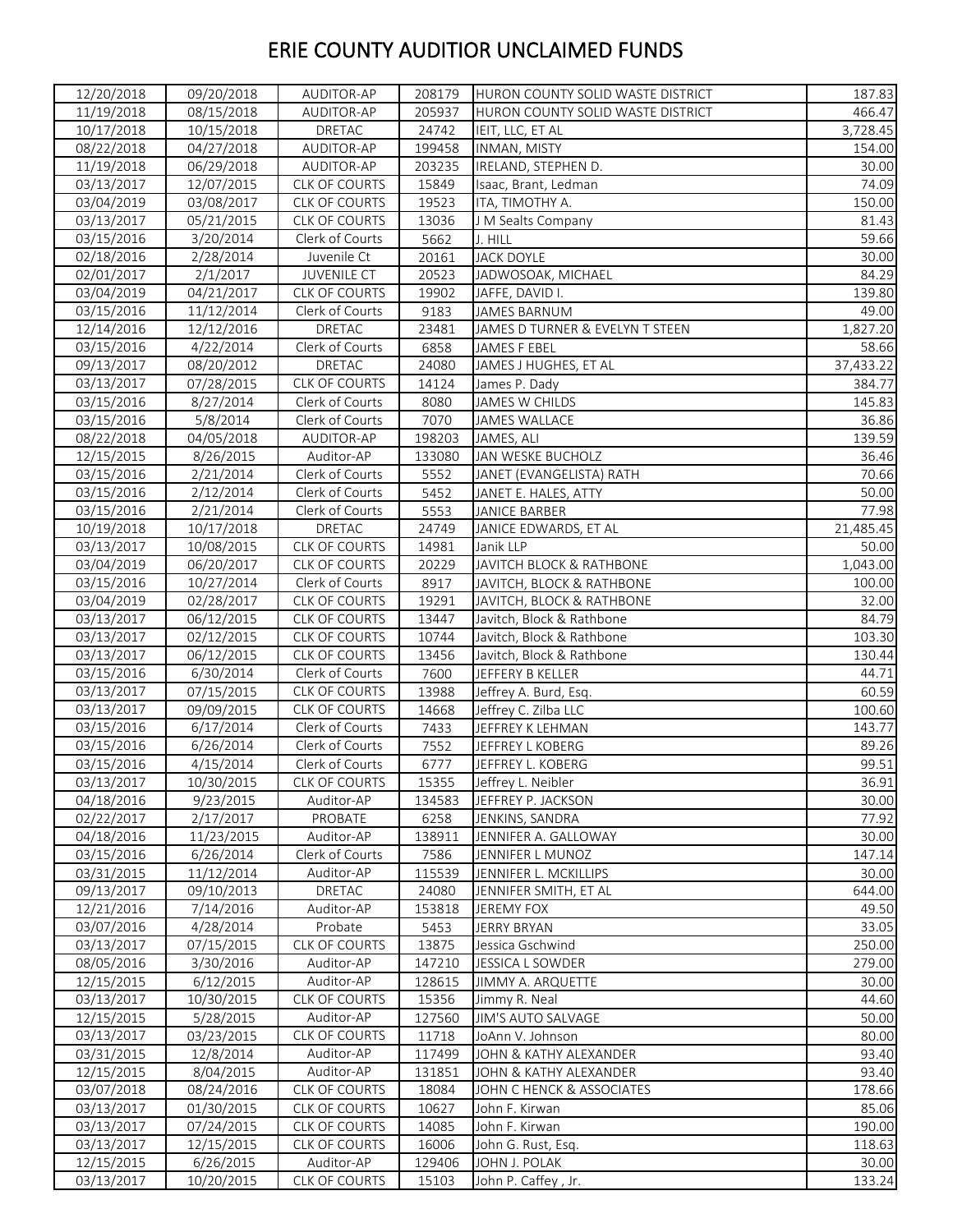| 12/20/2018              | 09/20/2018               | AUDITOR-AP           | 208179 | HURON COUNTY SOLID WASTE DISTRICT | 187.83    |
|-------------------------|--------------------------|----------------------|--------|-----------------------------------|-----------|
| 11/19/2018              | 08/15/2018               | AUDITOR-AP           | 205937 | HURON COUNTY SOLID WASTE DISTRICT | 466.47    |
| 10/17/2018              | 10/15/2018               | DRETAC               | 24742  | IEIT, LLC, ET AL                  | 3,728.45  |
| 08/22/2018              | 04/27/2018               | AUDITOR-AP           | 199458 | INMAN, MISTY                      | 154.00    |
| 11/19/2018              | 06/29/2018               | AUDITOR-AP           | 203235 | IRELAND, STEPHEN D.               | 30.00     |
| 03/13/2017              | 12/07/2015               | <b>CLK OF COURTS</b> | 15849  | Isaac, Brant, Ledman              | 74.09     |
| 03/04/2019              | 03/08/2017               | CLK OF COURTS        | 19523  | ITA, TIMOTHY A.                   | 150.00    |
| 03/13/2017              | 05/21/2015               | <b>CLK OF COURTS</b> | 13036  | J M Sealts Company                | 81.43     |
| 03/15/2016              | 3/20/2014                | Clerk of Courts      | 5662   | J. HILL                           | 59.66     |
| 02/18/2016              | 2/28/2014                | Juvenile Ct          | 20161  | <b>JACK DOYLE</b>                 | 30.00     |
| 02/01/2017              | 2/1/2017                 | <b>JUVENILE CT</b>   | 20523  | JADWOSOAK, MICHAEL                | 84.29     |
| 03/04/2019              | 04/21/2017               | CLK OF COURTS        | 19902  | JAFFE, DAVID I.                   | 139.80    |
| 03/15/2016              | 11/12/2014               | Clerk of Courts      | 9183   | JAMES BARNUM                      | 49.00     |
| 12/14/2016              | 12/12/2016               | <b>DRETAC</b>        | 23481  | JAMES D TURNER & EVELYN T STEEN   | 1,827.20  |
| 03/15/2016              | 4/22/2014                | Clerk of Courts      | 6858   | JAMES F EBEL                      | 58.66     |
| 09/13/2017              | 08/20/2012               | DRETAC               | 24080  | JAMES J HUGHES, ET AL             | 37,433.22 |
| 03/13/2017              | 07/28/2015               | <b>CLK OF COURTS</b> | 14124  | James P. Dady                     | 384.77    |
| 03/15/2016              | 8/27/2014                | Clerk of Courts      | 8080   | JAMES W CHILDS                    | 145.83    |
| 03/15/2016              | 5/8/2014                 | Clerk of Courts      | 7070   | <b>JAMES WALLACE</b>              | 36.86     |
| 08/22/2018              | 04/05/2018               | AUDITOR-AP           | 198203 | JAMES, ALI                        | 139.59    |
| 12/15/2015              | 8/26/2015                | Auditor-AP           | 133080 | JAN WESKE BUCHOLZ                 | 36.46     |
| 03/15/2016              | 2/21/2014                | Clerk of Courts      | 5552   | JANET (EVANGELISTA) RATH          | 70.66     |
| 03/15/2016              | 2/12/2014                | Clerk of Courts      | 5452   | JANET E. HALES, ATTY              | 50.00     |
| $\overline{03}/15/2016$ | 2/21/2014                | Clerk of Courts      | 5553   | <b>JANICE BARBER</b>              | 77.98     |
| 10/19/2018              | 10/17/2018               | DRETAC               | 24749  | JANICE EDWARDS, ET AL             | 21,485.45 |
| 03/13/2017              |                          | <b>CLK OF COURTS</b> | 14981  | Janik LLP                         | 50.00     |
| 03/04/2019              | 10/08/2015<br>06/20/2017 | <b>CLK OF COURTS</b> | 20229  | JAVITCH BLOCK & RATHBONE          | 1,043.00  |
| $\overline{03}/15/2016$ | 10/27/2014               | Clerk of Courts      | 8917   | JAVITCH, BLOCK & RATHBONE         | 100.00    |
|                         |                          | <b>CLK OF COURTS</b> | 19291  | JAVITCH, BLOCK & RATHBONE         |           |
| 03/04/2019              | 02/28/2017               |                      |        |                                   | 32.00     |
| 03/13/2017              | 06/12/2015               | <b>CLK OF COURTS</b> | 13447  | Javitch, Block & Rathbone         | 84.79     |
| 03/13/2017              | 02/12/2015               | <b>CLK OF COURTS</b> | 10744  | Javitch, Block & Rathbone         | 103.30    |
| 03/13/2017              | 06/12/2015               | CLK OF COURTS        | 13456  | Javitch, Block & Rathbone         | 130.44    |
| 03/15/2016              | 6/30/2014                | Clerk of Courts      | 7600   | JEFFERY B KELLER                  | 44.71     |
| 03/13/2017              | 07/15/2015               | CLK OF COURTS        | 13988  | Jeffrey A. Burd, Esq.             | 60.59     |
| 03/13/2017              | 09/09/2015               | CLK OF COURTS        | 14668  | Jeffrey C. Zilba LLC              | 100.60    |
| 03/15/2016              | 6/17/2014                | Clerk of Courts      | 7433   | JEFFREY K LEHMAN                  | 143.77    |
| 03/15/2016              | 6/26/2014                | Clerk of Courts      | 7552   | <b>JEFFREY L KOBERG</b>           | 89.26     |
| 03/15/2016              | 4/15/2014                | Clerk of Courts      | 6777   | JEFFREY L. KOBERG                 | 99.51     |
| 03/13/2017              | 10/30/2015               | CLK OF COURTS        | 15355  | Jeffrey L. Neibler                | 36.91     |
| 04/18/2016              | 9/23/2015                | Auditor-AP           | 134583 | JEFFREY P. JACKSON                | 30.00     |
| 02/22/2017              | 2/17/2017                | PROBATE              | 6258   | JENKINS, SANDRA                   | 77.92     |
| 04/18/2016              | 11/23/2015               | Auditor-AP           | 138911 | JENNIFER A. GALLOWAY              | 30.00     |
| 03/15/2016              | 6/26/2014                | Clerk of Courts      | 7586   | JENNIFER L MUNOZ                  | 147.14    |
| 03/31/2015              | 11/12/2014               | Auditor-AP           | 115539 | JENNIFER L. MCKILLIPS             | 30.00     |
| 09/13/2017              | 09/10/2013               | DRETAC               | 24080  | JENNIFER SMITH, ET AL             | 644.00    |
| 12/21/2016              | 7/14/2016                | Auditor-AP           | 153818 | <b>JEREMY FOX</b>                 | 49.50     |
| 03/07/2016              | 4/28/2014                | Probate              | 5453   | JERRY BRYAN                       | 33.05     |
| 03/13/2017              | 07/15/2015               | <b>CLK OF COURTS</b> | 13875  | Jessica Gschwind                  | 250.00    |
| 08/05/2016              | 3/30/2016                | Auditor-AP           | 147210 | <b>JESSICA L SOWDER</b>           | 279.00    |
| 12/15/2015              | 6/12/2015                | Auditor-AP           | 128615 | JIMMY A. ARQUETTE                 | 30.00     |
| 03/13/2017              | 10/30/2015               | CLK OF COURTS        | 15356  | Jimmy R. Neal                     | 44.60     |
| 12/15/2015              | 5/28/2015                | Auditor-AP           | 127560 | JIM'S AUTO SALVAGE                | 50.00     |
| 03/13/2017              | 03/23/2015               | CLK OF COURTS        | 11718  | JoAnn V. Johnson                  | 80.00     |
| 03/31/2015              | 12/8/2014                | Auditor-AP           | 117499 | JOHN & KATHY ALEXANDER            | 93.40     |
| 12/15/2015              | 8/04/2015                | Auditor-AP           | 131851 | JOHN & KATHY ALEXANDER            | 93.40     |
| 03/07/2018              | 08/24/2016               | <b>CLK OF COURTS</b> | 18084  | JOHN C HENCK & ASSOCIATES         | 178.66    |
| 03/13/2017              | 01/30/2015               | <b>CLK OF COURTS</b> | 10627  | John F. Kirwan                    | 85.06     |
| 03/13/2017              | 07/24/2015               | CLK OF COURTS        | 14085  | John F. Kirwan                    | 190.00    |
| 03/13/2017              | 12/15/2015               | CLK OF COURTS        | 16006  | John G. Rust, Esq.                | 118.63    |
| 12/15/2015              | 6/26/2015                | Auditor-AP           | 129406 | JOHN J. POLAK                     | 30.00     |
| 03/13/2017              | 10/20/2015               | CLK OF COURTS        | 15103  | John P. Caffey, Jr.               | 133.24    |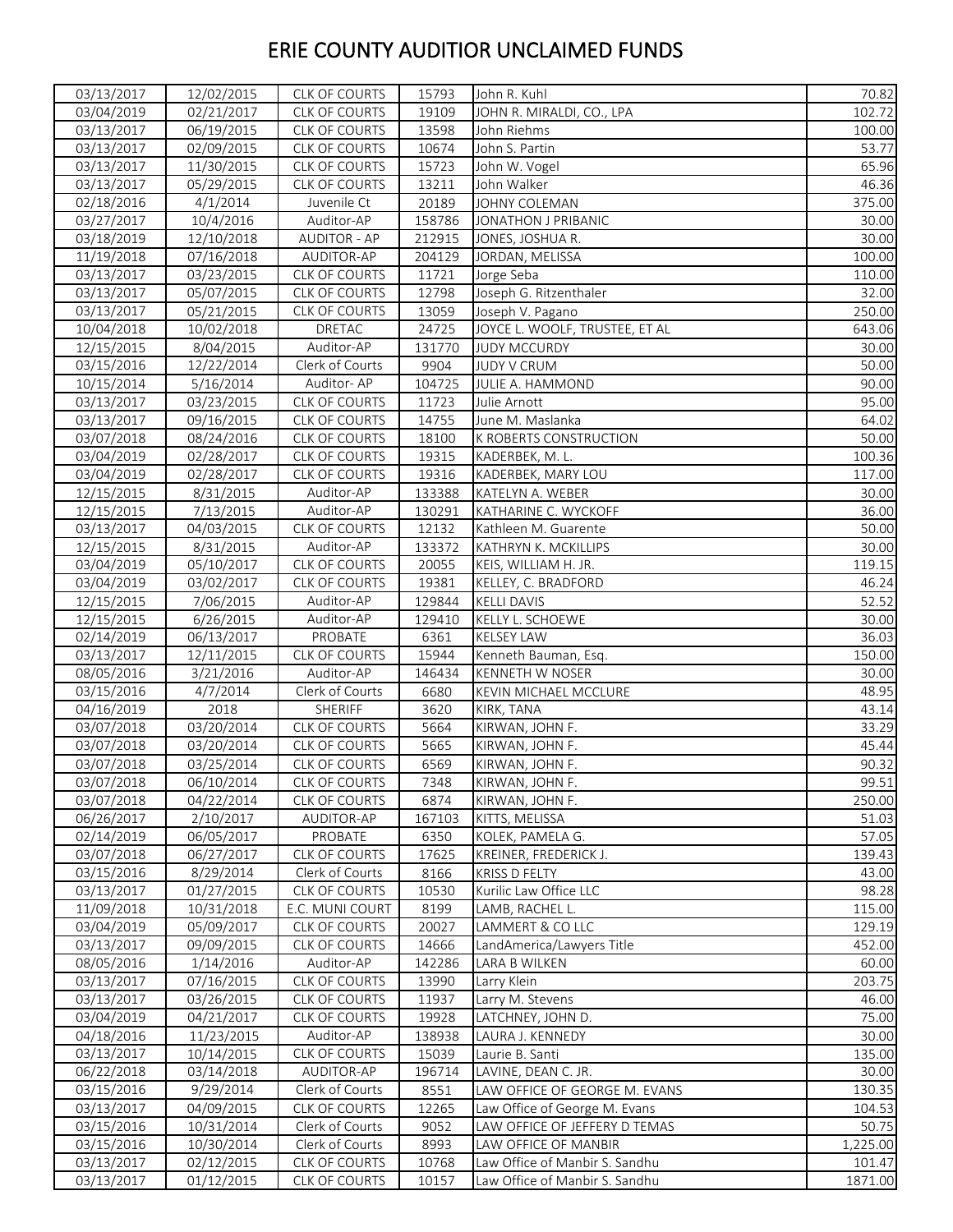| 03/04/2019<br>02/21/2017<br><b>CLK OF COURTS</b><br>19109<br>JOHN R. MIRALDI, CO., LPA<br>102.72<br>03/13/2017<br><b>CLK OF COURTS</b><br>06/19/2015<br>13598<br>John Riehms<br>100.00<br>CLK OF COURTS<br>03/13/2017<br>02/09/2015<br>10674<br>53.77<br>John S. Partin<br>03/13/2017<br>11/30/2015<br><b>CLK OF COURTS</b><br>15723<br>65.96<br>John W. Vogel<br>03/13/2017<br><b>CLK OF COURTS</b><br>13211<br>05/29/2015<br>John Walker<br>46.36<br>375.00<br>4/1/2014<br>20189<br>02/18/2016<br>Juvenile Ct<br>JOHNY COLEMAN<br>03/27/2017<br>10/4/2016<br>158786<br>Auditor-AP<br>JONATHON J PRIBANIC<br>30.00<br>03/18/2019<br><b>AUDITOR - AP</b><br>212915<br>12/10/2018<br>JONES, JOSHUA R.<br>30.00<br>11/19/2018<br>AUDITOR-AP<br>204129<br>100.00<br>07/16/2018<br>JORDAN, MELISSA<br>11721<br>110.00<br>03/13/2017<br>03/23/2015<br>CLK OF COURTS<br>Jorge Seba<br><b>CLK OF COURTS</b><br>12798<br>Joseph G. Ritzenthaler<br>32.00<br>03/13/2017<br>05/07/2015<br>13059<br>03/13/2017<br>05/21/2015<br>CLK OF COURTS<br>Joseph V. Pagano<br>250.00<br>10/04/2018<br>10/02/2018<br>DRETAC<br>24725<br>JOYCE L. WOOLF, TRUSTEE, ET AL<br>643.06<br>Auditor-AP<br>12/15/2015<br>8/04/2015<br>131770<br><b>JUDY MCCURDY</b><br>30.00<br>03/15/2016<br>12/22/2014<br>Clerk of Courts<br>50.00<br>9904<br><b>JUDY V CRUM</b><br>Auditor-AP<br>10/15/2014<br>5/16/2014<br>JULIE A. HAMMOND<br>90.00<br>104725<br>95.00<br>03/13/2017<br>03/23/2015<br>CLK OF COURTS<br>11723<br>Julie Arnott<br>03/13/2017<br>09/16/2015<br>CLK OF COURTS<br>14755<br>June M. Maslanka<br>64.02<br>18100<br>50.00<br>03/07/2018<br>08/24/2016<br><b>CLK OF COURTS</b><br><b>K ROBERTS CONSTRUCTION</b><br>CLK OF COURTS<br>19315<br>100.36<br>03/04/2019<br>02/28/2017<br>KADERBEK, M. L.<br>117.00<br>03/04/2019<br>02/28/2017<br><b>CLK OF COURTS</b><br>19316<br>KADERBEK, MARY LOU<br>12/15/2015<br>Auditor-AP<br>8/31/2015<br>133388<br>KATELYN A. WEBER<br>30.00<br>12/15/2015<br>7/13/2015<br>Auditor-AP<br>36.00<br>130291<br>KATHARINE C. WYCKOFF<br>03/13/2017<br>04/03/2015<br><b>CLK OF COURTS</b><br>50.00<br>12132<br>Kathleen M. Guarente<br>Auditor-AP<br>12/15/2015<br>8/31/2015<br>KATHRYN K. MCKILLIPS<br>133372<br>30.00<br>119.15<br>03/04/2019<br>05/10/2017<br>CLK OF COURTS<br>20055<br>KEIS, WILLIAM H. JR.<br>03/04/2019<br>03/02/2017<br><b>CLK OF COURTS</b><br>19381<br>KELLEY, C. BRADFORD<br>46.24<br>12/15/2015<br>7/06/2015<br>Auditor-AP<br>129844<br>52.52<br><b>KELLI DAVIS</b><br>12/15/2015<br>6/26/2015<br>Auditor-AP<br>129410<br>KELLY L. SCHOEWE<br>02/14/2019<br>06/13/2017<br>PROBATE<br>6361<br><b>KELSEY LAW</b><br>03/13/2017<br>12/11/2015<br><b>CLK OF COURTS</b><br>15944<br>Kenneth Bauman, Esg.<br>08/05/2016<br>3/21/2016<br>Auditor-AP<br>146434<br>KENNETH W NOSER<br>03/15/2016<br>4/7/2014<br>Clerk of Courts<br>6680<br><b>KEVIN MICHAEL MCCLURE</b><br>04/16/2019<br>2018<br>SHERIFF<br>3620<br>KIRK, TANA<br>03/07/2018<br>03/20/2014<br>CLK OF COURTS<br>5664<br>KIRWAN, JOHN F.<br>03/07/2018<br>03/20/2014<br>CLK OF COURTS<br>5665<br>KIRWAN, JOHN F.<br>03/07/2018<br>03/25/2014<br><b>CLK OF COURTS</b><br>KIRWAN, JOHN F.<br>6569<br>03/07/2018<br>CLK OF COURTS<br>7348<br>KIRWAN, JOHN F.<br>06/10/2014<br>03/07/2018<br>04/22/2014<br><b>CLK OF COURTS</b><br>6874<br>KIRWAN, JOHN F.<br>06/26/2017<br>2/10/2017<br>AUDITOR-AP<br>KITTS, MELISSA<br>167103<br>02/14/2019<br>06/05/2017<br>PROBATE<br>6350<br>KOLEK, PAMELA G.<br>03/07/2018<br>06/27/2017<br>CLK OF COURTS<br>17625<br>KREINER, FREDERICK J.<br>03/15/2016<br>Clerk of Courts<br>43.00<br>8/29/2014<br>8166<br>KRISS D FELTY<br>03/13/2017<br>01/27/2015<br>CLK OF COURTS<br>10530<br>Kurilic Law Office LLC<br>11/09/2018<br>E.C. MUNI COURT<br>8199<br>LAMB, RACHEL L.<br>10/31/2018<br>03/04/2019<br>05/09/2017<br>CLK OF COURTS<br>20027<br>LAMMERT & CO LLC<br>03/13/2017<br>09/09/2015<br><b>CLK OF COURTS</b><br>14666<br>LandAmerica/Lawyers Title<br>1/14/2016<br>Auditor-AP<br>142286<br>LARA B WILKEN<br>08/05/2016<br>03/13/2017<br>07/16/2015<br>CLK OF COURTS<br>13990<br>Larry Klein<br>03/13/2017<br>03/26/2015<br>CLK OF COURTS<br>11937<br>Larry M. Stevens<br>03/04/2019<br>04/21/2017<br>19928<br>CLK OF COURTS<br>LATCHNEY, JOHN D.<br>Auditor-AP<br>04/18/2016<br>11/23/2015<br>138938<br>LAURA J. KENNEDY<br>03/13/2017<br>10/14/2015<br>15039<br>CLK OF COURTS<br>Laurie B. Santi<br>06/22/2018<br>03/14/2018<br>AUDITOR-AP<br>196714<br>LAVINE, DEAN C. JR.<br>03/15/2016<br>9/29/2014<br>Clerk of Courts<br>8551<br>LAW OFFICE OF GEORGE M. EVANS<br>03/13/2017<br>04/09/2015<br>12265<br>Law Office of George M. Evans<br><b>CLK OF COURTS</b><br>03/15/2016<br>10/31/2014<br>Clerk of Courts<br>9052<br>LAW OFFICE OF JEFFERY D TEMAS<br>03/15/2016<br>10/30/2014<br>Clerk of Courts<br>8993<br>LAW OFFICE OF MANBIR<br>03/13/2017<br>02/12/2015<br>CLK OF COURTS<br>10768<br>Law Office of Manbir S. Sandhu | 03/13/2017 | 12/02/2015 | CLK OF COURTS | 15793 | John R. Kuhl                   | 70.82   |
|-----------------------------------------------------------------------------------------------------------------------------------------------------------------------------------------------------------------------------------------------------------------------------------------------------------------------------------------------------------------------------------------------------------------------------------------------------------------------------------------------------------------------------------------------------------------------------------------------------------------------------------------------------------------------------------------------------------------------------------------------------------------------------------------------------------------------------------------------------------------------------------------------------------------------------------------------------------------------------------------------------------------------------------------------------------------------------------------------------------------------------------------------------------------------------------------------------------------------------------------------------------------------------------------------------------------------------------------------------------------------------------------------------------------------------------------------------------------------------------------------------------------------------------------------------------------------------------------------------------------------------------------------------------------------------------------------------------------------------------------------------------------------------------------------------------------------------------------------------------------------------------------------------------------------------------------------------------------------------------------------------------------------------------------------------------------------------------------------------------------------------------------------------------------------------------------------------------------------------------------------------------------------------------------------------------------------------------------------------------------------------------------------------------------------------------------------------------------------------------------------------------------------------------------------------------------------------------------------------------------------------------------------------------------------------------------------------------------------------------------------------------------------------------------------------------------------------------------------------------------------------------------------------------------------------------------------------------------------------------------------------------------------------------------------------------------------------------------------------------------------------------------------------------------------------------------------------------------------------------------------------------------------------------------------------------------------------------------------------------------------------------------------------------------------------------------------------------------------------------------------------------------------------------------------------------------------------------------------------------------------------------------------------------------------------------------------------------------------------------------------------------------------------------------------------------------------------------------------------------------------------------------------------------------------------------------------------------------------------------------------------------------------------------------------------------------------------------------------------------------------------------------------------------------------------------------------------------------------------------------------------------------------------------------------------------------------------------------------------------------------------------------------------------------------------------------------------------------------------------------------------------------------------------------------------------------------------------------------------------------------------------------------------------------------------------------------------------------------------------------------------------------------------------------------------------------------------------------------------------------------------------------------------------------------------------------------------------------------|------------|------------|---------------|-------|--------------------------------|---------|
|                                                                                                                                                                                                                                                                                                                                                                                                                                                                                                                                                                                                                                                                                                                                                                                                                                                                                                                                                                                                                                                                                                                                                                                                                                                                                                                                                                                                                                                                                                                                                                                                                                                                                                                                                                                                                                                                                                                                                                                                                                                                                                                                                                                                                                                                                                                                                                                                                                                                                                                                                                                                                                                                                                                                                                                                                                                                                                                                                                                                                                                                                                                                                                                                                                                                                                                                                                                                                                                                                                                                                                                                                                                                                                                                                                                                                                                                                                                                                                                                                                                                                                                                                                                                                                                                                                                                                                                                                                                                                                                                                                                                                                                                                                                                                                                                                                                                                                                                                                       |            |            |               |       |                                |         |
|                                                                                                                                                                                                                                                                                                                                                                                                                                                                                                                                                                                                                                                                                                                                                                                                                                                                                                                                                                                                                                                                                                                                                                                                                                                                                                                                                                                                                                                                                                                                                                                                                                                                                                                                                                                                                                                                                                                                                                                                                                                                                                                                                                                                                                                                                                                                                                                                                                                                                                                                                                                                                                                                                                                                                                                                                                                                                                                                                                                                                                                                                                                                                                                                                                                                                                                                                                                                                                                                                                                                                                                                                                                                                                                                                                                                                                                                                                                                                                                                                                                                                                                                                                                                                                                                                                                                                                                                                                                                                                                                                                                                                                                                                                                                                                                                                                                                                                                                                                       |            |            |               |       |                                |         |
|                                                                                                                                                                                                                                                                                                                                                                                                                                                                                                                                                                                                                                                                                                                                                                                                                                                                                                                                                                                                                                                                                                                                                                                                                                                                                                                                                                                                                                                                                                                                                                                                                                                                                                                                                                                                                                                                                                                                                                                                                                                                                                                                                                                                                                                                                                                                                                                                                                                                                                                                                                                                                                                                                                                                                                                                                                                                                                                                                                                                                                                                                                                                                                                                                                                                                                                                                                                                                                                                                                                                                                                                                                                                                                                                                                                                                                                                                                                                                                                                                                                                                                                                                                                                                                                                                                                                                                                                                                                                                                                                                                                                                                                                                                                                                                                                                                                                                                                                                                       |            |            |               |       |                                |         |
|                                                                                                                                                                                                                                                                                                                                                                                                                                                                                                                                                                                                                                                                                                                                                                                                                                                                                                                                                                                                                                                                                                                                                                                                                                                                                                                                                                                                                                                                                                                                                                                                                                                                                                                                                                                                                                                                                                                                                                                                                                                                                                                                                                                                                                                                                                                                                                                                                                                                                                                                                                                                                                                                                                                                                                                                                                                                                                                                                                                                                                                                                                                                                                                                                                                                                                                                                                                                                                                                                                                                                                                                                                                                                                                                                                                                                                                                                                                                                                                                                                                                                                                                                                                                                                                                                                                                                                                                                                                                                                                                                                                                                                                                                                                                                                                                                                                                                                                                                                       |            |            |               |       |                                |         |
|                                                                                                                                                                                                                                                                                                                                                                                                                                                                                                                                                                                                                                                                                                                                                                                                                                                                                                                                                                                                                                                                                                                                                                                                                                                                                                                                                                                                                                                                                                                                                                                                                                                                                                                                                                                                                                                                                                                                                                                                                                                                                                                                                                                                                                                                                                                                                                                                                                                                                                                                                                                                                                                                                                                                                                                                                                                                                                                                                                                                                                                                                                                                                                                                                                                                                                                                                                                                                                                                                                                                                                                                                                                                                                                                                                                                                                                                                                                                                                                                                                                                                                                                                                                                                                                                                                                                                                                                                                                                                                                                                                                                                                                                                                                                                                                                                                                                                                                                                                       |            |            |               |       |                                |         |
|                                                                                                                                                                                                                                                                                                                                                                                                                                                                                                                                                                                                                                                                                                                                                                                                                                                                                                                                                                                                                                                                                                                                                                                                                                                                                                                                                                                                                                                                                                                                                                                                                                                                                                                                                                                                                                                                                                                                                                                                                                                                                                                                                                                                                                                                                                                                                                                                                                                                                                                                                                                                                                                                                                                                                                                                                                                                                                                                                                                                                                                                                                                                                                                                                                                                                                                                                                                                                                                                                                                                                                                                                                                                                                                                                                                                                                                                                                                                                                                                                                                                                                                                                                                                                                                                                                                                                                                                                                                                                                                                                                                                                                                                                                                                                                                                                                                                                                                                                                       |            |            |               |       |                                |         |
|                                                                                                                                                                                                                                                                                                                                                                                                                                                                                                                                                                                                                                                                                                                                                                                                                                                                                                                                                                                                                                                                                                                                                                                                                                                                                                                                                                                                                                                                                                                                                                                                                                                                                                                                                                                                                                                                                                                                                                                                                                                                                                                                                                                                                                                                                                                                                                                                                                                                                                                                                                                                                                                                                                                                                                                                                                                                                                                                                                                                                                                                                                                                                                                                                                                                                                                                                                                                                                                                                                                                                                                                                                                                                                                                                                                                                                                                                                                                                                                                                                                                                                                                                                                                                                                                                                                                                                                                                                                                                                                                                                                                                                                                                                                                                                                                                                                                                                                                                                       |            |            |               |       |                                |         |
|                                                                                                                                                                                                                                                                                                                                                                                                                                                                                                                                                                                                                                                                                                                                                                                                                                                                                                                                                                                                                                                                                                                                                                                                                                                                                                                                                                                                                                                                                                                                                                                                                                                                                                                                                                                                                                                                                                                                                                                                                                                                                                                                                                                                                                                                                                                                                                                                                                                                                                                                                                                                                                                                                                                                                                                                                                                                                                                                                                                                                                                                                                                                                                                                                                                                                                                                                                                                                                                                                                                                                                                                                                                                                                                                                                                                                                                                                                                                                                                                                                                                                                                                                                                                                                                                                                                                                                                                                                                                                                                                                                                                                                                                                                                                                                                                                                                                                                                                                                       |            |            |               |       |                                |         |
|                                                                                                                                                                                                                                                                                                                                                                                                                                                                                                                                                                                                                                                                                                                                                                                                                                                                                                                                                                                                                                                                                                                                                                                                                                                                                                                                                                                                                                                                                                                                                                                                                                                                                                                                                                                                                                                                                                                                                                                                                                                                                                                                                                                                                                                                                                                                                                                                                                                                                                                                                                                                                                                                                                                                                                                                                                                                                                                                                                                                                                                                                                                                                                                                                                                                                                                                                                                                                                                                                                                                                                                                                                                                                                                                                                                                                                                                                                                                                                                                                                                                                                                                                                                                                                                                                                                                                                                                                                                                                                                                                                                                                                                                                                                                                                                                                                                                                                                                                                       |            |            |               |       |                                |         |
|                                                                                                                                                                                                                                                                                                                                                                                                                                                                                                                                                                                                                                                                                                                                                                                                                                                                                                                                                                                                                                                                                                                                                                                                                                                                                                                                                                                                                                                                                                                                                                                                                                                                                                                                                                                                                                                                                                                                                                                                                                                                                                                                                                                                                                                                                                                                                                                                                                                                                                                                                                                                                                                                                                                                                                                                                                                                                                                                                                                                                                                                                                                                                                                                                                                                                                                                                                                                                                                                                                                                                                                                                                                                                                                                                                                                                                                                                                                                                                                                                                                                                                                                                                                                                                                                                                                                                                                                                                                                                                                                                                                                                                                                                                                                                                                                                                                                                                                                                                       |            |            |               |       |                                |         |
|                                                                                                                                                                                                                                                                                                                                                                                                                                                                                                                                                                                                                                                                                                                                                                                                                                                                                                                                                                                                                                                                                                                                                                                                                                                                                                                                                                                                                                                                                                                                                                                                                                                                                                                                                                                                                                                                                                                                                                                                                                                                                                                                                                                                                                                                                                                                                                                                                                                                                                                                                                                                                                                                                                                                                                                                                                                                                                                                                                                                                                                                                                                                                                                                                                                                                                                                                                                                                                                                                                                                                                                                                                                                                                                                                                                                                                                                                                                                                                                                                                                                                                                                                                                                                                                                                                                                                                                                                                                                                                                                                                                                                                                                                                                                                                                                                                                                                                                                                                       |            |            |               |       |                                |         |
|                                                                                                                                                                                                                                                                                                                                                                                                                                                                                                                                                                                                                                                                                                                                                                                                                                                                                                                                                                                                                                                                                                                                                                                                                                                                                                                                                                                                                                                                                                                                                                                                                                                                                                                                                                                                                                                                                                                                                                                                                                                                                                                                                                                                                                                                                                                                                                                                                                                                                                                                                                                                                                                                                                                                                                                                                                                                                                                                                                                                                                                                                                                                                                                                                                                                                                                                                                                                                                                                                                                                                                                                                                                                                                                                                                                                                                                                                                                                                                                                                                                                                                                                                                                                                                                                                                                                                                                                                                                                                                                                                                                                                                                                                                                                                                                                                                                                                                                                                                       |            |            |               |       |                                |         |
|                                                                                                                                                                                                                                                                                                                                                                                                                                                                                                                                                                                                                                                                                                                                                                                                                                                                                                                                                                                                                                                                                                                                                                                                                                                                                                                                                                                                                                                                                                                                                                                                                                                                                                                                                                                                                                                                                                                                                                                                                                                                                                                                                                                                                                                                                                                                                                                                                                                                                                                                                                                                                                                                                                                                                                                                                                                                                                                                                                                                                                                                                                                                                                                                                                                                                                                                                                                                                                                                                                                                                                                                                                                                                                                                                                                                                                                                                                                                                                                                                                                                                                                                                                                                                                                                                                                                                                                                                                                                                                                                                                                                                                                                                                                                                                                                                                                                                                                                                                       |            |            |               |       |                                |         |
|                                                                                                                                                                                                                                                                                                                                                                                                                                                                                                                                                                                                                                                                                                                                                                                                                                                                                                                                                                                                                                                                                                                                                                                                                                                                                                                                                                                                                                                                                                                                                                                                                                                                                                                                                                                                                                                                                                                                                                                                                                                                                                                                                                                                                                                                                                                                                                                                                                                                                                                                                                                                                                                                                                                                                                                                                                                                                                                                                                                                                                                                                                                                                                                                                                                                                                                                                                                                                                                                                                                                                                                                                                                                                                                                                                                                                                                                                                                                                                                                                                                                                                                                                                                                                                                                                                                                                                                                                                                                                                                                                                                                                                                                                                                                                                                                                                                                                                                                                                       |            |            |               |       |                                |         |
|                                                                                                                                                                                                                                                                                                                                                                                                                                                                                                                                                                                                                                                                                                                                                                                                                                                                                                                                                                                                                                                                                                                                                                                                                                                                                                                                                                                                                                                                                                                                                                                                                                                                                                                                                                                                                                                                                                                                                                                                                                                                                                                                                                                                                                                                                                                                                                                                                                                                                                                                                                                                                                                                                                                                                                                                                                                                                                                                                                                                                                                                                                                                                                                                                                                                                                                                                                                                                                                                                                                                                                                                                                                                                                                                                                                                                                                                                                                                                                                                                                                                                                                                                                                                                                                                                                                                                                                                                                                                                                                                                                                                                                                                                                                                                                                                                                                                                                                                                                       |            |            |               |       |                                |         |
|                                                                                                                                                                                                                                                                                                                                                                                                                                                                                                                                                                                                                                                                                                                                                                                                                                                                                                                                                                                                                                                                                                                                                                                                                                                                                                                                                                                                                                                                                                                                                                                                                                                                                                                                                                                                                                                                                                                                                                                                                                                                                                                                                                                                                                                                                                                                                                                                                                                                                                                                                                                                                                                                                                                                                                                                                                                                                                                                                                                                                                                                                                                                                                                                                                                                                                                                                                                                                                                                                                                                                                                                                                                                                                                                                                                                                                                                                                                                                                                                                                                                                                                                                                                                                                                                                                                                                                                                                                                                                                                                                                                                                                                                                                                                                                                                                                                                                                                                                                       |            |            |               |       |                                |         |
|                                                                                                                                                                                                                                                                                                                                                                                                                                                                                                                                                                                                                                                                                                                                                                                                                                                                                                                                                                                                                                                                                                                                                                                                                                                                                                                                                                                                                                                                                                                                                                                                                                                                                                                                                                                                                                                                                                                                                                                                                                                                                                                                                                                                                                                                                                                                                                                                                                                                                                                                                                                                                                                                                                                                                                                                                                                                                                                                                                                                                                                                                                                                                                                                                                                                                                                                                                                                                                                                                                                                                                                                                                                                                                                                                                                                                                                                                                                                                                                                                                                                                                                                                                                                                                                                                                                                                                                                                                                                                                                                                                                                                                                                                                                                                                                                                                                                                                                                                                       |            |            |               |       |                                |         |
|                                                                                                                                                                                                                                                                                                                                                                                                                                                                                                                                                                                                                                                                                                                                                                                                                                                                                                                                                                                                                                                                                                                                                                                                                                                                                                                                                                                                                                                                                                                                                                                                                                                                                                                                                                                                                                                                                                                                                                                                                                                                                                                                                                                                                                                                                                                                                                                                                                                                                                                                                                                                                                                                                                                                                                                                                                                                                                                                                                                                                                                                                                                                                                                                                                                                                                                                                                                                                                                                                                                                                                                                                                                                                                                                                                                                                                                                                                                                                                                                                                                                                                                                                                                                                                                                                                                                                                                                                                                                                                                                                                                                                                                                                                                                                                                                                                                                                                                                                                       |            |            |               |       |                                |         |
|                                                                                                                                                                                                                                                                                                                                                                                                                                                                                                                                                                                                                                                                                                                                                                                                                                                                                                                                                                                                                                                                                                                                                                                                                                                                                                                                                                                                                                                                                                                                                                                                                                                                                                                                                                                                                                                                                                                                                                                                                                                                                                                                                                                                                                                                                                                                                                                                                                                                                                                                                                                                                                                                                                                                                                                                                                                                                                                                                                                                                                                                                                                                                                                                                                                                                                                                                                                                                                                                                                                                                                                                                                                                                                                                                                                                                                                                                                                                                                                                                                                                                                                                                                                                                                                                                                                                                                                                                                                                                                                                                                                                                                                                                                                                                                                                                                                                                                                                                                       |            |            |               |       |                                |         |
|                                                                                                                                                                                                                                                                                                                                                                                                                                                                                                                                                                                                                                                                                                                                                                                                                                                                                                                                                                                                                                                                                                                                                                                                                                                                                                                                                                                                                                                                                                                                                                                                                                                                                                                                                                                                                                                                                                                                                                                                                                                                                                                                                                                                                                                                                                                                                                                                                                                                                                                                                                                                                                                                                                                                                                                                                                                                                                                                                                                                                                                                                                                                                                                                                                                                                                                                                                                                                                                                                                                                                                                                                                                                                                                                                                                                                                                                                                                                                                                                                                                                                                                                                                                                                                                                                                                                                                                                                                                                                                                                                                                                                                                                                                                                                                                                                                                                                                                                                                       |            |            |               |       |                                |         |
|                                                                                                                                                                                                                                                                                                                                                                                                                                                                                                                                                                                                                                                                                                                                                                                                                                                                                                                                                                                                                                                                                                                                                                                                                                                                                                                                                                                                                                                                                                                                                                                                                                                                                                                                                                                                                                                                                                                                                                                                                                                                                                                                                                                                                                                                                                                                                                                                                                                                                                                                                                                                                                                                                                                                                                                                                                                                                                                                                                                                                                                                                                                                                                                                                                                                                                                                                                                                                                                                                                                                                                                                                                                                                                                                                                                                                                                                                                                                                                                                                                                                                                                                                                                                                                                                                                                                                                                                                                                                                                                                                                                                                                                                                                                                                                                                                                                                                                                                                                       |            |            |               |       |                                |         |
|                                                                                                                                                                                                                                                                                                                                                                                                                                                                                                                                                                                                                                                                                                                                                                                                                                                                                                                                                                                                                                                                                                                                                                                                                                                                                                                                                                                                                                                                                                                                                                                                                                                                                                                                                                                                                                                                                                                                                                                                                                                                                                                                                                                                                                                                                                                                                                                                                                                                                                                                                                                                                                                                                                                                                                                                                                                                                                                                                                                                                                                                                                                                                                                                                                                                                                                                                                                                                                                                                                                                                                                                                                                                                                                                                                                                                                                                                                                                                                                                                                                                                                                                                                                                                                                                                                                                                                                                                                                                                                                                                                                                                                                                                                                                                                                                                                                                                                                                                                       |            |            |               |       |                                |         |
|                                                                                                                                                                                                                                                                                                                                                                                                                                                                                                                                                                                                                                                                                                                                                                                                                                                                                                                                                                                                                                                                                                                                                                                                                                                                                                                                                                                                                                                                                                                                                                                                                                                                                                                                                                                                                                                                                                                                                                                                                                                                                                                                                                                                                                                                                                                                                                                                                                                                                                                                                                                                                                                                                                                                                                                                                                                                                                                                                                                                                                                                                                                                                                                                                                                                                                                                                                                                                                                                                                                                                                                                                                                                                                                                                                                                                                                                                                                                                                                                                                                                                                                                                                                                                                                                                                                                                                                                                                                                                                                                                                                                                                                                                                                                                                                                                                                                                                                                                                       |            |            |               |       |                                |         |
|                                                                                                                                                                                                                                                                                                                                                                                                                                                                                                                                                                                                                                                                                                                                                                                                                                                                                                                                                                                                                                                                                                                                                                                                                                                                                                                                                                                                                                                                                                                                                                                                                                                                                                                                                                                                                                                                                                                                                                                                                                                                                                                                                                                                                                                                                                                                                                                                                                                                                                                                                                                                                                                                                                                                                                                                                                                                                                                                                                                                                                                                                                                                                                                                                                                                                                                                                                                                                                                                                                                                                                                                                                                                                                                                                                                                                                                                                                                                                                                                                                                                                                                                                                                                                                                                                                                                                                                                                                                                                                                                                                                                                                                                                                                                                                                                                                                                                                                                                                       |            |            |               |       |                                |         |
|                                                                                                                                                                                                                                                                                                                                                                                                                                                                                                                                                                                                                                                                                                                                                                                                                                                                                                                                                                                                                                                                                                                                                                                                                                                                                                                                                                                                                                                                                                                                                                                                                                                                                                                                                                                                                                                                                                                                                                                                                                                                                                                                                                                                                                                                                                                                                                                                                                                                                                                                                                                                                                                                                                                                                                                                                                                                                                                                                                                                                                                                                                                                                                                                                                                                                                                                                                                                                                                                                                                                                                                                                                                                                                                                                                                                                                                                                                                                                                                                                                                                                                                                                                                                                                                                                                                                                                                                                                                                                                                                                                                                                                                                                                                                                                                                                                                                                                                                                                       |            |            |               |       |                                |         |
|                                                                                                                                                                                                                                                                                                                                                                                                                                                                                                                                                                                                                                                                                                                                                                                                                                                                                                                                                                                                                                                                                                                                                                                                                                                                                                                                                                                                                                                                                                                                                                                                                                                                                                                                                                                                                                                                                                                                                                                                                                                                                                                                                                                                                                                                                                                                                                                                                                                                                                                                                                                                                                                                                                                                                                                                                                                                                                                                                                                                                                                                                                                                                                                                                                                                                                                                                                                                                                                                                                                                                                                                                                                                                                                                                                                                                                                                                                                                                                                                                                                                                                                                                                                                                                                                                                                                                                                                                                                                                                                                                                                                                                                                                                                                                                                                                                                                                                                                                                       |            |            |               |       |                                |         |
|                                                                                                                                                                                                                                                                                                                                                                                                                                                                                                                                                                                                                                                                                                                                                                                                                                                                                                                                                                                                                                                                                                                                                                                                                                                                                                                                                                                                                                                                                                                                                                                                                                                                                                                                                                                                                                                                                                                                                                                                                                                                                                                                                                                                                                                                                                                                                                                                                                                                                                                                                                                                                                                                                                                                                                                                                                                                                                                                                                                                                                                                                                                                                                                                                                                                                                                                                                                                                                                                                                                                                                                                                                                                                                                                                                                                                                                                                                                                                                                                                                                                                                                                                                                                                                                                                                                                                                                                                                                                                                                                                                                                                                                                                                                                                                                                                                                                                                                                                                       |            |            |               |       |                                |         |
| 30.00<br>36.03<br>150.00<br>30.00<br>48.95<br>43.14<br>33.29<br>45.44<br>90.32<br>99.51<br>250.00<br>51.03<br>57.05<br>139.43<br>98.28<br>115.00<br>129.19<br>452.00<br>60.00<br>203.75<br>46.00<br>75.00<br>30.00<br>135.00<br>30.00<br>130.35<br>104.53<br>50.75<br>1,225.00<br>101.47                                                                                                                                                                                                                                                                                                                                                                                                                                                                                                                                                                                                                                                                                                                                                                                                                                                                                                                                                                                                                                                                                                                                                                                                                                                                                                                                                                                                                                                                                                                                                                                                                                                                                                                                                                                                                                                                                                                                                                                                                                                                                                                                                                                                                                                                                                                                                                                                                                                                                                                                                                                                                                                                                                                                                                                                                                                                                                                                                                                                                                                                                                                                                                                                                                                                                                                                                                                                                                                                                                                                                                                                                                                                                                                                                                                                                                                                                                                                                                                                                                                                                                                                                                                                                                                                                                                                                                                                                                                                                                                                                                                                                                                                              |            |            |               |       |                                |         |
|                                                                                                                                                                                                                                                                                                                                                                                                                                                                                                                                                                                                                                                                                                                                                                                                                                                                                                                                                                                                                                                                                                                                                                                                                                                                                                                                                                                                                                                                                                                                                                                                                                                                                                                                                                                                                                                                                                                                                                                                                                                                                                                                                                                                                                                                                                                                                                                                                                                                                                                                                                                                                                                                                                                                                                                                                                                                                                                                                                                                                                                                                                                                                                                                                                                                                                                                                                                                                                                                                                                                                                                                                                                                                                                                                                                                                                                                                                                                                                                                                                                                                                                                                                                                                                                                                                                                                                                                                                                                                                                                                                                                                                                                                                                                                                                                                                                                                                                                                                       |            |            |               |       |                                |         |
|                                                                                                                                                                                                                                                                                                                                                                                                                                                                                                                                                                                                                                                                                                                                                                                                                                                                                                                                                                                                                                                                                                                                                                                                                                                                                                                                                                                                                                                                                                                                                                                                                                                                                                                                                                                                                                                                                                                                                                                                                                                                                                                                                                                                                                                                                                                                                                                                                                                                                                                                                                                                                                                                                                                                                                                                                                                                                                                                                                                                                                                                                                                                                                                                                                                                                                                                                                                                                                                                                                                                                                                                                                                                                                                                                                                                                                                                                                                                                                                                                                                                                                                                                                                                                                                                                                                                                                                                                                                                                                                                                                                                                                                                                                                                                                                                                                                                                                                                                                       |            |            |               |       |                                |         |
|                                                                                                                                                                                                                                                                                                                                                                                                                                                                                                                                                                                                                                                                                                                                                                                                                                                                                                                                                                                                                                                                                                                                                                                                                                                                                                                                                                                                                                                                                                                                                                                                                                                                                                                                                                                                                                                                                                                                                                                                                                                                                                                                                                                                                                                                                                                                                                                                                                                                                                                                                                                                                                                                                                                                                                                                                                                                                                                                                                                                                                                                                                                                                                                                                                                                                                                                                                                                                                                                                                                                                                                                                                                                                                                                                                                                                                                                                                                                                                                                                                                                                                                                                                                                                                                                                                                                                                                                                                                                                                                                                                                                                                                                                                                                                                                                                                                                                                                                                                       |            |            |               |       |                                |         |
|                                                                                                                                                                                                                                                                                                                                                                                                                                                                                                                                                                                                                                                                                                                                                                                                                                                                                                                                                                                                                                                                                                                                                                                                                                                                                                                                                                                                                                                                                                                                                                                                                                                                                                                                                                                                                                                                                                                                                                                                                                                                                                                                                                                                                                                                                                                                                                                                                                                                                                                                                                                                                                                                                                                                                                                                                                                                                                                                                                                                                                                                                                                                                                                                                                                                                                                                                                                                                                                                                                                                                                                                                                                                                                                                                                                                                                                                                                                                                                                                                                                                                                                                                                                                                                                                                                                                                                                                                                                                                                                                                                                                                                                                                                                                                                                                                                                                                                                                                                       |            |            |               |       |                                |         |
|                                                                                                                                                                                                                                                                                                                                                                                                                                                                                                                                                                                                                                                                                                                                                                                                                                                                                                                                                                                                                                                                                                                                                                                                                                                                                                                                                                                                                                                                                                                                                                                                                                                                                                                                                                                                                                                                                                                                                                                                                                                                                                                                                                                                                                                                                                                                                                                                                                                                                                                                                                                                                                                                                                                                                                                                                                                                                                                                                                                                                                                                                                                                                                                                                                                                                                                                                                                                                                                                                                                                                                                                                                                                                                                                                                                                                                                                                                                                                                                                                                                                                                                                                                                                                                                                                                                                                                                                                                                                                                                                                                                                                                                                                                                                                                                                                                                                                                                                                                       |            |            |               |       |                                |         |
|                                                                                                                                                                                                                                                                                                                                                                                                                                                                                                                                                                                                                                                                                                                                                                                                                                                                                                                                                                                                                                                                                                                                                                                                                                                                                                                                                                                                                                                                                                                                                                                                                                                                                                                                                                                                                                                                                                                                                                                                                                                                                                                                                                                                                                                                                                                                                                                                                                                                                                                                                                                                                                                                                                                                                                                                                                                                                                                                                                                                                                                                                                                                                                                                                                                                                                                                                                                                                                                                                                                                                                                                                                                                                                                                                                                                                                                                                                                                                                                                                                                                                                                                                                                                                                                                                                                                                                                                                                                                                                                                                                                                                                                                                                                                                                                                                                                                                                                                                                       |            |            |               |       |                                |         |
|                                                                                                                                                                                                                                                                                                                                                                                                                                                                                                                                                                                                                                                                                                                                                                                                                                                                                                                                                                                                                                                                                                                                                                                                                                                                                                                                                                                                                                                                                                                                                                                                                                                                                                                                                                                                                                                                                                                                                                                                                                                                                                                                                                                                                                                                                                                                                                                                                                                                                                                                                                                                                                                                                                                                                                                                                                                                                                                                                                                                                                                                                                                                                                                                                                                                                                                                                                                                                                                                                                                                                                                                                                                                                                                                                                                                                                                                                                                                                                                                                                                                                                                                                                                                                                                                                                                                                                                                                                                                                                                                                                                                                                                                                                                                                                                                                                                                                                                                                                       |            |            |               |       |                                |         |
|                                                                                                                                                                                                                                                                                                                                                                                                                                                                                                                                                                                                                                                                                                                                                                                                                                                                                                                                                                                                                                                                                                                                                                                                                                                                                                                                                                                                                                                                                                                                                                                                                                                                                                                                                                                                                                                                                                                                                                                                                                                                                                                                                                                                                                                                                                                                                                                                                                                                                                                                                                                                                                                                                                                                                                                                                                                                                                                                                                                                                                                                                                                                                                                                                                                                                                                                                                                                                                                                                                                                                                                                                                                                                                                                                                                                                                                                                                                                                                                                                                                                                                                                                                                                                                                                                                                                                                                                                                                                                                                                                                                                                                                                                                                                                                                                                                                                                                                                                                       |            |            |               |       |                                |         |
|                                                                                                                                                                                                                                                                                                                                                                                                                                                                                                                                                                                                                                                                                                                                                                                                                                                                                                                                                                                                                                                                                                                                                                                                                                                                                                                                                                                                                                                                                                                                                                                                                                                                                                                                                                                                                                                                                                                                                                                                                                                                                                                                                                                                                                                                                                                                                                                                                                                                                                                                                                                                                                                                                                                                                                                                                                                                                                                                                                                                                                                                                                                                                                                                                                                                                                                                                                                                                                                                                                                                                                                                                                                                                                                                                                                                                                                                                                                                                                                                                                                                                                                                                                                                                                                                                                                                                                                                                                                                                                                                                                                                                                                                                                                                                                                                                                                                                                                                                                       |            |            |               |       |                                |         |
|                                                                                                                                                                                                                                                                                                                                                                                                                                                                                                                                                                                                                                                                                                                                                                                                                                                                                                                                                                                                                                                                                                                                                                                                                                                                                                                                                                                                                                                                                                                                                                                                                                                                                                                                                                                                                                                                                                                                                                                                                                                                                                                                                                                                                                                                                                                                                                                                                                                                                                                                                                                                                                                                                                                                                                                                                                                                                                                                                                                                                                                                                                                                                                                                                                                                                                                                                                                                                                                                                                                                                                                                                                                                                                                                                                                                                                                                                                                                                                                                                                                                                                                                                                                                                                                                                                                                                                                                                                                                                                                                                                                                                                                                                                                                                                                                                                                                                                                                                                       |            |            |               |       |                                |         |
|                                                                                                                                                                                                                                                                                                                                                                                                                                                                                                                                                                                                                                                                                                                                                                                                                                                                                                                                                                                                                                                                                                                                                                                                                                                                                                                                                                                                                                                                                                                                                                                                                                                                                                                                                                                                                                                                                                                                                                                                                                                                                                                                                                                                                                                                                                                                                                                                                                                                                                                                                                                                                                                                                                                                                                                                                                                                                                                                                                                                                                                                                                                                                                                                                                                                                                                                                                                                                                                                                                                                                                                                                                                                                                                                                                                                                                                                                                                                                                                                                                                                                                                                                                                                                                                                                                                                                                                                                                                                                                                                                                                                                                                                                                                                                                                                                                                                                                                                                                       |            |            |               |       |                                |         |
|                                                                                                                                                                                                                                                                                                                                                                                                                                                                                                                                                                                                                                                                                                                                                                                                                                                                                                                                                                                                                                                                                                                                                                                                                                                                                                                                                                                                                                                                                                                                                                                                                                                                                                                                                                                                                                                                                                                                                                                                                                                                                                                                                                                                                                                                                                                                                                                                                                                                                                                                                                                                                                                                                                                                                                                                                                                                                                                                                                                                                                                                                                                                                                                                                                                                                                                                                                                                                                                                                                                                                                                                                                                                                                                                                                                                                                                                                                                                                                                                                                                                                                                                                                                                                                                                                                                                                                                                                                                                                                                                                                                                                                                                                                                                                                                                                                                                                                                                                                       |            |            |               |       |                                |         |
|                                                                                                                                                                                                                                                                                                                                                                                                                                                                                                                                                                                                                                                                                                                                                                                                                                                                                                                                                                                                                                                                                                                                                                                                                                                                                                                                                                                                                                                                                                                                                                                                                                                                                                                                                                                                                                                                                                                                                                                                                                                                                                                                                                                                                                                                                                                                                                                                                                                                                                                                                                                                                                                                                                                                                                                                                                                                                                                                                                                                                                                                                                                                                                                                                                                                                                                                                                                                                                                                                                                                                                                                                                                                                                                                                                                                                                                                                                                                                                                                                                                                                                                                                                                                                                                                                                                                                                                                                                                                                                                                                                                                                                                                                                                                                                                                                                                                                                                                                                       |            |            |               |       |                                |         |
|                                                                                                                                                                                                                                                                                                                                                                                                                                                                                                                                                                                                                                                                                                                                                                                                                                                                                                                                                                                                                                                                                                                                                                                                                                                                                                                                                                                                                                                                                                                                                                                                                                                                                                                                                                                                                                                                                                                                                                                                                                                                                                                                                                                                                                                                                                                                                                                                                                                                                                                                                                                                                                                                                                                                                                                                                                                                                                                                                                                                                                                                                                                                                                                                                                                                                                                                                                                                                                                                                                                                                                                                                                                                                                                                                                                                                                                                                                                                                                                                                                                                                                                                                                                                                                                                                                                                                                                                                                                                                                                                                                                                                                                                                                                                                                                                                                                                                                                                                                       |            |            |               |       |                                |         |
|                                                                                                                                                                                                                                                                                                                                                                                                                                                                                                                                                                                                                                                                                                                                                                                                                                                                                                                                                                                                                                                                                                                                                                                                                                                                                                                                                                                                                                                                                                                                                                                                                                                                                                                                                                                                                                                                                                                                                                                                                                                                                                                                                                                                                                                                                                                                                                                                                                                                                                                                                                                                                                                                                                                                                                                                                                                                                                                                                                                                                                                                                                                                                                                                                                                                                                                                                                                                                                                                                                                                                                                                                                                                                                                                                                                                                                                                                                                                                                                                                                                                                                                                                                                                                                                                                                                                                                                                                                                                                                                                                                                                                                                                                                                                                                                                                                                                                                                                                                       |            |            |               |       |                                |         |
|                                                                                                                                                                                                                                                                                                                                                                                                                                                                                                                                                                                                                                                                                                                                                                                                                                                                                                                                                                                                                                                                                                                                                                                                                                                                                                                                                                                                                                                                                                                                                                                                                                                                                                                                                                                                                                                                                                                                                                                                                                                                                                                                                                                                                                                                                                                                                                                                                                                                                                                                                                                                                                                                                                                                                                                                                                                                                                                                                                                                                                                                                                                                                                                                                                                                                                                                                                                                                                                                                                                                                                                                                                                                                                                                                                                                                                                                                                                                                                                                                                                                                                                                                                                                                                                                                                                                                                                                                                                                                                                                                                                                                                                                                                                                                                                                                                                                                                                                                                       |            |            |               |       |                                |         |
|                                                                                                                                                                                                                                                                                                                                                                                                                                                                                                                                                                                                                                                                                                                                                                                                                                                                                                                                                                                                                                                                                                                                                                                                                                                                                                                                                                                                                                                                                                                                                                                                                                                                                                                                                                                                                                                                                                                                                                                                                                                                                                                                                                                                                                                                                                                                                                                                                                                                                                                                                                                                                                                                                                                                                                                                                                                                                                                                                                                                                                                                                                                                                                                                                                                                                                                                                                                                                                                                                                                                                                                                                                                                                                                                                                                                                                                                                                                                                                                                                                                                                                                                                                                                                                                                                                                                                                                                                                                                                                                                                                                                                                                                                                                                                                                                                                                                                                                                                                       |            |            |               |       |                                |         |
|                                                                                                                                                                                                                                                                                                                                                                                                                                                                                                                                                                                                                                                                                                                                                                                                                                                                                                                                                                                                                                                                                                                                                                                                                                                                                                                                                                                                                                                                                                                                                                                                                                                                                                                                                                                                                                                                                                                                                                                                                                                                                                                                                                                                                                                                                                                                                                                                                                                                                                                                                                                                                                                                                                                                                                                                                                                                                                                                                                                                                                                                                                                                                                                                                                                                                                                                                                                                                                                                                                                                                                                                                                                                                                                                                                                                                                                                                                                                                                                                                                                                                                                                                                                                                                                                                                                                                                                                                                                                                                                                                                                                                                                                                                                                                                                                                                                                                                                                                                       |            |            |               |       |                                |         |
|                                                                                                                                                                                                                                                                                                                                                                                                                                                                                                                                                                                                                                                                                                                                                                                                                                                                                                                                                                                                                                                                                                                                                                                                                                                                                                                                                                                                                                                                                                                                                                                                                                                                                                                                                                                                                                                                                                                                                                                                                                                                                                                                                                                                                                                                                                                                                                                                                                                                                                                                                                                                                                                                                                                                                                                                                                                                                                                                                                                                                                                                                                                                                                                                                                                                                                                                                                                                                                                                                                                                                                                                                                                                                                                                                                                                                                                                                                                                                                                                                                                                                                                                                                                                                                                                                                                                                                                                                                                                                                                                                                                                                                                                                                                                                                                                                                                                                                                                                                       |            |            |               |       |                                |         |
|                                                                                                                                                                                                                                                                                                                                                                                                                                                                                                                                                                                                                                                                                                                                                                                                                                                                                                                                                                                                                                                                                                                                                                                                                                                                                                                                                                                                                                                                                                                                                                                                                                                                                                                                                                                                                                                                                                                                                                                                                                                                                                                                                                                                                                                                                                                                                                                                                                                                                                                                                                                                                                                                                                                                                                                                                                                                                                                                                                                                                                                                                                                                                                                                                                                                                                                                                                                                                                                                                                                                                                                                                                                                                                                                                                                                                                                                                                                                                                                                                                                                                                                                                                                                                                                                                                                                                                                                                                                                                                                                                                                                                                                                                                                                                                                                                                                                                                                                                                       |            |            |               |       |                                |         |
|                                                                                                                                                                                                                                                                                                                                                                                                                                                                                                                                                                                                                                                                                                                                                                                                                                                                                                                                                                                                                                                                                                                                                                                                                                                                                                                                                                                                                                                                                                                                                                                                                                                                                                                                                                                                                                                                                                                                                                                                                                                                                                                                                                                                                                                                                                                                                                                                                                                                                                                                                                                                                                                                                                                                                                                                                                                                                                                                                                                                                                                                                                                                                                                                                                                                                                                                                                                                                                                                                                                                                                                                                                                                                                                                                                                                                                                                                                                                                                                                                                                                                                                                                                                                                                                                                                                                                                                                                                                                                                                                                                                                                                                                                                                                                                                                                                                                                                                                                                       |            |            |               |       |                                |         |
|                                                                                                                                                                                                                                                                                                                                                                                                                                                                                                                                                                                                                                                                                                                                                                                                                                                                                                                                                                                                                                                                                                                                                                                                                                                                                                                                                                                                                                                                                                                                                                                                                                                                                                                                                                                                                                                                                                                                                                                                                                                                                                                                                                                                                                                                                                                                                                                                                                                                                                                                                                                                                                                                                                                                                                                                                                                                                                                                                                                                                                                                                                                                                                                                                                                                                                                                                                                                                                                                                                                                                                                                                                                                                                                                                                                                                                                                                                                                                                                                                                                                                                                                                                                                                                                                                                                                                                                                                                                                                                                                                                                                                                                                                                                                                                                                                                                                                                                                                                       |            |            |               |       |                                |         |
|                                                                                                                                                                                                                                                                                                                                                                                                                                                                                                                                                                                                                                                                                                                                                                                                                                                                                                                                                                                                                                                                                                                                                                                                                                                                                                                                                                                                                                                                                                                                                                                                                                                                                                                                                                                                                                                                                                                                                                                                                                                                                                                                                                                                                                                                                                                                                                                                                                                                                                                                                                                                                                                                                                                                                                                                                                                                                                                                                                                                                                                                                                                                                                                                                                                                                                                                                                                                                                                                                                                                                                                                                                                                                                                                                                                                                                                                                                                                                                                                                                                                                                                                                                                                                                                                                                                                                                                                                                                                                                                                                                                                                                                                                                                                                                                                                                                                                                                                                                       |            |            |               |       |                                |         |
|                                                                                                                                                                                                                                                                                                                                                                                                                                                                                                                                                                                                                                                                                                                                                                                                                                                                                                                                                                                                                                                                                                                                                                                                                                                                                                                                                                                                                                                                                                                                                                                                                                                                                                                                                                                                                                                                                                                                                                                                                                                                                                                                                                                                                                                                                                                                                                                                                                                                                                                                                                                                                                                                                                                                                                                                                                                                                                                                                                                                                                                                                                                                                                                                                                                                                                                                                                                                                                                                                                                                                                                                                                                                                                                                                                                                                                                                                                                                                                                                                                                                                                                                                                                                                                                                                                                                                                                                                                                                                                                                                                                                                                                                                                                                                                                                                                                                                                                                                                       |            |            |               |       |                                |         |
|                                                                                                                                                                                                                                                                                                                                                                                                                                                                                                                                                                                                                                                                                                                                                                                                                                                                                                                                                                                                                                                                                                                                                                                                                                                                                                                                                                                                                                                                                                                                                                                                                                                                                                                                                                                                                                                                                                                                                                                                                                                                                                                                                                                                                                                                                                                                                                                                                                                                                                                                                                                                                                                                                                                                                                                                                                                                                                                                                                                                                                                                                                                                                                                                                                                                                                                                                                                                                                                                                                                                                                                                                                                                                                                                                                                                                                                                                                                                                                                                                                                                                                                                                                                                                                                                                                                                                                                                                                                                                                                                                                                                                                                                                                                                                                                                                                                                                                                                                                       |            |            |               |       |                                |         |
|                                                                                                                                                                                                                                                                                                                                                                                                                                                                                                                                                                                                                                                                                                                                                                                                                                                                                                                                                                                                                                                                                                                                                                                                                                                                                                                                                                                                                                                                                                                                                                                                                                                                                                                                                                                                                                                                                                                                                                                                                                                                                                                                                                                                                                                                                                                                                                                                                                                                                                                                                                                                                                                                                                                                                                                                                                                                                                                                                                                                                                                                                                                                                                                                                                                                                                                                                                                                                                                                                                                                                                                                                                                                                                                                                                                                                                                                                                                                                                                                                                                                                                                                                                                                                                                                                                                                                                                                                                                                                                                                                                                                                                                                                                                                                                                                                                                                                                                                                                       |            |            |               |       |                                |         |
|                                                                                                                                                                                                                                                                                                                                                                                                                                                                                                                                                                                                                                                                                                                                                                                                                                                                                                                                                                                                                                                                                                                                                                                                                                                                                                                                                                                                                                                                                                                                                                                                                                                                                                                                                                                                                                                                                                                                                                                                                                                                                                                                                                                                                                                                                                                                                                                                                                                                                                                                                                                                                                                                                                                                                                                                                                                                                                                                                                                                                                                                                                                                                                                                                                                                                                                                                                                                                                                                                                                                                                                                                                                                                                                                                                                                                                                                                                                                                                                                                                                                                                                                                                                                                                                                                                                                                                                                                                                                                                                                                                                                                                                                                                                                                                                                                                                                                                                                                                       |            |            |               |       |                                |         |
|                                                                                                                                                                                                                                                                                                                                                                                                                                                                                                                                                                                                                                                                                                                                                                                                                                                                                                                                                                                                                                                                                                                                                                                                                                                                                                                                                                                                                                                                                                                                                                                                                                                                                                                                                                                                                                                                                                                                                                                                                                                                                                                                                                                                                                                                                                                                                                                                                                                                                                                                                                                                                                                                                                                                                                                                                                                                                                                                                                                                                                                                                                                                                                                                                                                                                                                                                                                                                                                                                                                                                                                                                                                                                                                                                                                                                                                                                                                                                                                                                                                                                                                                                                                                                                                                                                                                                                                                                                                                                                                                                                                                                                                                                                                                                                                                                                                                                                                                                                       |            |            |               |       |                                |         |
|                                                                                                                                                                                                                                                                                                                                                                                                                                                                                                                                                                                                                                                                                                                                                                                                                                                                                                                                                                                                                                                                                                                                                                                                                                                                                                                                                                                                                                                                                                                                                                                                                                                                                                                                                                                                                                                                                                                                                                                                                                                                                                                                                                                                                                                                                                                                                                                                                                                                                                                                                                                                                                                                                                                                                                                                                                                                                                                                                                                                                                                                                                                                                                                                                                                                                                                                                                                                                                                                                                                                                                                                                                                                                                                                                                                                                                                                                                                                                                                                                                                                                                                                                                                                                                                                                                                                                                                                                                                                                                                                                                                                                                                                                                                                                                                                                                                                                                                                                                       |            |            |               |       |                                |         |
|                                                                                                                                                                                                                                                                                                                                                                                                                                                                                                                                                                                                                                                                                                                                                                                                                                                                                                                                                                                                                                                                                                                                                                                                                                                                                                                                                                                                                                                                                                                                                                                                                                                                                                                                                                                                                                                                                                                                                                                                                                                                                                                                                                                                                                                                                                                                                                                                                                                                                                                                                                                                                                                                                                                                                                                                                                                                                                                                                                                                                                                                                                                                                                                                                                                                                                                                                                                                                                                                                                                                                                                                                                                                                                                                                                                                                                                                                                                                                                                                                                                                                                                                                                                                                                                                                                                                                                                                                                                                                                                                                                                                                                                                                                                                                                                                                                                                                                                                                                       |            |            |               |       |                                |         |
|                                                                                                                                                                                                                                                                                                                                                                                                                                                                                                                                                                                                                                                                                                                                                                                                                                                                                                                                                                                                                                                                                                                                                                                                                                                                                                                                                                                                                                                                                                                                                                                                                                                                                                                                                                                                                                                                                                                                                                                                                                                                                                                                                                                                                                                                                                                                                                                                                                                                                                                                                                                                                                                                                                                                                                                                                                                                                                                                                                                                                                                                                                                                                                                                                                                                                                                                                                                                                                                                                                                                                                                                                                                                                                                                                                                                                                                                                                                                                                                                                                                                                                                                                                                                                                                                                                                                                                                                                                                                                                                                                                                                                                                                                                                                                                                                                                                                                                                                                                       |            |            |               |       |                                |         |
|                                                                                                                                                                                                                                                                                                                                                                                                                                                                                                                                                                                                                                                                                                                                                                                                                                                                                                                                                                                                                                                                                                                                                                                                                                                                                                                                                                                                                                                                                                                                                                                                                                                                                                                                                                                                                                                                                                                                                                                                                                                                                                                                                                                                                                                                                                                                                                                                                                                                                                                                                                                                                                                                                                                                                                                                                                                                                                                                                                                                                                                                                                                                                                                                                                                                                                                                                                                                                                                                                                                                                                                                                                                                                                                                                                                                                                                                                                                                                                                                                                                                                                                                                                                                                                                                                                                                                                                                                                                                                                                                                                                                                                                                                                                                                                                                                                                                                                                                                                       |            |            |               |       |                                |         |
|                                                                                                                                                                                                                                                                                                                                                                                                                                                                                                                                                                                                                                                                                                                                                                                                                                                                                                                                                                                                                                                                                                                                                                                                                                                                                                                                                                                                                                                                                                                                                                                                                                                                                                                                                                                                                                                                                                                                                                                                                                                                                                                                                                                                                                                                                                                                                                                                                                                                                                                                                                                                                                                                                                                                                                                                                                                                                                                                                                                                                                                                                                                                                                                                                                                                                                                                                                                                                                                                                                                                                                                                                                                                                                                                                                                                                                                                                                                                                                                                                                                                                                                                                                                                                                                                                                                                                                                                                                                                                                                                                                                                                                                                                                                                                                                                                                                                                                                                                                       | 03/13/2017 | 01/12/2015 | CLK OF COURTS | 10157 | Law Office of Manbir S. Sandhu | 1871.00 |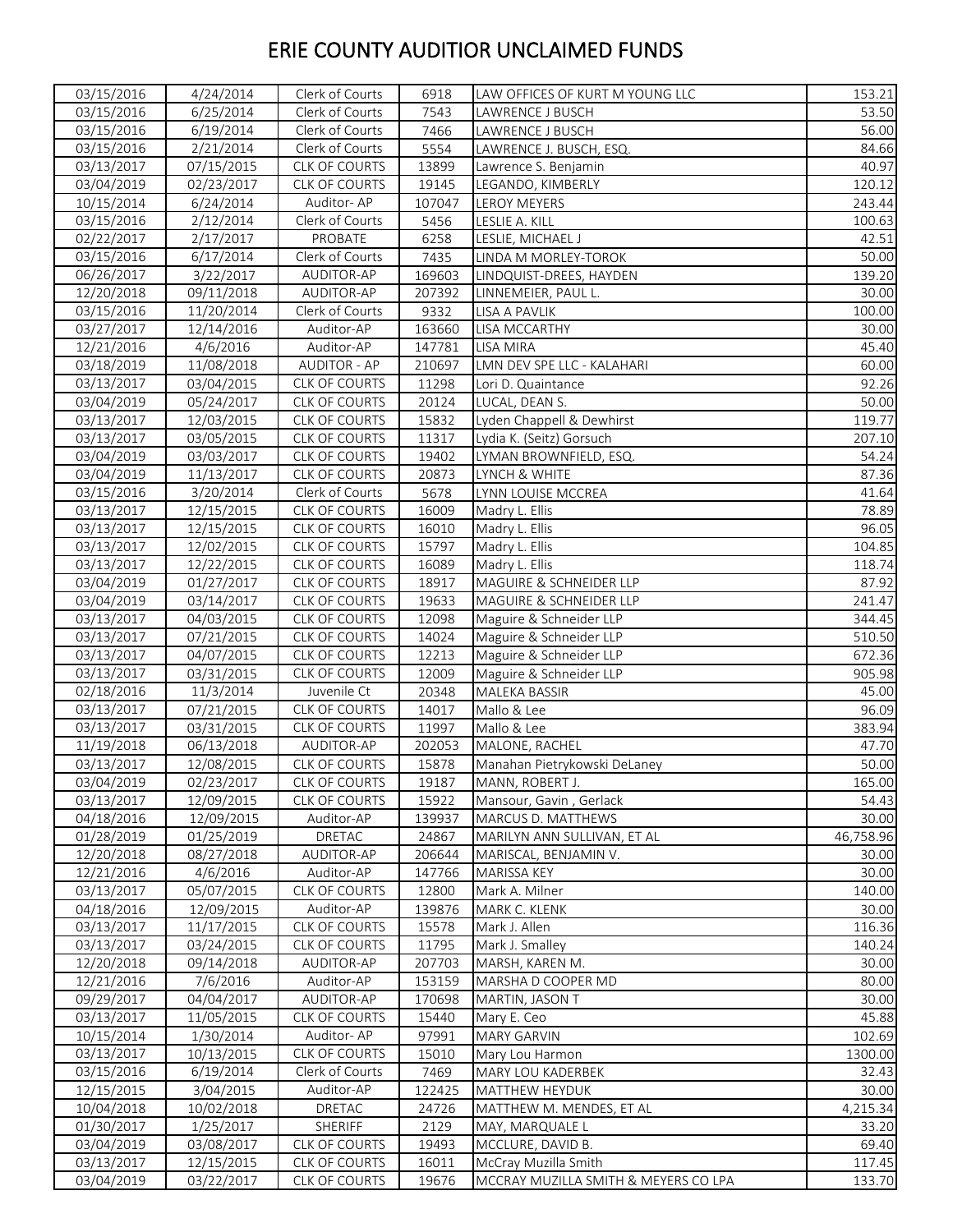| 03/15/2016 | 4/24/2014  | Clerk of Courts      | 6918   | LAW OFFICES OF KURT M YOUNG LLC             | 153.21          |
|------------|------------|----------------------|--------|---------------------------------------------|-----------------|
| 03/15/2016 | 6/25/2014  | Clerk of Courts      | 7543   | LAWRENCE J BUSCH                            | 53.50           |
| 03/15/2016 | 6/19/2014  | Clerk of Courts      | 7466   | LAWRENCE J BUSCH                            | 56.00           |
| 03/15/2016 | 2/21/2014  | Clerk of Courts      | 5554   | LAWRENCE J. BUSCH, ESQ.                     | 84.66           |
| 03/13/2017 | 07/15/2015 | CLK OF COURTS        | 13899  | Lawrence S. Benjamin                        | 40.97           |
| 03/04/2019 | 02/23/2017 | <b>CLK OF COURTS</b> | 19145  | LEGANDO, KIMBERLY                           | 120.12          |
| 10/15/2014 | 6/24/2014  | Auditor-AP           | 107047 | LEROY MEYERS                                | 243.44          |
| 03/15/2016 | 2/12/2014  | Clerk of Courts      | 5456   | LESLIE A. KILL                              | 100.63          |
| 02/22/2017 | 2/17/2017  | PROBATE              | 6258   | LESLIE, MICHAEL J                           | 42.51           |
| 03/15/2016 | 6/17/2014  | Clerk of Courts      | 7435   | LINDA M MORLEY-TOROK                        | 50.00           |
| 06/26/2017 | 3/22/2017  | AUDITOR-AP           | 169603 | LINDQUIST-DREES, HAYDEN                     | 139.20          |
| 12/20/2018 | 09/11/2018 | AUDITOR-AP           | 207392 | LINNEMEIER, PAUL L.                         | 30.00           |
| 03/15/2016 | 11/20/2014 | Clerk of Courts      | 9332   | LISA A PAVLIK                               | 100.00          |
| 03/27/2017 | 12/14/2016 | Auditor-AP           | 163660 | <b>LISA MCCARTHY</b>                        | 30.00           |
| 12/21/2016 | 4/6/2016   | Auditor-AP           | 147781 | LISA MIRA                                   | 45.40           |
| 03/18/2019 | 11/08/2018 | <b>AUDITOR - AP</b>  | 210697 | LMN DEV SPE LLC - KALAHARI                  | 60.00           |
| 03/13/2017 | 03/04/2015 | CLK OF COURTS        | 11298  | Lori D. Quaintance                          | 92.26           |
|            |            | <b>CLK OF COURTS</b> |        |                                             |                 |
| 03/04/2019 | 05/24/2017 | <b>CLK OF COURTS</b> | 20124  | LUCAL, DEAN S.<br>Lyden Chappell & Dewhirst | 50.00<br>119.77 |
| 03/13/2017 | 12/03/2015 |                      | 15832  |                                             |                 |
| 03/13/2017 | 03/05/2015 | CLK OF COURTS        | 11317  | Lydia K. (Seitz) Gorsuch                    | 207.10          |
| 03/04/2019 | 03/03/2017 | <b>CLK OF COURTS</b> | 19402  | LYMAN BROWNFIELD, ESQ.                      | 54.24           |
| 03/04/2019 | 11/13/2017 | CLK OF COURTS        | 20873  | LYNCH & WHITE                               | 87.36           |
| 03/15/2016 | 3/20/2014  | Clerk of Courts      | 5678   | LYNN LOUISE MCCREA                          | 41.64           |
| 03/13/2017 | 12/15/2015 | CLK OF COURTS        | 16009  | Madry L. Ellis                              | 78.89           |
| 03/13/2017 | 12/15/2015 | CLK OF COURTS        | 16010  | Madry L. Ellis                              | 96.05           |
| 03/13/2017 | 12/02/2015 | CLK OF COURTS        | 15797  | Madry L. Ellis                              | 104.85          |
| 03/13/2017 | 12/22/2015 | CLK OF COURTS        | 16089  | Madry L. Ellis                              | 118.74          |
| 03/04/2019 | 01/27/2017 | <b>CLK OF COURTS</b> | 18917  | MAGUIRE & SCHNEIDER LLP                     | 87.92           |
| 03/04/2019 | 03/14/2017 | <b>CLK OF COURTS</b> | 19633  | MAGUIRE & SCHNEIDER LLP                     | 241.47          |
| 03/13/2017 | 04/03/2015 | <b>CLK OF COURTS</b> | 12098  | Maguire & Schneider LLP                     | 344.45          |
| 03/13/2017 | 07/21/2015 | <b>CLK OF COURTS</b> | 14024  | Maguire & Schneider LLP                     | 510.50          |
| 03/13/2017 | 04/07/2015 | CLK OF COURTS        | 12213  | Maguire & Schneider LLP                     | 672.36          |
| 03/13/2017 | 03/31/2015 | CLK OF COURTS        | 12009  | Maguire & Schneider LLP                     | 905.98          |
| 02/18/2016 | 11/3/2014  | Juvenile Ct          | 20348  | MALEKA BASSIR                               | 45.00           |
| 03/13/2017 | 07/21/2015 | CLK OF COURTS        | 14017  | Mallo & Lee                                 | 96.09           |
| 03/13/2017 | 03/31/2015 | CLK OF COURTS        | 11997  | Mallo & Lee                                 | 383.94          |
| 11/19/2018 | 06/13/2018 | AUDITOR-AP           | 202053 | MALONE, RACHEL                              | 47.70           |
| 03/13/2017 | 12/08/2015 | CLK OF COURTS        | 15878  | Manahan Pietrykowski DeLaney                | 50.00           |
| 03/04/2019 | 02/23/2017 | CLK OF COURTS        | 19187  | MANN, ROBERT J.                             | 165.00          |
| 03/13/2017 | 12/09/2015 | <b>CLK OF COURTS</b> | 15922  | Mansour, Gavin, Gerlack                     | 54.43           |
| 04/18/2016 | 12/09/2015 | Auditor-AP           | 139937 | MARCUS D. MATTHEWS                          | 30.00           |
| 01/28/2019 | 01/25/2019 | DRETAC               | 24867  | MARILYN ANN SULLIVAN, ET AL                 | 46,758.96       |
| 12/20/2018 | 08/27/2018 | AUDITOR-AP           | 206644 | MARISCAL, BENJAMIN V.                       | 30.00           |
| 12/21/2016 | 4/6/2016   | Auditor-AP           | 147766 | MARISSA KEY                                 | 30.00           |
| 03/13/2017 | 05/07/2015 | CLK OF COURTS        | 12800  | Mark A. Milner                              | 140.00          |
| 04/18/2016 | 12/09/2015 | Auditor-AP           | 139876 | MARK C. KLENK                               | 30.00           |
| 03/13/2017 | 11/17/2015 | <b>CLK OF COURTS</b> | 15578  | Mark J. Allen                               | 116.36          |
| 03/13/2017 | 03/24/2015 | <b>CLK OF COURTS</b> | 11795  | Mark J. Smalley                             | 140.24          |
| 12/20/2018 | 09/14/2018 | AUDITOR-AP           | 207703 | MARSH, KAREN M.                             | 30.00           |
| 12/21/2016 | 7/6/2016   | Auditor-AP           | 153159 | MARSHA D COOPER MD                          | 80.00           |
| 09/29/2017 | 04/04/2017 | AUDITOR-AP           | 170698 | MARTIN, JASON T                             | 30.00           |
| 03/13/2017 | 11/05/2015 | <b>CLK OF COURTS</b> | 15440  | Mary E. Ceo                                 | 45.88           |
| 10/15/2014 | 1/30/2014  | Auditor-AP           | 97991  | <b>MARY GARVIN</b>                          | 102.69          |
| 03/13/2017 | 10/13/2015 | CLK OF COURTS        | 15010  | Mary Lou Harmon                             | 1300.00         |
| 03/15/2016 | 6/19/2014  | Clerk of Courts      | 7469   | MARY LOU KADERBEK                           | 32.43           |
| 12/15/2015 | 3/04/2015  | Auditor-AP           | 122425 | MATTHEW HEYDUK                              | 30.00           |
| 10/04/2018 | 10/02/2018 | DRETAC               | 24726  | MATTHEW M. MENDES, ET AL                    | 4,215.34        |
| 01/30/2017 | 1/25/2017  | SHERIFF              | 2129   | MAY, MARQUALE L                             | 33.20           |
| 03/04/2019 | 03/08/2017 | <b>CLK OF COURTS</b> | 19493  | MCCLURE, DAVID B.                           | 69.40           |
| 03/13/2017 | 12/15/2015 | CLK OF COURTS        | 16011  | McCray Muzilla Smith                        | 117.45          |
| 03/04/2019 |            | CLK OF COURTS        | 19676  | MCCRAY MUZILLA SMITH & MEYERS CO LPA        | 133.70          |
|            | 03/22/2017 |                      |        |                                             |                 |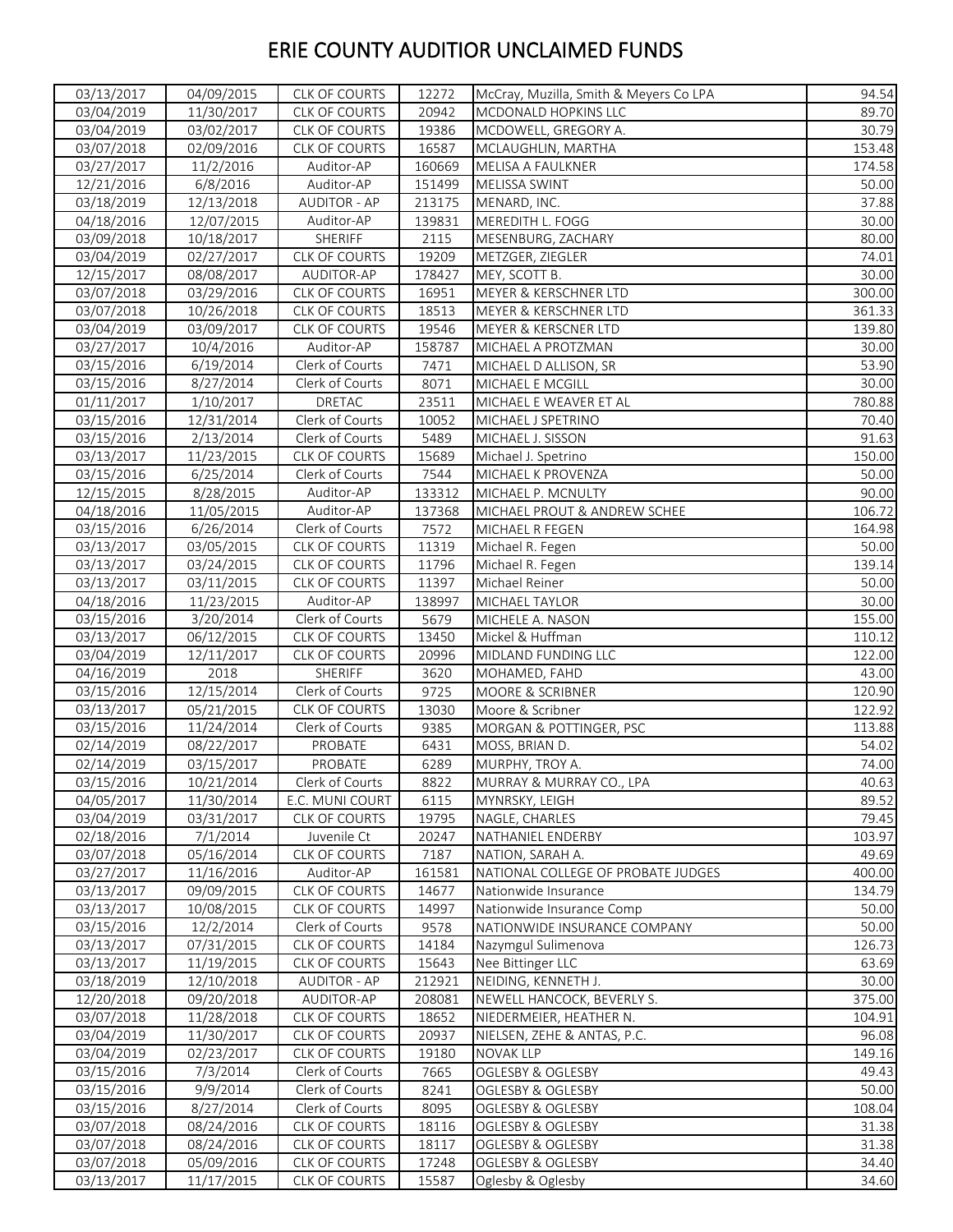| 03/13/2017 | 04/09/2015 | CLK OF COURTS        | 12272  | McCray, Muzilla, Smith & Meyers Co LPA | 94.54  |
|------------|------------|----------------------|--------|----------------------------------------|--------|
| 03/04/2019 | 11/30/2017 | <b>CLK OF COURTS</b> | 20942  | MCDONALD HOPKINS LLC                   | 89.70  |
| 03/04/2019 | 03/02/2017 | <b>CLK OF COURTS</b> | 19386  | MCDOWELL, GREGORY A.                   | 30.79  |
| 03/07/2018 | 02/09/2016 | CLK OF COURTS        | 16587  | MCLAUGHLIN, MARTHA                     | 153.48 |
| 03/27/2017 | 11/2/2016  | Auditor-AP           | 160669 | MELISA A FAULKNER                      | 174.58 |
| 12/21/2016 | 6/8/2016   | Auditor-AP           | 151499 | MELISSA SWINT                          | 50.00  |
| 03/18/2019 | 12/13/2018 | <b>AUDITOR - AP</b>  | 213175 | MENARD, INC.                           | 37.88  |
| 04/18/2016 | 12/07/2015 | Auditor-AP           | 139831 | MEREDITH L. FOGG                       | 30.00  |
| 03/09/2018 | 10/18/2017 | SHERIFF              | 2115   | MESENBURG, ZACHARY                     | 80.00  |
| 03/04/2019 | 02/27/2017 | CLK OF COURTS        | 19209  | METZGER, ZIEGLER                       | 74.01  |
| 12/15/2017 | 08/08/2017 | AUDITOR-AP           | 178427 | MEY, SCOTT B.                          | 30.00  |
| 03/07/2018 | 03/29/2016 | <b>CLK OF COURTS</b> | 16951  | MEYER & KERSCHNER LTD                  | 300.00 |
| 03/07/2018 | 10/26/2018 | CLK OF COURTS        | 18513  | MEYER & KERSCHNER LTD                  | 361.33 |
| 03/04/2019 | 03/09/2017 | <b>CLK OF COURTS</b> | 19546  | MEYER & KERSCNER LTD                   | 139.80 |
| 03/27/2017 | 10/4/2016  | Auditor-AP           | 158787 | MICHAEL A PROTZMAN                     | 30.00  |
| 03/15/2016 | 6/19/2014  | Clerk of Courts      | 7471   | MICHAEL D ALLISON, SR                  | 53.90  |
| 03/15/2016 | 8/27/2014  | Clerk of Courts      | 8071   | MICHAEL E MCGILL                       | 30.00  |
| 01/11/2017 | 1/10/2017  | DRETAC               | 23511  | MICHAEL E WEAVER ET AL                 | 780.88 |
| 03/15/2016 | 12/31/2014 | Clerk of Courts      | 10052  | MICHAEL J SPETRINO                     | 70.40  |
| 03/15/2016 | 2/13/2014  | Clerk of Courts      | 5489   | MICHAEL J. SISSON                      | 91.63  |
| 03/13/2017 | 11/23/2015 | CLK OF COURTS        | 15689  | Michael J. Spetrino                    | 150.00 |
| 03/15/2016 | 6/25/2014  | Clerk of Courts      | 7544   | MICHAEL K PROVENZA                     | 50.00  |
| 12/15/2015 | 8/28/2015  | Auditor-AP           | 133312 | MICHAEL P. MCNULTY                     | 90.00  |
| 04/18/2016 | 11/05/2015 | Auditor-AP           | 137368 | MICHAEL PROUT & ANDREW SCHEE           | 106.72 |
| 03/15/2016 | 6/26/2014  | Clerk of Courts      | 7572   | MICHAEL R FEGEN                        | 164.98 |
| 03/13/2017 | 03/05/2015 | CLK OF COURTS        | 11319  | Michael R. Fegen                       | 50.00  |
| 03/13/2017 | 03/24/2015 | CLK OF COURTS        | 11796  | Michael R. Fegen                       | 139.14 |
| 03/13/2017 | 03/11/2015 | <b>CLK OF COURTS</b> | 11397  | Michael Reiner                         | 50.00  |
| 04/18/2016 | 11/23/2015 | Auditor-AP           | 138997 | MICHAEL TAYLOR                         | 30.00  |
| 03/15/2016 | 3/20/2014  | Clerk of Courts      | 5679   | MICHELE A. NASON                       | 155.00 |
| 03/13/2017 | 06/12/2015 | CLK OF COURTS        | 13450  | Mickel & Huffman                       | 110.12 |
| 03/04/2019 | 12/11/2017 | <b>CLK OF COURTS</b> | 20996  | MIDLAND FUNDING LLC                    | 122.00 |
| 04/16/2019 | 2018       | SHERIFF              | 3620   | MOHAMED, FAHD                          | 43.00  |
| 03/15/2016 | 12/15/2014 | Clerk of Courts      | 9725   | MOORE & SCRIBNER                       | 120.90 |
| 03/13/2017 | 05/21/2015 | CLK OF COURTS        | 13030  | Moore & Scribner                       | 122.92 |
| 03/15/2016 | 11/24/2014 | Clerk of Courts      | 9385   | MORGAN & POTTINGER, PSC                | 113.88 |
| 02/14/2019 | 08/22/2017 | PROBATE              | 6431   | MOSS, BRIAN D.                         | 54.02  |
| 02/14/2019 | 03/15/2017 | PROBATE              | 6289   | MURPHY, TROY A.                        | 74.00  |
| 03/15/2016 | 10/21/2014 | Clerk of Courts      | 8822   | MURRAY & MURRAY CO., LPA               | 40.63  |
| 04/05/2017 | 11/30/2014 | E.C. MUNI COURT      | 6115   | MYNRSKY, LEIGH                         | 89.52  |
| 03/04/2019 | 03/31/2017 | <b>CLK OF COURTS</b> | 19795  | NAGLE, CHARLES                         | 79.45  |
| 02/18/2016 | 7/1/2014   | Juvenile Ct          | 20247  | NATHANIEL ENDERBY                      | 103.97 |
| 03/07/2018 | 05/16/2014 | <b>CLK OF COURTS</b> | 7187   | NATION, SARAH A.                       | 49.69  |
| 03/27/2017 | 11/16/2016 | Auditor-AP           | 161581 | NATIONAL COLLEGE OF PROBATE JUDGES     | 400.00 |
| 03/13/2017 | 09/09/2015 | CLK OF COURTS        | 14677  | Nationwide Insurance                   | 134.79 |
| 03/13/2017 | 10/08/2015 | <b>CLK OF COURTS</b> | 14997  | Nationwide Insurance Comp              | 50.00  |
| 03/15/2016 | 12/2/2014  | Clerk of Courts      | 9578   | NATIONWIDE INSURANCE COMPANY           | 50.00  |
| 03/13/2017 | 07/31/2015 | <b>CLK OF COURTS</b> | 14184  | Nazymgul Sulimenova                    | 126.73 |
| 03/13/2017 | 11/19/2015 | <b>CLK OF COURTS</b> | 15643  | Nee Bittinger LLC                      | 63.69  |
| 03/18/2019 | 12/10/2018 | <b>AUDITOR - AP</b>  | 212921 | NEIDING, KENNETH J.                    | 30.00  |
| 12/20/2018 | 09/20/2018 | AUDITOR-AP           | 208081 | NEWELL HANCOCK, BEVERLY S.             | 375.00 |
| 03/07/2018 | 11/28/2018 | CLK OF COURTS        | 18652  | NIEDERMEIER, HEATHER N.                | 104.91 |
| 03/04/2019 | 11/30/2017 | <b>CLK OF COURTS</b> | 20937  | NIELSEN, ZEHE & ANTAS, P.C.            | 96.08  |
| 03/04/2019 | 02/23/2017 | CLK OF COURTS        | 19180  | <b>NOVAK LLP</b>                       | 149.16 |
| 03/15/2016 | 7/3/2014   | Clerk of Courts      | 7665   | OGLESBY & OGLESBY                      | 49.43  |
| 03/15/2016 | 9/9/2014   | Clerk of Courts      | 8241   | OGLESBY & OGLESBY                      | 50.00  |
| 03/15/2016 | 8/27/2014  | Clerk of Courts      | 8095   | OGLESBY & OGLESBY                      | 108.04 |
| 03/07/2018 | 08/24/2016 | CLK OF COURTS        | 18116  | <b>OGLESBY &amp; OGLESBY</b>           | 31.38  |
| 03/07/2018 | 08/24/2016 | <b>CLK OF COURTS</b> | 18117  | OGLESBY & OGLESBY                      | 31.38  |
| 03/07/2018 | 05/09/2016 | CLK OF COURTS        | 17248  | OGLESBY & OGLESBY                      | 34.40  |
| 03/13/2017 | 11/17/2015 | <b>CLK OF COURTS</b> | 15587  | Oglesby & Oglesby                      | 34.60  |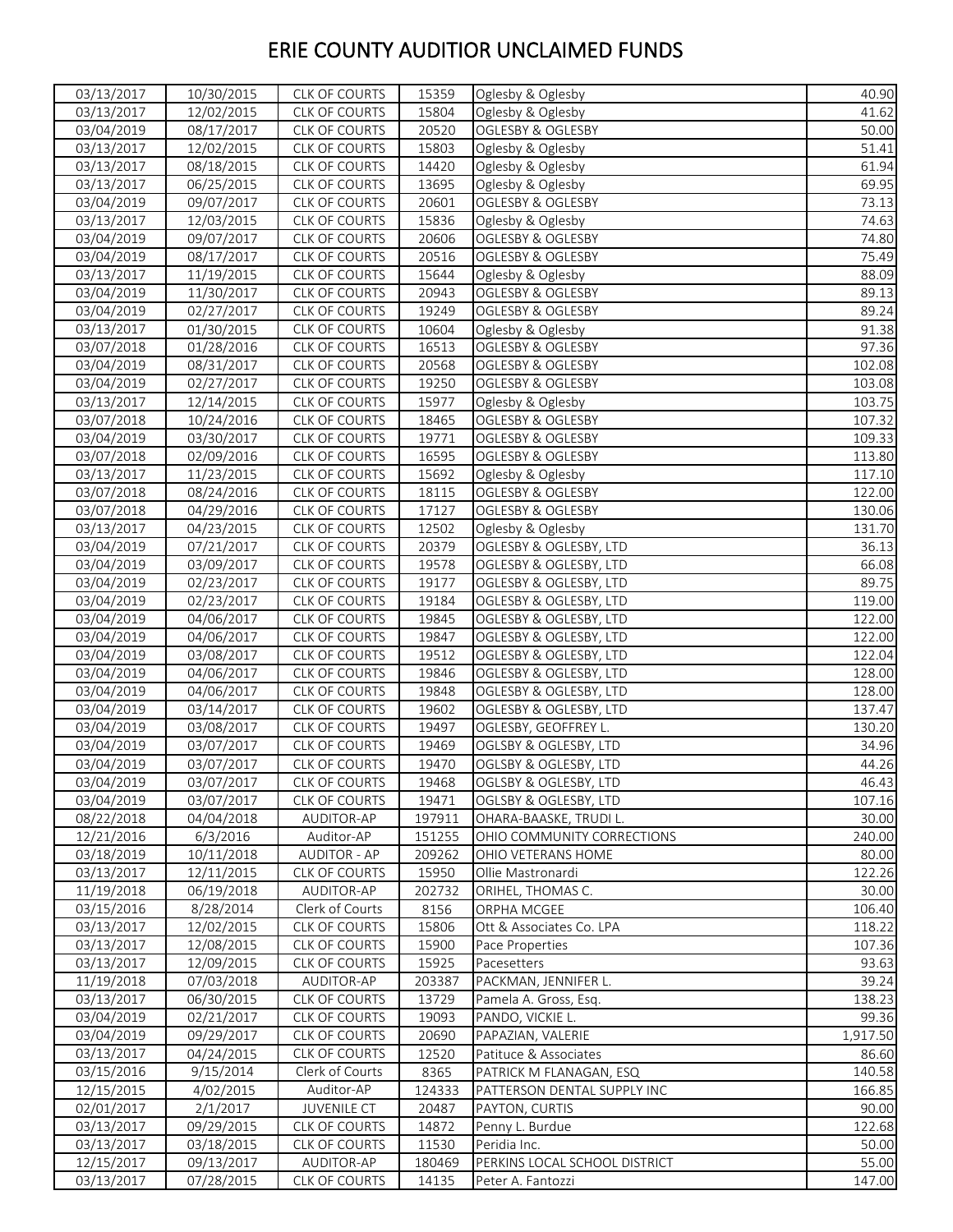| 03/13/2017 | 10/30/2015 | CLK OF COURTS        | 15359  | Oglesby & Oglesby             | 40.90    |
|------------|------------|----------------------|--------|-------------------------------|----------|
| 03/13/2017 | 12/02/2015 | CLK OF COURTS        | 15804  | Oglesby & Oglesby             | 41.62    |
| 03/04/2019 | 08/17/2017 | CLK OF COURTS        | 20520  | OGLESBY & OGLESBY             | 50.00    |
| 03/13/2017 | 12/02/2015 | CLK OF COURTS        | 15803  | Oglesby & Oglesby             | 51.41    |
| 03/13/2017 | 08/18/2015 | CLK OF COURTS        | 14420  | Oglesby & Oglesby             | 61.94    |
| 03/13/2017 | 06/25/2015 | CLK OF COURTS        | 13695  | Oglesby & Oglesby             | 69.95    |
| 03/04/2019 | 09/07/2017 | CLK OF COURTS        | 20601  | OGLESBY & OGLESBY             | 73.13    |
| 03/13/2017 | 12/03/2015 | CLK OF COURTS        | 15836  | Oglesby & Oglesby             | 74.63    |
| 03/04/2019 | 09/07/2017 | CLK OF COURTS        | 20606  | <b>OGLESBY &amp; OGLESBY</b>  | 74.80    |
| 03/04/2019 | 08/17/2017 | CLK OF COURTS        | 20516  | OGLESBY & OGLESBY             | 75.49    |
| 03/13/2017 | 11/19/2015 | <b>CLK OF COURTS</b> | 15644  | Oglesby & Oglesby             | 88.09    |
| 03/04/2019 | 11/30/2017 | CLK OF COURTS        | 20943  | OGLESBY & OGLESBY             | 89.13    |
| 03/04/2019 | 02/27/2017 | CLK OF COURTS        | 19249  | OGLESBY & OGLESBY             | 89.24    |
| 03/13/2017 | 01/30/2015 | CLK OF COURTS        | 10604  | Oglesby & Oglesby             | 91.38    |
| 03/07/2018 | 01/28/2016 | CLK OF COURTS        | 16513  | OGLESBY & OGLESBY             | 97.36    |
| 03/04/2019 | 08/31/2017 | <b>CLK OF COURTS</b> | 20568  | OGLESBY & OGLESBY             | 102.08   |
| 03/04/2019 | 02/27/2017 | <b>CLK OF COURTS</b> | 19250  | OGLESBY & OGLESBY             | 103.08   |
| 03/13/2017 | 12/14/2015 | CLK OF COURTS        | 15977  | Oglesby & Oglesby             | 103.75   |
| 03/07/2018 | 10/24/2016 | CLK OF COURTS        | 18465  | <b>OGLESBY &amp; OGLESBY</b>  | 107.32   |
| 03/04/2019 | 03/30/2017 | CLK OF COURTS        | 19771  | OGLESBY & OGLESBY             | 109.33   |
| 03/07/2018 | 02/09/2016 | CLK OF COURTS        | 16595  | <b>OGLESBY &amp; OGLESBY</b>  | 113.80   |
| 03/13/2017 | 11/23/2015 | CLK OF COURTS        | 15692  | Oglesby & Oglesby             | 117.10   |
| 03/07/2018 | 08/24/2016 | <b>CLK OF COURTS</b> | 18115  | OGLESBY & OGLESBY             | 122.00   |
| 03/07/2018 | 04/29/2016 | CLK OF COURTS        | 17127  | OGLESBY & OGLESBY             | 130.06   |
| 03/13/2017 | 04/23/2015 | <b>CLK OF COURTS</b> | 12502  | Oglesby & Oglesby             | 131.70   |
| 03/04/2019 | 07/21/2017 | CLK OF COURTS        | 20379  | OGLESBY & OGLESBY, LTD        | 36.13    |
| 03/04/2019 | 03/09/2017 | CLK OF COURTS        | 19578  | OGLESBY & OGLESBY, LTD        | 66.08    |
| 03/04/2019 | 02/23/2017 | CLK OF COURTS        | 19177  | OGLESBY & OGLESBY, LTD        | 89.75    |
| 03/04/2019 | 02/23/2017 | <b>CLK OF COURTS</b> | 19184  | OGLESBY & OGLESBY, LTD        | 119.00   |
| 03/04/2019 | 04/06/2017 | CLK OF COURTS        | 19845  | OGLESBY & OGLESBY, LTD        | 122.00   |
| 03/04/2019 | 04/06/2017 | CLK OF COURTS        | 19847  | OGLESBY & OGLESBY, LTD        | 122.00   |
| 03/04/2019 | 03/08/2017 | CLK OF COURTS        | 19512  | OGLESBY & OGLESBY, LTD        | 122.04   |
| 03/04/2019 | 04/06/2017 | <b>CLK OF COURTS</b> | 19846  | OGLESBY & OGLESBY, LTD        | 128.00   |
| 03/04/2019 | 04/06/2017 | <b>CLK OF COURTS</b> | 19848  | OGLESBY & OGLESBY, LTD        | 128.00   |
| 03/04/2019 | 03/14/2017 | <b>CLK OF COURTS</b> | 19602  | OGLESBY & OGLESBY, LTD        | 137.47   |
| 03/04/2019 | 03/08/2017 | <b>CLK OF COURTS</b> | 19497  | OGLESBY, GEOFFREY L.          | 130.20   |
| 03/04/2019 | 03/07/2017 | CLK OF COURTS        | 19469  | OGLSBY & OGLESBY, LTD         | 34.96    |
| 03/04/2019 | 03/07/2017 | <b>CLK OF COURTS</b> | 19470  | OGLSBY & OGLESBY, LTD         | 44.26    |
| 03/04/2019 | 03/07/2017 | CLK OF COURTS        | 19468  | OGLSBY & OGLESBY, LTD         | 46.43    |
| 03/04/2019 | 03/07/2017 | <b>CLK OF COURTS</b> | 19471  | OGLSBY & OGLESBY, LTD         | 107.16   |
| 08/22/2018 | 04/04/2018 | AUDITOR-AP           | 197911 | OHARA-BAASKE, TRUDI L.        | 30.00    |
| 12/21/2016 | 6/3/2016   | Auditor-AP           | 151255 | OHIO COMMUNITY CORRECTIONS    | 240.00   |
| 03/18/2019 | 10/11/2018 | <b>AUDITOR - AP</b>  | 209262 | OHIO VETERANS HOME            | 80.00    |
| 03/13/2017 | 12/11/2015 | CLK OF COURTS        | 15950  | Ollie Mastronardi             | 122.26   |
| 11/19/2018 | 06/19/2018 | AUDITOR-AP           | 202732 | ORIHEL, THOMAS C.             | 30.00    |
| 03/15/2016 | 8/28/2014  | Clerk of Courts      | 8156   | ORPHA MCGEE                   | 106.40   |
| 03/13/2017 | 12/02/2015 | CLK OF COURTS        | 15806  | Ott & Associates Co. LPA      | 118.22   |
| 03/13/2017 | 12/08/2015 | CLK OF COURTS        | 15900  | Pace Properties               | 107.36   |
| 03/13/2017 | 12/09/2015 | <b>CLK OF COURTS</b> | 15925  | Pacesetters                   | 93.63    |
| 11/19/2018 | 07/03/2018 | AUDITOR-AP           | 203387 | PACKMAN, JENNIFER L.          | 39.24    |
| 03/13/2017 | 06/30/2015 | <b>CLK OF COURTS</b> | 13729  | Pamela A. Gross, Esq.         | 138.23   |
| 03/04/2019 | 02/21/2017 | CLK OF COURTS        | 19093  | PANDO, VICKIE L.              | 99.36    |
| 03/04/2019 | 09/29/2017 | <b>CLK OF COURTS</b> | 20690  | PAPAZIAN, VALERIE             | 1,917.50 |
| 03/13/2017 | 04/24/2015 | <b>CLK OF COURTS</b> | 12520  | Patituce & Associates         | 86.60    |
| 03/15/2016 | 9/15/2014  | Clerk of Courts      | 8365   | PATRICK M FLANAGAN, ESQ       | 140.58   |
| 12/15/2015 | 4/02/2015  | Auditor-AP           | 124333 | PATTERSON DENTAL SUPPLY INC   | 166.85   |
| 02/01/2017 | 2/1/2017   | <b>JUVENILE CT</b>   | 20487  | PAYTON, CURTIS                | 90.00    |
| 03/13/2017 | 09/29/2015 | <b>CLK OF COURTS</b> | 14872  | Penny L. Burdue               | 122.68   |
| 03/13/2017 | 03/18/2015 | <b>CLK OF COURTS</b> | 11530  | Peridia Inc.                  | 50.00    |
| 12/15/2017 | 09/13/2017 | AUDITOR-AP           | 180469 | PERKINS LOCAL SCHOOL DISTRICT | 55.00    |
| 03/13/2017 | 07/28/2015 | CLK OF COURTS        | 14135  | Peter A. Fantozzi             | 147.00   |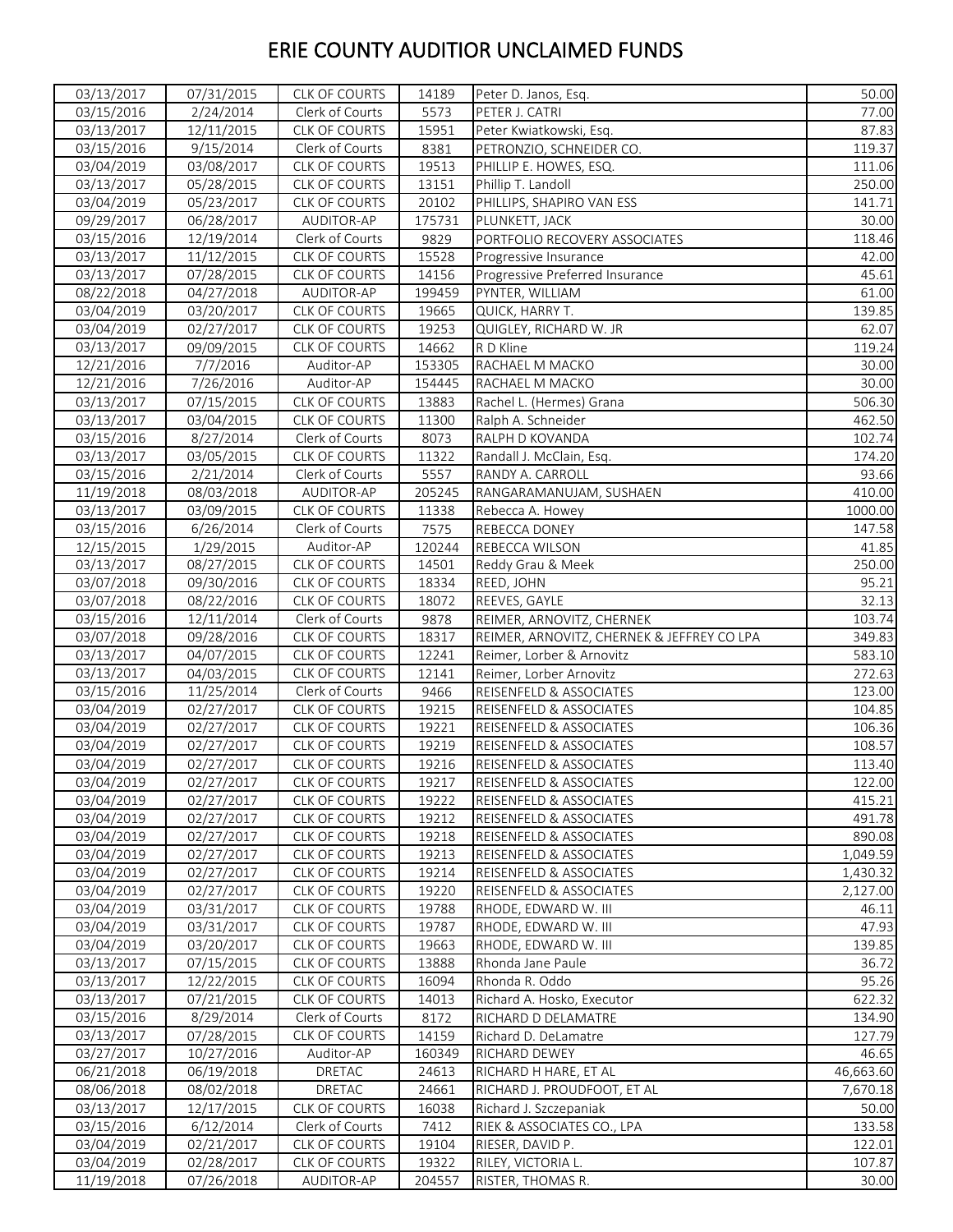| 03/15/2016<br>2/24/2014<br>Clerk of Courts<br>77.00<br>5573<br>PETER J. CATRI<br>03/13/2017<br>CLK OF COURTS<br>15951<br>12/11/2015<br>Peter Kwiatkowski, Esq.<br>9/15/2014<br>03/15/2016<br>Clerk of Courts<br>8381<br>PETRONZIO, SCHNEIDER CO.<br>19513<br>03/04/2019<br>03/08/2017<br>CLK OF COURTS<br>PHILLIP E. HOWES, ESQ.<br>03/13/2017<br><b>CLK OF COURTS</b><br>05/28/2015<br>Phillip T. Landoll<br>13151<br>03/04/2019<br>05/23/2017<br>CLK OF COURTS<br>20102<br>PHILLIPS, SHAPIRO VAN ESS<br>09/29/2017<br>AUDITOR-AP<br>175731<br>06/28/2017<br>PLUNKETT, JACK<br>03/15/2016<br>12/19/2014<br>Clerk of Courts<br>9829<br>PORTFOLIO RECOVERY ASSOCIATES<br>03/13/2017<br>15528<br>11/12/2015<br>CLK OF COURTS<br>Progressive Insurance<br>14156<br>03/13/2017<br>07/28/2015<br>CLK OF COURTS<br>Progressive Preferred Insurance<br>08/22/2018<br>04/27/2018<br>AUDITOR-AP<br>199459<br>PYNTER, WILLIAM<br>03/04/2019<br>03/20/2017<br>CLK OF COURTS<br>19665<br>QUICK, HARRY T.<br>03/04/2019<br>02/27/2017<br><b>CLK OF COURTS</b><br>19253<br>QUIGLEY, RICHARD W. JR<br>03/13/2017<br>09/09/2015<br>CLK OF COURTS<br>14662<br>R D Kline<br>12/21/2016<br>7/7/2016<br>Auditor-AP<br>153305<br>RACHAEL M MACKO<br>7/26/2016<br>12/21/2016<br>Auditor-AP<br>154445<br>RACHAEL M MACKO<br>03/13/2017<br>07/15/2015<br>CLK OF COURTS<br>13883<br>Rachel L. (Hermes) Grana<br>03/13/2017<br>03/04/2015<br>CLK OF COURTS<br>11300<br>Ralph A. Schneider<br>Clerk of Courts<br>03/15/2016<br>8/27/2014<br>8073<br>RALPH D KOVANDA<br>03/13/2017<br>CLK OF COURTS<br>03/05/2015<br>11322<br>Randall J. McClain, Esq.<br>03/15/2016<br>2/21/2014<br>Clerk of Courts<br>5557<br>RANDY A. CARROLL<br>11/19/2018<br>205245<br>08/03/2018<br>AUDITOR-AP<br>RANGARAMANUJAM, SUSHAEN<br>03/13/2017<br>CLK OF COURTS<br>03/09/2015<br>11338<br>Rebecca A. Howey<br>03/15/2016<br>6/26/2014<br>Clerk of Courts<br>7575<br>REBECCA DONEY<br>Auditor-AP<br>120244<br>12/15/2015<br>1/29/2015<br>REBECCA WILSON<br>03/13/2017<br>08/27/2015<br>CLK OF COURTS<br>14501<br>Reddy Grau & Meek<br>18334<br>03/07/2018<br>09/30/2016<br>CLK OF COURTS<br>REED, JOHN<br>REEVES, GAYLE<br>03/07/2018<br>08/22/2016<br><b>CLK OF COURTS</b><br>18072<br>Clerk of Courts<br>03/15/2016<br>12/11/2014<br>9878<br>REIMER, ARNOVITZ, CHERNEK<br>03/07/2018<br>09/28/2016<br>18317<br>REIMER, ARNOVITZ, CHERNEK & JEFFREY CO LPA<br><b>CLK OF COURTS</b><br>03/13/2017<br>04/07/2015<br>CLK OF COURTS<br>12241<br>Reimer, Lorber & Arnovitz<br>03/13/2017<br>04/03/2015<br>CLK OF COURTS<br>12141<br>Reimer, Lorber Arnovitz<br>03/15/2016<br>11/25/2014<br>Clerk of Courts<br>9466<br>REISENFELD & ASSOCIATES<br>03/04/2019<br>02/27/2017<br>19215<br>CLK OF COURTS<br>REISENFELD & ASSOCIATES<br>19221<br>03/04/2019<br>02/27/2017<br>CLK OF COURTS<br>REISENFELD & ASSOCIATES<br>19219<br>03/04/2019<br>02/27/2017<br><b>CLK OF COURTS</b><br><b>REISENFELD &amp; ASSOCIATES</b><br>03/04/2019<br>02/27/2017<br><b>CLK OF COURTS</b><br>19216<br>REISENFELD & ASSOCIATES<br>19217<br>03/04/2019<br>02/27/2017<br>CLK OF COURTS<br>REISENFELD & ASSOCIATES<br>03/04/2019<br>02/27/2017<br><b>CLK OF COURTS</b><br>19222<br>REISENFELD & ASSOCIATES<br>03/04/2019<br>CLK OF COURTS<br>19212<br>REISENFELD & ASSOCIATES<br>02/27/2017<br>03/04/2019<br>02/27/2017<br>CLK OF COURTS<br>19218<br>REISENFELD & ASSOCIATES<br>02/27/2017<br>CLK OF COURTS<br>19213<br>REISENFELD & ASSOCIATES<br>03/04/2019<br>03/04/2019<br>02/27/2017<br>19214<br>REISENFELD & ASSOCIATES<br>CLK OF COURTS<br>02/27/2017<br>CLK OF COURTS<br>19220<br>REISENFELD & ASSOCIATES<br>03/04/2019<br>03/04/2019<br>CLK OF COURTS<br>19788<br>RHODE, EDWARD W. III<br>03/31/2017<br>RHODE, EDWARD W. III<br>03/04/2019<br>03/31/2017<br><b>CLK OF COURTS</b><br>19787<br>19663<br>03/04/2019<br>03/20/2017<br><b>CLK OF COURTS</b><br>RHODE, EDWARD W. III<br>03/13/2017<br>CLK OF COURTS<br>07/15/2015<br>13888<br>Rhonda Jane Paule<br>03/13/2017<br>12/22/2015<br>CLK OF COURTS<br>16094<br>Rhonda R. Oddo<br>03/13/2017<br>07/21/2015<br><b>CLK OF COURTS</b><br>14013<br>Richard A. Hosko, Executor<br>03/15/2016<br>Clerk of Courts<br>8/29/2014<br>8172<br>RICHARD D DELAMATRE<br>03/13/2017<br>14159<br>07/28/2015<br><b>CLK OF COURTS</b><br>Richard D. DeLamatre<br>10/27/2016<br>Auditor-AP<br>160349<br>RICHARD DEWEY<br>46.65<br>03/27/2017<br>06/19/2018<br>24613<br>06/21/2018<br>DRETAC<br>RICHARD H HARE, ET AL<br>08/02/2018<br>DRETAC<br>24661<br>08/06/2018<br>RICHARD J. PROUDFOOT, ET AL<br>03/13/2017<br>12/17/2015<br>16038<br><b>CLK OF COURTS</b><br>Richard J. Szczepaniak<br>03/15/2016<br>6/12/2014<br>Clerk of Courts<br>7412<br>RIEK & ASSOCIATES CO., LPA<br>03/04/2019<br>02/21/2017<br><b>CLK OF COURTS</b><br>19104<br>RIESER, DAVID P.<br>03/04/2019<br>02/28/2017<br>CLK OF COURTS<br>19322<br>RILEY, VICTORIA L.<br>204557<br>11/19/2018<br>07/26/2018<br>AUDITOR-AP<br>RISTER, THOMAS R. | 03/13/2017 | 07/31/2015 | <b>CLK OF COURTS</b> | 14189 | Peter D. Janos, Esq. | 50.00 |
|-------------------------------------------------------------------------------------------------------------------------------------------------------------------------------------------------------------------------------------------------------------------------------------------------------------------------------------------------------------------------------------------------------------------------------------------------------------------------------------------------------------------------------------------------------------------------------------------------------------------------------------------------------------------------------------------------------------------------------------------------------------------------------------------------------------------------------------------------------------------------------------------------------------------------------------------------------------------------------------------------------------------------------------------------------------------------------------------------------------------------------------------------------------------------------------------------------------------------------------------------------------------------------------------------------------------------------------------------------------------------------------------------------------------------------------------------------------------------------------------------------------------------------------------------------------------------------------------------------------------------------------------------------------------------------------------------------------------------------------------------------------------------------------------------------------------------------------------------------------------------------------------------------------------------------------------------------------------------------------------------------------------------------------------------------------------------------------------------------------------------------------------------------------------------------------------------------------------------------------------------------------------------------------------------------------------------------------------------------------------------------------------------------------------------------------------------------------------------------------------------------------------------------------------------------------------------------------------------------------------------------------------------------------------------------------------------------------------------------------------------------------------------------------------------------------------------------------------------------------------------------------------------------------------------------------------------------------------------------------------------------------------------------------------------------------------------------------------------------------------------------------------------------------------------------------------------------------------------------------------------------------------------------------------------------------------------------------------------------------------------------------------------------------------------------------------------------------------------------------------------------------------------------------------------------------------------------------------------------------------------------------------------------------------------------------------------------------------------------------------------------------------------------------------------------------------------------------------------------------------------------------------------------------------------------------------------------------------------------------------------------------------------------------------------------------------------------------------------------------------------------------------------------------------------------------------------------------------------------------------------------------------------------------------------------------------------------------------------------------------------------------------------------------------------------------------------------------------------------------------------------------------------------------------------------------------------------------------------------------------------------------------------------------------------------------------------------------------------------------------------------------------------------------------------------------------------------------------------------------------------------------------------------------------------------------------------------------------------------------|------------|------------|----------------------|-------|----------------------|-------|
|                                                                                                                                                                                                                                                                                                                                                                                                                                                                                                                                                                                                                                                                                                                                                                                                                                                                                                                                                                                                                                                                                                                                                                                                                                                                                                                                                                                                                                                                                                                                                                                                                                                                                                                                                                                                                                                                                                                                                                                                                                                                                                                                                                                                                                                                                                                                                                                                                                                                                                                                                                                                                                                                                                                                                                                                                                                                                                                                                                                                                                                                                                                                                                                                                                                                                                                                                                                                                                                                                                                                                                                                                                                                                                                                                                                                                                                                                                                                                                                                                                                                                                                                                                                                                                                                                                                                                                                                                                                                                                                                                                                                                                                                                                                                                                                                                                                                                                                                                                                     |            |            |                      |       |                      |       |
| 119.37<br>111.06<br>250.00<br>141.71<br>30.00<br>118.46<br>42.00<br>45.61<br>61.00<br>139.85<br>62.07<br>119.24<br>30.00<br>30.00<br>506.30<br>462.50<br>102.74<br>174.20<br>93.66<br>410.00<br>1000.00<br>147.58<br>41.85<br>250.00<br>95.21<br>32.13<br>103.74<br>349.83<br>583.10<br>272.63<br>123.00<br>104.85<br>106.36<br>108.57<br>113.40<br>122.00<br>415.21<br>491.78<br>890.08<br>1,049.59<br>1,430.32<br>2,127.00<br>46.11<br>47.93<br>139.85<br>36.72<br>95.26<br>622.32<br>134.90<br>127.79<br>46,663.60<br>7,670.18<br>50.00<br>133.58<br>122.01<br>107.87<br>30.00                                                                                                                                                                                                                                                                                                                                                                                                                                                                                                                                                                                                                                                                                                                                                                                                                                                                                                                                                                                                                                                                                                                                                                                                                                                                                                                                                                                                                                                                                                                                                                                                                                                                                                                                                                                                                                                                                                                                                                                                                                                                                                                                                                                                                                                                                                                                                                                                                                                                                                                                                                                                                                                                                                                                                                                                                                                                                                                                                                                                                                                                                                                                                                                                                                                                                                                                                                                                                                                                                                                                                                                                                                                                                                                                                                                                                                                                                                                                                                                                                                                                                                                                                                                                                                                                                                                                                                                                   |            |            |                      |       |                      | 87.83 |
|                                                                                                                                                                                                                                                                                                                                                                                                                                                                                                                                                                                                                                                                                                                                                                                                                                                                                                                                                                                                                                                                                                                                                                                                                                                                                                                                                                                                                                                                                                                                                                                                                                                                                                                                                                                                                                                                                                                                                                                                                                                                                                                                                                                                                                                                                                                                                                                                                                                                                                                                                                                                                                                                                                                                                                                                                                                                                                                                                                                                                                                                                                                                                                                                                                                                                                                                                                                                                                                                                                                                                                                                                                                                                                                                                                                                                                                                                                                                                                                                                                                                                                                                                                                                                                                                                                                                                                                                                                                                                                                                                                                                                                                                                                                                                                                                                                                                                                                                                                                     |            |            |                      |       |                      |       |
|                                                                                                                                                                                                                                                                                                                                                                                                                                                                                                                                                                                                                                                                                                                                                                                                                                                                                                                                                                                                                                                                                                                                                                                                                                                                                                                                                                                                                                                                                                                                                                                                                                                                                                                                                                                                                                                                                                                                                                                                                                                                                                                                                                                                                                                                                                                                                                                                                                                                                                                                                                                                                                                                                                                                                                                                                                                                                                                                                                                                                                                                                                                                                                                                                                                                                                                                                                                                                                                                                                                                                                                                                                                                                                                                                                                                                                                                                                                                                                                                                                                                                                                                                                                                                                                                                                                                                                                                                                                                                                                                                                                                                                                                                                                                                                                                                                                                                                                                                                                     |            |            |                      |       |                      |       |
|                                                                                                                                                                                                                                                                                                                                                                                                                                                                                                                                                                                                                                                                                                                                                                                                                                                                                                                                                                                                                                                                                                                                                                                                                                                                                                                                                                                                                                                                                                                                                                                                                                                                                                                                                                                                                                                                                                                                                                                                                                                                                                                                                                                                                                                                                                                                                                                                                                                                                                                                                                                                                                                                                                                                                                                                                                                                                                                                                                                                                                                                                                                                                                                                                                                                                                                                                                                                                                                                                                                                                                                                                                                                                                                                                                                                                                                                                                                                                                                                                                                                                                                                                                                                                                                                                                                                                                                                                                                                                                                                                                                                                                                                                                                                                                                                                                                                                                                                                                                     |            |            |                      |       |                      |       |
|                                                                                                                                                                                                                                                                                                                                                                                                                                                                                                                                                                                                                                                                                                                                                                                                                                                                                                                                                                                                                                                                                                                                                                                                                                                                                                                                                                                                                                                                                                                                                                                                                                                                                                                                                                                                                                                                                                                                                                                                                                                                                                                                                                                                                                                                                                                                                                                                                                                                                                                                                                                                                                                                                                                                                                                                                                                                                                                                                                                                                                                                                                                                                                                                                                                                                                                                                                                                                                                                                                                                                                                                                                                                                                                                                                                                                                                                                                                                                                                                                                                                                                                                                                                                                                                                                                                                                                                                                                                                                                                                                                                                                                                                                                                                                                                                                                                                                                                                                                                     |            |            |                      |       |                      |       |
|                                                                                                                                                                                                                                                                                                                                                                                                                                                                                                                                                                                                                                                                                                                                                                                                                                                                                                                                                                                                                                                                                                                                                                                                                                                                                                                                                                                                                                                                                                                                                                                                                                                                                                                                                                                                                                                                                                                                                                                                                                                                                                                                                                                                                                                                                                                                                                                                                                                                                                                                                                                                                                                                                                                                                                                                                                                                                                                                                                                                                                                                                                                                                                                                                                                                                                                                                                                                                                                                                                                                                                                                                                                                                                                                                                                                                                                                                                                                                                                                                                                                                                                                                                                                                                                                                                                                                                                                                                                                                                                                                                                                                                                                                                                                                                                                                                                                                                                                                                                     |            |            |                      |       |                      |       |
|                                                                                                                                                                                                                                                                                                                                                                                                                                                                                                                                                                                                                                                                                                                                                                                                                                                                                                                                                                                                                                                                                                                                                                                                                                                                                                                                                                                                                                                                                                                                                                                                                                                                                                                                                                                                                                                                                                                                                                                                                                                                                                                                                                                                                                                                                                                                                                                                                                                                                                                                                                                                                                                                                                                                                                                                                                                                                                                                                                                                                                                                                                                                                                                                                                                                                                                                                                                                                                                                                                                                                                                                                                                                                                                                                                                                                                                                                                                                                                                                                                                                                                                                                                                                                                                                                                                                                                                                                                                                                                                                                                                                                                                                                                                                                                                                                                                                                                                                                                                     |            |            |                      |       |                      |       |
|                                                                                                                                                                                                                                                                                                                                                                                                                                                                                                                                                                                                                                                                                                                                                                                                                                                                                                                                                                                                                                                                                                                                                                                                                                                                                                                                                                                                                                                                                                                                                                                                                                                                                                                                                                                                                                                                                                                                                                                                                                                                                                                                                                                                                                                                                                                                                                                                                                                                                                                                                                                                                                                                                                                                                                                                                                                                                                                                                                                                                                                                                                                                                                                                                                                                                                                                                                                                                                                                                                                                                                                                                                                                                                                                                                                                                                                                                                                                                                                                                                                                                                                                                                                                                                                                                                                                                                                                                                                                                                                                                                                                                                                                                                                                                                                                                                                                                                                                                                                     |            |            |                      |       |                      |       |
|                                                                                                                                                                                                                                                                                                                                                                                                                                                                                                                                                                                                                                                                                                                                                                                                                                                                                                                                                                                                                                                                                                                                                                                                                                                                                                                                                                                                                                                                                                                                                                                                                                                                                                                                                                                                                                                                                                                                                                                                                                                                                                                                                                                                                                                                                                                                                                                                                                                                                                                                                                                                                                                                                                                                                                                                                                                                                                                                                                                                                                                                                                                                                                                                                                                                                                                                                                                                                                                                                                                                                                                                                                                                                                                                                                                                                                                                                                                                                                                                                                                                                                                                                                                                                                                                                                                                                                                                                                                                                                                                                                                                                                                                                                                                                                                                                                                                                                                                                                                     |            |            |                      |       |                      |       |
|                                                                                                                                                                                                                                                                                                                                                                                                                                                                                                                                                                                                                                                                                                                                                                                                                                                                                                                                                                                                                                                                                                                                                                                                                                                                                                                                                                                                                                                                                                                                                                                                                                                                                                                                                                                                                                                                                                                                                                                                                                                                                                                                                                                                                                                                                                                                                                                                                                                                                                                                                                                                                                                                                                                                                                                                                                                                                                                                                                                                                                                                                                                                                                                                                                                                                                                                                                                                                                                                                                                                                                                                                                                                                                                                                                                                                                                                                                                                                                                                                                                                                                                                                                                                                                                                                                                                                                                                                                                                                                                                                                                                                                                                                                                                                                                                                                                                                                                                                                                     |            |            |                      |       |                      |       |
|                                                                                                                                                                                                                                                                                                                                                                                                                                                                                                                                                                                                                                                                                                                                                                                                                                                                                                                                                                                                                                                                                                                                                                                                                                                                                                                                                                                                                                                                                                                                                                                                                                                                                                                                                                                                                                                                                                                                                                                                                                                                                                                                                                                                                                                                                                                                                                                                                                                                                                                                                                                                                                                                                                                                                                                                                                                                                                                                                                                                                                                                                                                                                                                                                                                                                                                                                                                                                                                                                                                                                                                                                                                                                                                                                                                                                                                                                                                                                                                                                                                                                                                                                                                                                                                                                                                                                                                                                                                                                                                                                                                                                                                                                                                                                                                                                                                                                                                                                                                     |            |            |                      |       |                      |       |
|                                                                                                                                                                                                                                                                                                                                                                                                                                                                                                                                                                                                                                                                                                                                                                                                                                                                                                                                                                                                                                                                                                                                                                                                                                                                                                                                                                                                                                                                                                                                                                                                                                                                                                                                                                                                                                                                                                                                                                                                                                                                                                                                                                                                                                                                                                                                                                                                                                                                                                                                                                                                                                                                                                                                                                                                                                                                                                                                                                                                                                                                                                                                                                                                                                                                                                                                                                                                                                                                                                                                                                                                                                                                                                                                                                                                                                                                                                                                                                                                                                                                                                                                                                                                                                                                                                                                                                                                                                                                                                                                                                                                                                                                                                                                                                                                                                                                                                                                                                                     |            |            |                      |       |                      |       |
|                                                                                                                                                                                                                                                                                                                                                                                                                                                                                                                                                                                                                                                                                                                                                                                                                                                                                                                                                                                                                                                                                                                                                                                                                                                                                                                                                                                                                                                                                                                                                                                                                                                                                                                                                                                                                                                                                                                                                                                                                                                                                                                                                                                                                                                                                                                                                                                                                                                                                                                                                                                                                                                                                                                                                                                                                                                                                                                                                                                                                                                                                                                                                                                                                                                                                                                                                                                                                                                                                                                                                                                                                                                                                                                                                                                                                                                                                                                                                                                                                                                                                                                                                                                                                                                                                                                                                                                                                                                                                                                                                                                                                                                                                                                                                                                                                                                                                                                                                                                     |            |            |                      |       |                      |       |
|                                                                                                                                                                                                                                                                                                                                                                                                                                                                                                                                                                                                                                                                                                                                                                                                                                                                                                                                                                                                                                                                                                                                                                                                                                                                                                                                                                                                                                                                                                                                                                                                                                                                                                                                                                                                                                                                                                                                                                                                                                                                                                                                                                                                                                                                                                                                                                                                                                                                                                                                                                                                                                                                                                                                                                                                                                                                                                                                                                                                                                                                                                                                                                                                                                                                                                                                                                                                                                                                                                                                                                                                                                                                                                                                                                                                                                                                                                                                                                                                                                                                                                                                                                                                                                                                                                                                                                                                                                                                                                                                                                                                                                                                                                                                                                                                                                                                                                                                                                                     |            |            |                      |       |                      |       |
|                                                                                                                                                                                                                                                                                                                                                                                                                                                                                                                                                                                                                                                                                                                                                                                                                                                                                                                                                                                                                                                                                                                                                                                                                                                                                                                                                                                                                                                                                                                                                                                                                                                                                                                                                                                                                                                                                                                                                                                                                                                                                                                                                                                                                                                                                                                                                                                                                                                                                                                                                                                                                                                                                                                                                                                                                                                                                                                                                                                                                                                                                                                                                                                                                                                                                                                                                                                                                                                                                                                                                                                                                                                                                                                                                                                                                                                                                                                                                                                                                                                                                                                                                                                                                                                                                                                                                                                                                                                                                                                                                                                                                                                                                                                                                                                                                                                                                                                                                                                     |            |            |                      |       |                      |       |
|                                                                                                                                                                                                                                                                                                                                                                                                                                                                                                                                                                                                                                                                                                                                                                                                                                                                                                                                                                                                                                                                                                                                                                                                                                                                                                                                                                                                                                                                                                                                                                                                                                                                                                                                                                                                                                                                                                                                                                                                                                                                                                                                                                                                                                                                                                                                                                                                                                                                                                                                                                                                                                                                                                                                                                                                                                                                                                                                                                                                                                                                                                                                                                                                                                                                                                                                                                                                                                                                                                                                                                                                                                                                                                                                                                                                                                                                                                                                                                                                                                                                                                                                                                                                                                                                                                                                                                                                                                                                                                                                                                                                                                                                                                                                                                                                                                                                                                                                                                                     |            |            |                      |       |                      |       |
|                                                                                                                                                                                                                                                                                                                                                                                                                                                                                                                                                                                                                                                                                                                                                                                                                                                                                                                                                                                                                                                                                                                                                                                                                                                                                                                                                                                                                                                                                                                                                                                                                                                                                                                                                                                                                                                                                                                                                                                                                                                                                                                                                                                                                                                                                                                                                                                                                                                                                                                                                                                                                                                                                                                                                                                                                                                                                                                                                                                                                                                                                                                                                                                                                                                                                                                                                                                                                                                                                                                                                                                                                                                                                                                                                                                                                                                                                                                                                                                                                                                                                                                                                                                                                                                                                                                                                                                                                                                                                                                                                                                                                                                                                                                                                                                                                                                                                                                                                                                     |            |            |                      |       |                      |       |
|                                                                                                                                                                                                                                                                                                                                                                                                                                                                                                                                                                                                                                                                                                                                                                                                                                                                                                                                                                                                                                                                                                                                                                                                                                                                                                                                                                                                                                                                                                                                                                                                                                                                                                                                                                                                                                                                                                                                                                                                                                                                                                                                                                                                                                                                                                                                                                                                                                                                                                                                                                                                                                                                                                                                                                                                                                                                                                                                                                                                                                                                                                                                                                                                                                                                                                                                                                                                                                                                                                                                                                                                                                                                                                                                                                                                                                                                                                                                                                                                                                                                                                                                                                                                                                                                                                                                                                                                                                                                                                                                                                                                                                                                                                                                                                                                                                                                                                                                                                                     |            |            |                      |       |                      |       |
|                                                                                                                                                                                                                                                                                                                                                                                                                                                                                                                                                                                                                                                                                                                                                                                                                                                                                                                                                                                                                                                                                                                                                                                                                                                                                                                                                                                                                                                                                                                                                                                                                                                                                                                                                                                                                                                                                                                                                                                                                                                                                                                                                                                                                                                                                                                                                                                                                                                                                                                                                                                                                                                                                                                                                                                                                                                                                                                                                                                                                                                                                                                                                                                                                                                                                                                                                                                                                                                                                                                                                                                                                                                                                                                                                                                                                                                                                                                                                                                                                                                                                                                                                                                                                                                                                                                                                                                                                                                                                                                                                                                                                                                                                                                                                                                                                                                                                                                                                                                     |            |            |                      |       |                      |       |
|                                                                                                                                                                                                                                                                                                                                                                                                                                                                                                                                                                                                                                                                                                                                                                                                                                                                                                                                                                                                                                                                                                                                                                                                                                                                                                                                                                                                                                                                                                                                                                                                                                                                                                                                                                                                                                                                                                                                                                                                                                                                                                                                                                                                                                                                                                                                                                                                                                                                                                                                                                                                                                                                                                                                                                                                                                                                                                                                                                                                                                                                                                                                                                                                                                                                                                                                                                                                                                                                                                                                                                                                                                                                                                                                                                                                                                                                                                                                                                                                                                                                                                                                                                                                                                                                                                                                                                                                                                                                                                                                                                                                                                                                                                                                                                                                                                                                                                                                                                                     |            |            |                      |       |                      |       |
|                                                                                                                                                                                                                                                                                                                                                                                                                                                                                                                                                                                                                                                                                                                                                                                                                                                                                                                                                                                                                                                                                                                                                                                                                                                                                                                                                                                                                                                                                                                                                                                                                                                                                                                                                                                                                                                                                                                                                                                                                                                                                                                                                                                                                                                                                                                                                                                                                                                                                                                                                                                                                                                                                                                                                                                                                                                                                                                                                                                                                                                                                                                                                                                                                                                                                                                                                                                                                                                                                                                                                                                                                                                                                                                                                                                                                                                                                                                                                                                                                                                                                                                                                                                                                                                                                                                                                                                                                                                                                                                                                                                                                                                                                                                                                                                                                                                                                                                                                                                     |            |            |                      |       |                      |       |
|                                                                                                                                                                                                                                                                                                                                                                                                                                                                                                                                                                                                                                                                                                                                                                                                                                                                                                                                                                                                                                                                                                                                                                                                                                                                                                                                                                                                                                                                                                                                                                                                                                                                                                                                                                                                                                                                                                                                                                                                                                                                                                                                                                                                                                                                                                                                                                                                                                                                                                                                                                                                                                                                                                                                                                                                                                                                                                                                                                                                                                                                                                                                                                                                                                                                                                                                                                                                                                                                                                                                                                                                                                                                                                                                                                                                                                                                                                                                                                                                                                                                                                                                                                                                                                                                                                                                                                                                                                                                                                                                                                                                                                                                                                                                                                                                                                                                                                                                                                                     |            |            |                      |       |                      |       |
|                                                                                                                                                                                                                                                                                                                                                                                                                                                                                                                                                                                                                                                                                                                                                                                                                                                                                                                                                                                                                                                                                                                                                                                                                                                                                                                                                                                                                                                                                                                                                                                                                                                                                                                                                                                                                                                                                                                                                                                                                                                                                                                                                                                                                                                                                                                                                                                                                                                                                                                                                                                                                                                                                                                                                                                                                                                                                                                                                                                                                                                                                                                                                                                                                                                                                                                                                                                                                                                                                                                                                                                                                                                                                                                                                                                                                                                                                                                                                                                                                                                                                                                                                                                                                                                                                                                                                                                                                                                                                                                                                                                                                                                                                                                                                                                                                                                                                                                                                                                     |            |            |                      |       |                      |       |
|                                                                                                                                                                                                                                                                                                                                                                                                                                                                                                                                                                                                                                                                                                                                                                                                                                                                                                                                                                                                                                                                                                                                                                                                                                                                                                                                                                                                                                                                                                                                                                                                                                                                                                                                                                                                                                                                                                                                                                                                                                                                                                                                                                                                                                                                                                                                                                                                                                                                                                                                                                                                                                                                                                                                                                                                                                                                                                                                                                                                                                                                                                                                                                                                                                                                                                                                                                                                                                                                                                                                                                                                                                                                                                                                                                                                                                                                                                                                                                                                                                                                                                                                                                                                                                                                                                                                                                                                                                                                                                                                                                                                                                                                                                                                                                                                                                                                                                                                                                                     |            |            |                      |       |                      |       |
|                                                                                                                                                                                                                                                                                                                                                                                                                                                                                                                                                                                                                                                                                                                                                                                                                                                                                                                                                                                                                                                                                                                                                                                                                                                                                                                                                                                                                                                                                                                                                                                                                                                                                                                                                                                                                                                                                                                                                                                                                                                                                                                                                                                                                                                                                                                                                                                                                                                                                                                                                                                                                                                                                                                                                                                                                                                                                                                                                                                                                                                                                                                                                                                                                                                                                                                                                                                                                                                                                                                                                                                                                                                                                                                                                                                                                                                                                                                                                                                                                                                                                                                                                                                                                                                                                                                                                                                                                                                                                                                                                                                                                                                                                                                                                                                                                                                                                                                                                                                     |            |            |                      |       |                      |       |
|                                                                                                                                                                                                                                                                                                                                                                                                                                                                                                                                                                                                                                                                                                                                                                                                                                                                                                                                                                                                                                                                                                                                                                                                                                                                                                                                                                                                                                                                                                                                                                                                                                                                                                                                                                                                                                                                                                                                                                                                                                                                                                                                                                                                                                                                                                                                                                                                                                                                                                                                                                                                                                                                                                                                                                                                                                                                                                                                                                                                                                                                                                                                                                                                                                                                                                                                                                                                                                                                                                                                                                                                                                                                                                                                                                                                                                                                                                                                                                                                                                                                                                                                                                                                                                                                                                                                                                                                                                                                                                                                                                                                                                                                                                                                                                                                                                                                                                                                                                                     |            |            |                      |       |                      |       |
|                                                                                                                                                                                                                                                                                                                                                                                                                                                                                                                                                                                                                                                                                                                                                                                                                                                                                                                                                                                                                                                                                                                                                                                                                                                                                                                                                                                                                                                                                                                                                                                                                                                                                                                                                                                                                                                                                                                                                                                                                                                                                                                                                                                                                                                                                                                                                                                                                                                                                                                                                                                                                                                                                                                                                                                                                                                                                                                                                                                                                                                                                                                                                                                                                                                                                                                                                                                                                                                                                                                                                                                                                                                                                                                                                                                                                                                                                                                                                                                                                                                                                                                                                                                                                                                                                                                                                                                                                                                                                                                                                                                                                                                                                                                                                                                                                                                                                                                                                                                     |            |            |                      |       |                      |       |
|                                                                                                                                                                                                                                                                                                                                                                                                                                                                                                                                                                                                                                                                                                                                                                                                                                                                                                                                                                                                                                                                                                                                                                                                                                                                                                                                                                                                                                                                                                                                                                                                                                                                                                                                                                                                                                                                                                                                                                                                                                                                                                                                                                                                                                                                                                                                                                                                                                                                                                                                                                                                                                                                                                                                                                                                                                                                                                                                                                                                                                                                                                                                                                                                                                                                                                                                                                                                                                                                                                                                                                                                                                                                                                                                                                                                                                                                                                                                                                                                                                                                                                                                                                                                                                                                                                                                                                                                                                                                                                                                                                                                                                                                                                                                                                                                                                                                                                                                                                                     |            |            |                      |       |                      |       |
|                                                                                                                                                                                                                                                                                                                                                                                                                                                                                                                                                                                                                                                                                                                                                                                                                                                                                                                                                                                                                                                                                                                                                                                                                                                                                                                                                                                                                                                                                                                                                                                                                                                                                                                                                                                                                                                                                                                                                                                                                                                                                                                                                                                                                                                                                                                                                                                                                                                                                                                                                                                                                                                                                                                                                                                                                                                                                                                                                                                                                                                                                                                                                                                                                                                                                                                                                                                                                                                                                                                                                                                                                                                                                                                                                                                                                                                                                                                                                                                                                                                                                                                                                                                                                                                                                                                                                                                                                                                                                                                                                                                                                                                                                                                                                                                                                                                                                                                                                                                     |            |            |                      |       |                      |       |
|                                                                                                                                                                                                                                                                                                                                                                                                                                                                                                                                                                                                                                                                                                                                                                                                                                                                                                                                                                                                                                                                                                                                                                                                                                                                                                                                                                                                                                                                                                                                                                                                                                                                                                                                                                                                                                                                                                                                                                                                                                                                                                                                                                                                                                                                                                                                                                                                                                                                                                                                                                                                                                                                                                                                                                                                                                                                                                                                                                                                                                                                                                                                                                                                                                                                                                                                                                                                                                                                                                                                                                                                                                                                                                                                                                                                                                                                                                                                                                                                                                                                                                                                                                                                                                                                                                                                                                                                                                                                                                                                                                                                                                                                                                                                                                                                                                                                                                                                                                                     |            |            |                      |       |                      |       |
|                                                                                                                                                                                                                                                                                                                                                                                                                                                                                                                                                                                                                                                                                                                                                                                                                                                                                                                                                                                                                                                                                                                                                                                                                                                                                                                                                                                                                                                                                                                                                                                                                                                                                                                                                                                                                                                                                                                                                                                                                                                                                                                                                                                                                                                                                                                                                                                                                                                                                                                                                                                                                                                                                                                                                                                                                                                                                                                                                                                                                                                                                                                                                                                                                                                                                                                                                                                                                                                                                                                                                                                                                                                                                                                                                                                                                                                                                                                                                                                                                                                                                                                                                                                                                                                                                                                                                                                                                                                                                                                                                                                                                                                                                                                                                                                                                                                                                                                                                                                     |            |            |                      |       |                      |       |
|                                                                                                                                                                                                                                                                                                                                                                                                                                                                                                                                                                                                                                                                                                                                                                                                                                                                                                                                                                                                                                                                                                                                                                                                                                                                                                                                                                                                                                                                                                                                                                                                                                                                                                                                                                                                                                                                                                                                                                                                                                                                                                                                                                                                                                                                                                                                                                                                                                                                                                                                                                                                                                                                                                                                                                                                                                                                                                                                                                                                                                                                                                                                                                                                                                                                                                                                                                                                                                                                                                                                                                                                                                                                                                                                                                                                                                                                                                                                                                                                                                                                                                                                                                                                                                                                                                                                                                                                                                                                                                                                                                                                                                                                                                                                                                                                                                                                                                                                                                                     |            |            |                      |       |                      |       |
|                                                                                                                                                                                                                                                                                                                                                                                                                                                                                                                                                                                                                                                                                                                                                                                                                                                                                                                                                                                                                                                                                                                                                                                                                                                                                                                                                                                                                                                                                                                                                                                                                                                                                                                                                                                                                                                                                                                                                                                                                                                                                                                                                                                                                                                                                                                                                                                                                                                                                                                                                                                                                                                                                                                                                                                                                                                                                                                                                                                                                                                                                                                                                                                                                                                                                                                                                                                                                                                                                                                                                                                                                                                                                                                                                                                                                                                                                                                                                                                                                                                                                                                                                                                                                                                                                                                                                                                                                                                                                                                                                                                                                                                                                                                                                                                                                                                                                                                                                                                     |            |            |                      |       |                      |       |
|                                                                                                                                                                                                                                                                                                                                                                                                                                                                                                                                                                                                                                                                                                                                                                                                                                                                                                                                                                                                                                                                                                                                                                                                                                                                                                                                                                                                                                                                                                                                                                                                                                                                                                                                                                                                                                                                                                                                                                                                                                                                                                                                                                                                                                                                                                                                                                                                                                                                                                                                                                                                                                                                                                                                                                                                                                                                                                                                                                                                                                                                                                                                                                                                                                                                                                                                                                                                                                                                                                                                                                                                                                                                                                                                                                                                                                                                                                                                                                                                                                                                                                                                                                                                                                                                                                                                                                                                                                                                                                                                                                                                                                                                                                                                                                                                                                                                                                                                                                                     |            |            |                      |       |                      |       |
|                                                                                                                                                                                                                                                                                                                                                                                                                                                                                                                                                                                                                                                                                                                                                                                                                                                                                                                                                                                                                                                                                                                                                                                                                                                                                                                                                                                                                                                                                                                                                                                                                                                                                                                                                                                                                                                                                                                                                                                                                                                                                                                                                                                                                                                                                                                                                                                                                                                                                                                                                                                                                                                                                                                                                                                                                                                                                                                                                                                                                                                                                                                                                                                                                                                                                                                                                                                                                                                                                                                                                                                                                                                                                                                                                                                                                                                                                                                                                                                                                                                                                                                                                                                                                                                                                                                                                                                                                                                                                                                                                                                                                                                                                                                                                                                                                                                                                                                                                                                     |            |            |                      |       |                      |       |
|                                                                                                                                                                                                                                                                                                                                                                                                                                                                                                                                                                                                                                                                                                                                                                                                                                                                                                                                                                                                                                                                                                                                                                                                                                                                                                                                                                                                                                                                                                                                                                                                                                                                                                                                                                                                                                                                                                                                                                                                                                                                                                                                                                                                                                                                                                                                                                                                                                                                                                                                                                                                                                                                                                                                                                                                                                                                                                                                                                                                                                                                                                                                                                                                                                                                                                                                                                                                                                                                                                                                                                                                                                                                                                                                                                                                                                                                                                                                                                                                                                                                                                                                                                                                                                                                                                                                                                                                                                                                                                                                                                                                                                                                                                                                                                                                                                                                                                                                                                                     |            |            |                      |       |                      |       |
|                                                                                                                                                                                                                                                                                                                                                                                                                                                                                                                                                                                                                                                                                                                                                                                                                                                                                                                                                                                                                                                                                                                                                                                                                                                                                                                                                                                                                                                                                                                                                                                                                                                                                                                                                                                                                                                                                                                                                                                                                                                                                                                                                                                                                                                                                                                                                                                                                                                                                                                                                                                                                                                                                                                                                                                                                                                                                                                                                                                                                                                                                                                                                                                                                                                                                                                                                                                                                                                                                                                                                                                                                                                                                                                                                                                                                                                                                                                                                                                                                                                                                                                                                                                                                                                                                                                                                                                                                                                                                                                                                                                                                                                                                                                                                                                                                                                                                                                                                                                     |            |            |                      |       |                      |       |
|                                                                                                                                                                                                                                                                                                                                                                                                                                                                                                                                                                                                                                                                                                                                                                                                                                                                                                                                                                                                                                                                                                                                                                                                                                                                                                                                                                                                                                                                                                                                                                                                                                                                                                                                                                                                                                                                                                                                                                                                                                                                                                                                                                                                                                                                                                                                                                                                                                                                                                                                                                                                                                                                                                                                                                                                                                                                                                                                                                                                                                                                                                                                                                                                                                                                                                                                                                                                                                                                                                                                                                                                                                                                                                                                                                                                                                                                                                                                                                                                                                                                                                                                                                                                                                                                                                                                                                                                                                                                                                                                                                                                                                                                                                                                                                                                                                                                                                                                                                                     |            |            |                      |       |                      |       |
|                                                                                                                                                                                                                                                                                                                                                                                                                                                                                                                                                                                                                                                                                                                                                                                                                                                                                                                                                                                                                                                                                                                                                                                                                                                                                                                                                                                                                                                                                                                                                                                                                                                                                                                                                                                                                                                                                                                                                                                                                                                                                                                                                                                                                                                                                                                                                                                                                                                                                                                                                                                                                                                                                                                                                                                                                                                                                                                                                                                                                                                                                                                                                                                                                                                                                                                                                                                                                                                                                                                                                                                                                                                                                                                                                                                                                                                                                                                                                                                                                                                                                                                                                                                                                                                                                                                                                                                                                                                                                                                                                                                                                                                                                                                                                                                                                                                                                                                                                                                     |            |            |                      |       |                      |       |
|                                                                                                                                                                                                                                                                                                                                                                                                                                                                                                                                                                                                                                                                                                                                                                                                                                                                                                                                                                                                                                                                                                                                                                                                                                                                                                                                                                                                                                                                                                                                                                                                                                                                                                                                                                                                                                                                                                                                                                                                                                                                                                                                                                                                                                                                                                                                                                                                                                                                                                                                                                                                                                                                                                                                                                                                                                                                                                                                                                                                                                                                                                                                                                                                                                                                                                                                                                                                                                                                                                                                                                                                                                                                                                                                                                                                                                                                                                                                                                                                                                                                                                                                                                                                                                                                                                                                                                                                                                                                                                                                                                                                                                                                                                                                                                                                                                                                                                                                                                                     |            |            |                      |       |                      |       |
|                                                                                                                                                                                                                                                                                                                                                                                                                                                                                                                                                                                                                                                                                                                                                                                                                                                                                                                                                                                                                                                                                                                                                                                                                                                                                                                                                                                                                                                                                                                                                                                                                                                                                                                                                                                                                                                                                                                                                                                                                                                                                                                                                                                                                                                                                                                                                                                                                                                                                                                                                                                                                                                                                                                                                                                                                                                                                                                                                                                                                                                                                                                                                                                                                                                                                                                                                                                                                                                                                                                                                                                                                                                                                                                                                                                                                                                                                                                                                                                                                                                                                                                                                                                                                                                                                                                                                                                                                                                                                                                                                                                                                                                                                                                                                                                                                                                                                                                                                                                     |            |            |                      |       |                      |       |
|                                                                                                                                                                                                                                                                                                                                                                                                                                                                                                                                                                                                                                                                                                                                                                                                                                                                                                                                                                                                                                                                                                                                                                                                                                                                                                                                                                                                                                                                                                                                                                                                                                                                                                                                                                                                                                                                                                                                                                                                                                                                                                                                                                                                                                                                                                                                                                                                                                                                                                                                                                                                                                                                                                                                                                                                                                                                                                                                                                                                                                                                                                                                                                                                                                                                                                                                                                                                                                                                                                                                                                                                                                                                                                                                                                                                                                                                                                                                                                                                                                                                                                                                                                                                                                                                                                                                                                                                                                                                                                                                                                                                                                                                                                                                                                                                                                                                                                                                                                                     |            |            |                      |       |                      |       |
|                                                                                                                                                                                                                                                                                                                                                                                                                                                                                                                                                                                                                                                                                                                                                                                                                                                                                                                                                                                                                                                                                                                                                                                                                                                                                                                                                                                                                                                                                                                                                                                                                                                                                                                                                                                                                                                                                                                                                                                                                                                                                                                                                                                                                                                                                                                                                                                                                                                                                                                                                                                                                                                                                                                                                                                                                                                                                                                                                                                                                                                                                                                                                                                                                                                                                                                                                                                                                                                                                                                                                                                                                                                                                                                                                                                                                                                                                                                                                                                                                                                                                                                                                                                                                                                                                                                                                                                                                                                                                                                                                                                                                                                                                                                                                                                                                                                                                                                                                                                     |            |            |                      |       |                      |       |
|                                                                                                                                                                                                                                                                                                                                                                                                                                                                                                                                                                                                                                                                                                                                                                                                                                                                                                                                                                                                                                                                                                                                                                                                                                                                                                                                                                                                                                                                                                                                                                                                                                                                                                                                                                                                                                                                                                                                                                                                                                                                                                                                                                                                                                                                                                                                                                                                                                                                                                                                                                                                                                                                                                                                                                                                                                                                                                                                                                                                                                                                                                                                                                                                                                                                                                                                                                                                                                                                                                                                                                                                                                                                                                                                                                                                                                                                                                                                                                                                                                                                                                                                                                                                                                                                                                                                                                                                                                                                                                                                                                                                                                                                                                                                                                                                                                                                                                                                                                                     |            |            |                      |       |                      |       |
|                                                                                                                                                                                                                                                                                                                                                                                                                                                                                                                                                                                                                                                                                                                                                                                                                                                                                                                                                                                                                                                                                                                                                                                                                                                                                                                                                                                                                                                                                                                                                                                                                                                                                                                                                                                                                                                                                                                                                                                                                                                                                                                                                                                                                                                                                                                                                                                                                                                                                                                                                                                                                                                                                                                                                                                                                                                                                                                                                                                                                                                                                                                                                                                                                                                                                                                                                                                                                                                                                                                                                                                                                                                                                                                                                                                                                                                                                                                                                                                                                                                                                                                                                                                                                                                                                                                                                                                                                                                                                                                                                                                                                                                                                                                                                                                                                                                                                                                                                                                     |            |            |                      |       |                      |       |
|                                                                                                                                                                                                                                                                                                                                                                                                                                                                                                                                                                                                                                                                                                                                                                                                                                                                                                                                                                                                                                                                                                                                                                                                                                                                                                                                                                                                                                                                                                                                                                                                                                                                                                                                                                                                                                                                                                                                                                                                                                                                                                                                                                                                                                                                                                                                                                                                                                                                                                                                                                                                                                                                                                                                                                                                                                                                                                                                                                                                                                                                                                                                                                                                                                                                                                                                                                                                                                                                                                                                                                                                                                                                                                                                                                                                                                                                                                                                                                                                                                                                                                                                                                                                                                                                                                                                                                                                                                                                                                                                                                                                                                                                                                                                                                                                                                                                                                                                                                                     |            |            |                      |       |                      |       |
|                                                                                                                                                                                                                                                                                                                                                                                                                                                                                                                                                                                                                                                                                                                                                                                                                                                                                                                                                                                                                                                                                                                                                                                                                                                                                                                                                                                                                                                                                                                                                                                                                                                                                                                                                                                                                                                                                                                                                                                                                                                                                                                                                                                                                                                                                                                                                                                                                                                                                                                                                                                                                                                                                                                                                                                                                                                                                                                                                                                                                                                                                                                                                                                                                                                                                                                                                                                                                                                                                                                                                                                                                                                                                                                                                                                                                                                                                                                                                                                                                                                                                                                                                                                                                                                                                                                                                                                                                                                                                                                                                                                                                                                                                                                                                                                                                                                                                                                                                                                     |            |            |                      |       |                      |       |
|                                                                                                                                                                                                                                                                                                                                                                                                                                                                                                                                                                                                                                                                                                                                                                                                                                                                                                                                                                                                                                                                                                                                                                                                                                                                                                                                                                                                                                                                                                                                                                                                                                                                                                                                                                                                                                                                                                                                                                                                                                                                                                                                                                                                                                                                                                                                                                                                                                                                                                                                                                                                                                                                                                                                                                                                                                                                                                                                                                                                                                                                                                                                                                                                                                                                                                                                                                                                                                                                                                                                                                                                                                                                                                                                                                                                                                                                                                                                                                                                                                                                                                                                                                                                                                                                                                                                                                                                                                                                                                                                                                                                                                                                                                                                                                                                                                                                                                                                                                                     |            |            |                      |       |                      |       |
|                                                                                                                                                                                                                                                                                                                                                                                                                                                                                                                                                                                                                                                                                                                                                                                                                                                                                                                                                                                                                                                                                                                                                                                                                                                                                                                                                                                                                                                                                                                                                                                                                                                                                                                                                                                                                                                                                                                                                                                                                                                                                                                                                                                                                                                                                                                                                                                                                                                                                                                                                                                                                                                                                                                                                                                                                                                                                                                                                                                                                                                                                                                                                                                                                                                                                                                                                                                                                                                                                                                                                                                                                                                                                                                                                                                                                                                                                                                                                                                                                                                                                                                                                                                                                                                                                                                                                                                                                                                                                                                                                                                                                                                                                                                                                                                                                                                                                                                                                                                     |            |            |                      |       |                      |       |
|                                                                                                                                                                                                                                                                                                                                                                                                                                                                                                                                                                                                                                                                                                                                                                                                                                                                                                                                                                                                                                                                                                                                                                                                                                                                                                                                                                                                                                                                                                                                                                                                                                                                                                                                                                                                                                                                                                                                                                                                                                                                                                                                                                                                                                                                                                                                                                                                                                                                                                                                                                                                                                                                                                                                                                                                                                                                                                                                                                                                                                                                                                                                                                                                                                                                                                                                                                                                                                                                                                                                                                                                                                                                                                                                                                                                                                                                                                                                                                                                                                                                                                                                                                                                                                                                                                                                                                                                                                                                                                                                                                                                                                                                                                                                                                                                                                                                                                                                                                                     |            |            |                      |       |                      |       |
|                                                                                                                                                                                                                                                                                                                                                                                                                                                                                                                                                                                                                                                                                                                                                                                                                                                                                                                                                                                                                                                                                                                                                                                                                                                                                                                                                                                                                                                                                                                                                                                                                                                                                                                                                                                                                                                                                                                                                                                                                                                                                                                                                                                                                                                                                                                                                                                                                                                                                                                                                                                                                                                                                                                                                                                                                                                                                                                                                                                                                                                                                                                                                                                                                                                                                                                                                                                                                                                                                                                                                                                                                                                                                                                                                                                                                                                                                                                                                                                                                                                                                                                                                                                                                                                                                                                                                                                                                                                                                                                                                                                                                                                                                                                                                                                                                                                                                                                                                                                     |            |            |                      |       |                      |       |
|                                                                                                                                                                                                                                                                                                                                                                                                                                                                                                                                                                                                                                                                                                                                                                                                                                                                                                                                                                                                                                                                                                                                                                                                                                                                                                                                                                                                                                                                                                                                                                                                                                                                                                                                                                                                                                                                                                                                                                                                                                                                                                                                                                                                                                                                                                                                                                                                                                                                                                                                                                                                                                                                                                                                                                                                                                                                                                                                                                                                                                                                                                                                                                                                                                                                                                                                                                                                                                                                                                                                                                                                                                                                                                                                                                                                                                                                                                                                                                                                                                                                                                                                                                                                                                                                                                                                                                                                                                                                                                                                                                                                                                                                                                                                                                                                                                                                                                                                                                                     |            |            |                      |       |                      |       |
|                                                                                                                                                                                                                                                                                                                                                                                                                                                                                                                                                                                                                                                                                                                                                                                                                                                                                                                                                                                                                                                                                                                                                                                                                                                                                                                                                                                                                                                                                                                                                                                                                                                                                                                                                                                                                                                                                                                                                                                                                                                                                                                                                                                                                                                                                                                                                                                                                                                                                                                                                                                                                                                                                                                                                                                                                                                                                                                                                                                                                                                                                                                                                                                                                                                                                                                                                                                                                                                                                                                                                                                                                                                                                                                                                                                                                                                                                                                                                                                                                                                                                                                                                                                                                                                                                                                                                                                                                                                                                                                                                                                                                                                                                                                                                                                                                                                                                                                                                                                     |            |            |                      |       |                      |       |
|                                                                                                                                                                                                                                                                                                                                                                                                                                                                                                                                                                                                                                                                                                                                                                                                                                                                                                                                                                                                                                                                                                                                                                                                                                                                                                                                                                                                                                                                                                                                                                                                                                                                                                                                                                                                                                                                                                                                                                                                                                                                                                                                                                                                                                                                                                                                                                                                                                                                                                                                                                                                                                                                                                                                                                                                                                                                                                                                                                                                                                                                                                                                                                                                                                                                                                                                                                                                                                                                                                                                                                                                                                                                                                                                                                                                                                                                                                                                                                                                                                                                                                                                                                                                                                                                                                                                                                                                                                                                                                                                                                                                                                                                                                                                                                                                                                                                                                                                                                                     |            |            |                      |       |                      |       |
|                                                                                                                                                                                                                                                                                                                                                                                                                                                                                                                                                                                                                                                                                                                                                                                                                                                                                                                                                                                                                                                                                                                                                                                                                                                                                                                                                                                                                                                                                                                                                                                                                                                                                                                                                                                                                                                                                                                                                                                                                                                                                                                                                                                                                                                                                                                                                                                                                                                                                                                                                                                                                                                                                                                                                                                                                                                                                                                                                                                                                                                                                                                                                                                                                                                                                                                                                                                                                                                                                                                                                                                                                                                                                                                                                                                                                                                                                                                                                                                                                                                                                                                                                                                                                                                                                                                                                                                                                                                                                                                                                                                                                                                                                                                                                                                                                                                                                                                                                                                     |            |            |                      |       |                      |       |
|                                                                                                                                                                                                                                                                                                                                                                                                                                                                                                                                                                                                                                                                                                                                                                                                                                                                                                                                                                                                                                                                                                                                                                                                                                                                                                                                                                                                                                                                                                                                                                                                                                                                                                                                                                                                                                                                                                                                                                                                                                                                                                                                                                                                                                                                                                                                                                                                                                                                                                                                                                                                                                                                                                                                                                                                                                                                                                                                                                                                                                                                                                                                                                                                                                                                                                                                                                                                                                                                                                                                                                                                                                                                                                                                                                                                                                                                                                                                                                                                                                                                                                                                                                                                                                                                                                                                                                                                                                                                                                                                                                                                                                                                                                                                                                                                                                                                                                                                                                                     |            |            |                      |       |                      |       |
|                                                                                                                                                                                                                                                                                                                                                                                                                                                                                                                                                                                                                                                                                                                                                                                                                                                                                                                                                                                                                                                                                                                                                                                                                                                                                                                                                                                                                                                                                                                                                                                                                                                                                                                                                                                                                                                                                                                                                                                                                                                                                                                                                                                                                                                                                                                                                                                                                                                                                                                                                                                                                                                                                                                                                                                                                                                                                                                                                                                                                                                                                                                                                                                                                                                                                                                                                                                                                                                                                                                                                                                                                                                                                                                                                                                                                                                                                                                                                                                                                                                                                                                                                                                                                                                                                                                                                                                                                                                                                                                                                                                                                                                                                                                                                                                                                                                                                                                                                                                     |            |            |                      |       |                      |       |
|                                                                                                                                                                                                                                                                                                                                                                                                                                                                                                                                                                                                                                                                                                                                                                                                                                                                                                                                                                                                                                                                                                                                                                                                                                                                                                                                                                                                                                                                                                                                                                                                                                                                                                                                                                                                                                                                                                                                                                                                                                                                                                                                                                                                                                                                                                                                                                                                                                                                                                                                                                                                                                                                                                                                                                                                                                                                                                                                                                                                                                                                                                                                                                                                                                                                                                                                                                                                                                                                                                                                                                                                                                                                                                                                                                                                                                                                                                                                                                                                                                                                                                                                                                                                                                                                                                                                                                                                                                                                                                                                                                                                                                                                                                                                                                                                                                                                                                                                                                                     |            |            |                      |       |                      |       |
|                                                                                                                                                                                                                                                                                                                                                                                                                                                                                                                                                                                                                                                                                                                                                                                                                                                                                                                                                                                                                                                                                                                                                                                                                                                                                                                                                                                                                                                                                                                                                                                                                                                                                                                                                                                                                                                                                                                                                                                                                                                                                                                                                                                                                                                                                                                                                                                                                                                                                                                                                                                                                                                                                                                                                                                                                                                                                                                                                                                                                                                                                                                                                                                                                                                                                                                                                                                                                                                                                                                                                                                                                                                                                                                                                                                                                                                                                                                                                                                                                                                                                                                                                                                                                                                                                                                                                                                                                                                                                                                                                                                                                                                                                                                                                                                                                                                                                                                                                                                     |            |            |                      |       |                      |       |
|                                                                                                                                                                                                                                                                                                                                                                                                                                                                                                                                                                                                                                                                                                                                                                                                                                                                                                                                                                                                                                                                                                                                                                                                                                                                                                                                                                                                                                                                                                                                                                                                                                                                                                                                                                                                                                                                                                                                                                                                                                                                                                                                                                                                                                                                                                                                                                                                                                                                                                                                                                                                                                                                                                                                                                                                                                                                                                                                                                                                                                                                                                                                                                                                                                                                                                                                                                                                                                                                                                                                                                                                                                                                                                                                                                                                                                                                                                                                                                                                                                                                                                                                                                                                                                                                                                                                                                                                                                                                                                                                                                                                                                                                                                                                                                                                                                                                                                                                                                                     |            |            |                      |       |                      |       |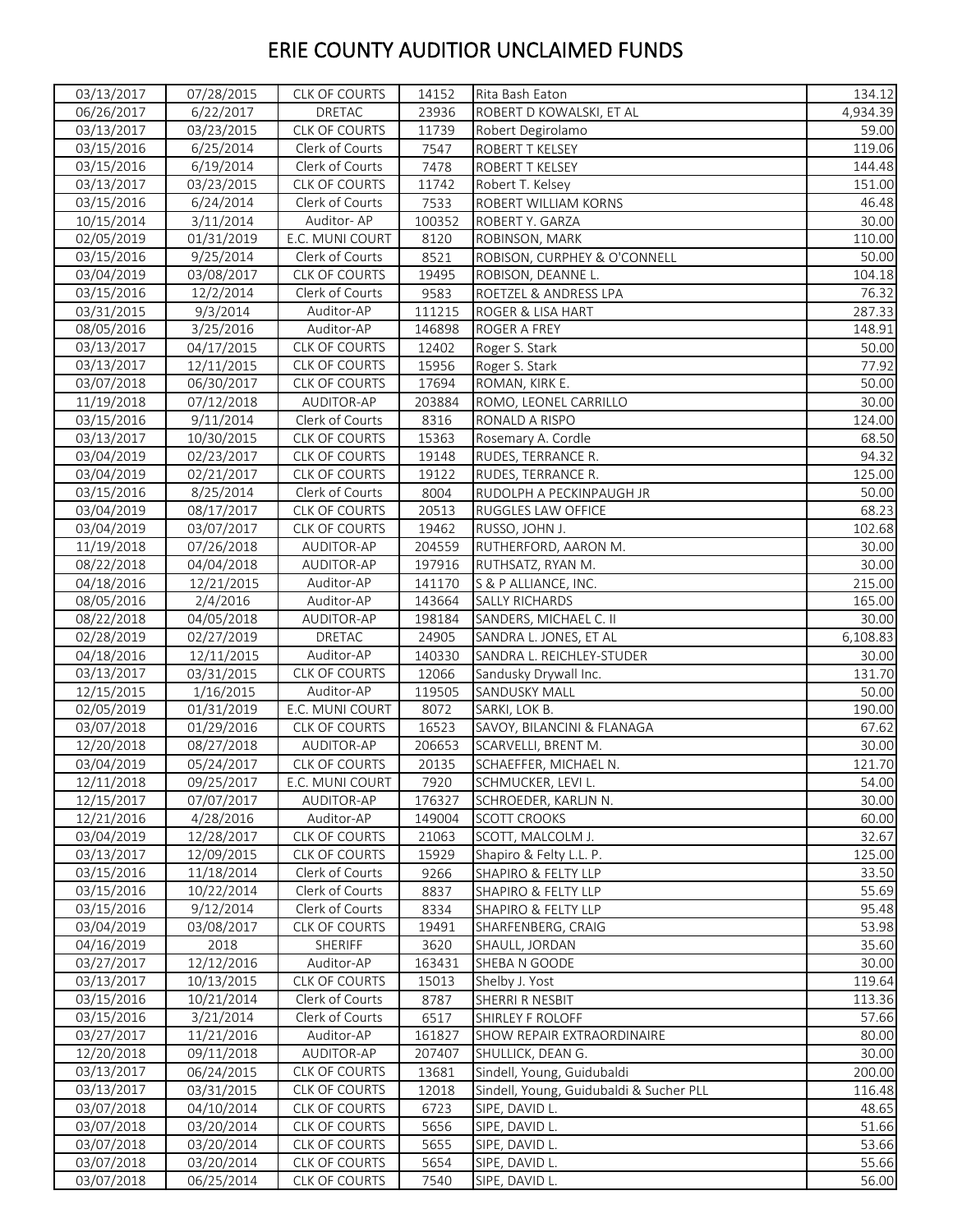| 03/13/2017 | 07/28/2015              | CLK OF COURTS        | 14152  | Rita Bash Eaton                         | 134.12   |
|------------|-------------------------|----------------------|--------|-----------------------------------------|----------|
| 06/26/2017 | 6/22/2017               | <b>DRETAC</b>        | 23936  | ROBERT D KOWALSKI, ET AL                | 4,934.39 |
| 03/13/2017 | 03/23/2015              | <b>CLK OF COURTS</b> | 11739  | Robert Degirolamo                       | 59.00    |
| 03/15/2016 | 6/25/2014               | Clerk of Courts      | 7547   | ROBERT T KELSEY                         | 119.06   |
| 03/15/2016 | 6/19/2014               | Clerk of Courts      | 7478   | <b>ROBERT T KELSEY</b>                  | 144.48   |
| 03/13/2017 | 03/23/2015              | <b>CLK OF COURTS</b> | 11742  | Robert T. Kelsey                        | 151.00   |
| 03/15/2016 | 6/24/2014               | Clerk of Courts      | 7533   | ROBERT WILLIAM KORNS                    | 46.48    |
| 10/15/2014 | 3/11/2014               | Auditor-AP           | 100352 | ROBERT Y. GARZA                         | 30.00    |
| 02/05/2019 | 01/31/2019              | E.C. MUNI COURT      | 8120   | ROBINSON, MARK                          | 110.00   |
| 03/15/2016 | 9/25/2014               | Clerk of Courts      | 8521   | ROBISON, CURPHEY & O'CONNELL            | 50.00    |
| 03/04/2019 | 03/08/2017              | CLK OF COURTS        | 19495  | ROBISON, DEANNE L.                      | 104.18   |
| 03/15/2016 | 12/2/2014               | Clerk of Courts      | 9583   | ROETZEL & ANDRESS LPA                   | 76.32    |
| 03/31/2015 | 9/3/2014                | Auditor-AP           | 111215 | ROGER & LISA HART                       | 287.33   |
| 08/05/2016 | 3/25/2016               | Auditor-AP           | 146898 | ROGER A FREY                            | 148.91   |
| 03/13/2017 | 04/17/2015              | <b>CLK OF COURTS</b> | 12402  | Roger S. Stark                          | 50.00    |
| 03/13/2017 | 12/11/2015              | CLK OF COURTS        | 15956  | Roger S. Stark                          | 77.92    |
| 03/07/2018 | 06/30/2017              | CLK OF COURTS        | 17694  | ROMAN, KIRK E.                          | 50.00    |
|            |                         | AUDITOR-AP           | 203884 |                                         | 30.00    |
| 11/19/2018 | 07/12/2018<br>9/11/2014 |                      |        | ROMO, LEONEL CARRILLO                   | 124.00   |
| 03/15/2016 |                         | Clerk of Courts      | 8316   | RONALD A RISPO                          | 68.50    |
| 03/13/2017 | 10/30/2015              | <b>CLK OF COURTS</b> | 15363  | Rosemary A. Cordle                      |          |
| 03/04/2019 | 02/23/2017              | <b>CLK OF COURTS</b> | 19148  | RUDES, TERRANCE R.                      | 94.32    |
| 03/04/2019 | 02/21/2017              | CLK OF COURTS        | 19122  | RUDES, TERRANCE R.                      | 125.00   |
| 03/15/2016 | 8/25/2014               | Clerk of Courts      | 8004   | RUDOLPH A PECKINPAUGH JR                | 50.00    |
| 03/04/2019 | 08/17/2017              | CLK OF COURTS        | 20513  | RUGGLES LAW OFFICE                      | 68.23    |
| 03/04/2019 | 03/07/2017              | CLK OF COURTS        | 19462  | RUSSO, JOHN J.                          | 102.68   |
| 11/19/2018 | 07/26/2018              | AUDITOR-AP           | 204559 | RUTHERFORD, AARON M.                    | 30.00    |
| 08/22/2018 | 04/04/2018              | AUDITOR-AP           | 197916 | RUTHSATZ, RYAN M.                       | 30.00    |
| 04/18/2016 | 12/21/2015              | Auditor-AP           | 141170 | S & P ALLIANCE, INC.                    | 215.00   |
| 08/05/2016 | 2/4/2016                | Auditor-AP           | 143664 | <b>SALLY RICHARDS</b>                   | 165.00   |
| 08/22/2018 | 04/05/2018              | AUDITOR-AP           | 198184 | SANDERS, MICHAEL C. II                  | 30.00    |
| 02/28/2019 | 02/27/2019              | DRETAC               | 24905  | SANDRA L. JONES, ET AL                  | 6,108.83 |
| 04/18/2016 | 12/11/2015              | Auditor-AP           | 140330 | SANDRA L. REICHLEY-STUDER               | 30.00    |
| 03/13/2017 | 03/31/2015              | CLK OF COURTS        | 12066  | Sandusky Drywall Inc.                   | 131.70   |
| 12/15/2015 | 1/16/2015               | Auditor-AP           | 119505 | SANDUSKY MALL                           | 50.00    |
| 02/05/2019 | 01/31/2019              | E.C. MUNI COURT      | 8072   | SARKI, LOK B.                           | 190.00   |
| 03/07/2018 | 01/29/2016              | CLK OF COURTS        | 16523  | SAVOY, BILANCINI & FLANAGA              | 67.62    |
| 12/20/2018 | 08/27/2018              | AUDITOR-AP           | 206653 | SCARVELLI, BRENT M.                     | 30.00    |
| 03/04/2019 | 05/24/2017              | CLK OF COURTS        | 20135  | SCHAEFFER, MICHAEL N.                   | 121.70   |
| 12/11/2018 | 09/25/2017              | E.C. MUNI COURT      | 7920   | SCHMUCKER, LEVI L.                      | 54.00    |
| 12/15/2017 | 07/07/2017              | AUDITOR-AP           | 176327 | SCHROEDER, KARLIN N.                    | 30.00    |
| 12/21/2016 | 4/28/2016               | Auditor-AP           | 149004 | <b>SCOTT CROOKS</b>                     | 60.00    |
| 03/04/2019 | 12/28/2017              | <b>CLK OF COURTS</b> | 21063  | SCOTT, MALCOLM J.                       | 32.67    |
| 03/13/2017 | 12/09/2015              | CLK OF COURTS        | 15929  | Shapiro & Felty L.L. P.                 | 125.00   |
| 03/15/2016 | 11/18/2014              | Clerk of Courts      | 9266   | SHAPIRO & FELTY LLP                     | 33.50    |
| 03/15/2016 | 10/22/2014              | Clerk of Courts      | 8837   | SHAPIRO & FELTY LLP                     | 55.69    |
| 03/15/2016 | 9/12/2014               | Clerk of Courts      | 8334   | SHAPIRO & FELTY LLP                     | 95.48    |
| 03/04/2019 | 03/08/2017              | CLK OF COURTS        | 19491  | SHARFENBERG, CRAIG                      | 53.98    |
| 04/16/2019 | 2018                    | SHERIFF              | 3620   | SHAULL, JORDAN                          | 35.60    |
| 03/27/2017 | 12/12/2016              | Auditor-AP           | 163431 | SHEBA N GOODE                           | 30.00    |
| 03/13/2017 | 10/13/2015              | <b>CLK OF COURTS</b> | 15013  | Shelby J. Yost                          | 119.64   |
| 03/15/2016 | 10/21/2014              | Clerk of Courts      | 8787   | SHERRI R NESBIT                         | 113.36   |
| 03/15/2016 | 3/21/2014               | Clerk of Courts      | 6517   | SHIRLEY F ROLOFF                        | 57.66    |
| 03/27/2017 | 11/21/2016              | Auditor-AP           | 161827 | SHOW REPAIR EXTRAORDINAIRE              | 80.00    |
| 12/20/2018 | 09/11/2018              | AUDITOR-AP           | 207407 | SHULLICK, DEAN G.                       | 30.00    |
| 03/13/2017 | 06/24/2015              | CLK OF COURTS        | 13681  | Sindell, Young, Guidubaldi              | 200.00   |
| 03/13/2017 | 03/31/2015              | CLK OF COURTS        | 12018  | Sindell, Young, Guidubaldi & Sucher PLL | 116.48   |
| 03/07/2018 | 04/10/2014              | <b>CLK OF COURTS</b> | 6723   | SIPE, DAVID L.                          | 48.65    |
| 03/07/2018 | 03/20/2014              | CLK OF COURTS        | 5656   | SIPE, DAVID L.                          | 51.66    |
| 03/07/2018 | 03/20/2014              | <b>CLK OF COURTS</b> | 5655   | SIPE, DAVID L.                          | 53.66    |
|            | 03/20/2014              | CLK OF COURTS        | 5654   | SIPE, DAVID L.                          | 55.66    |
| 03/07/2018 |                         |                      |        |                                         |          |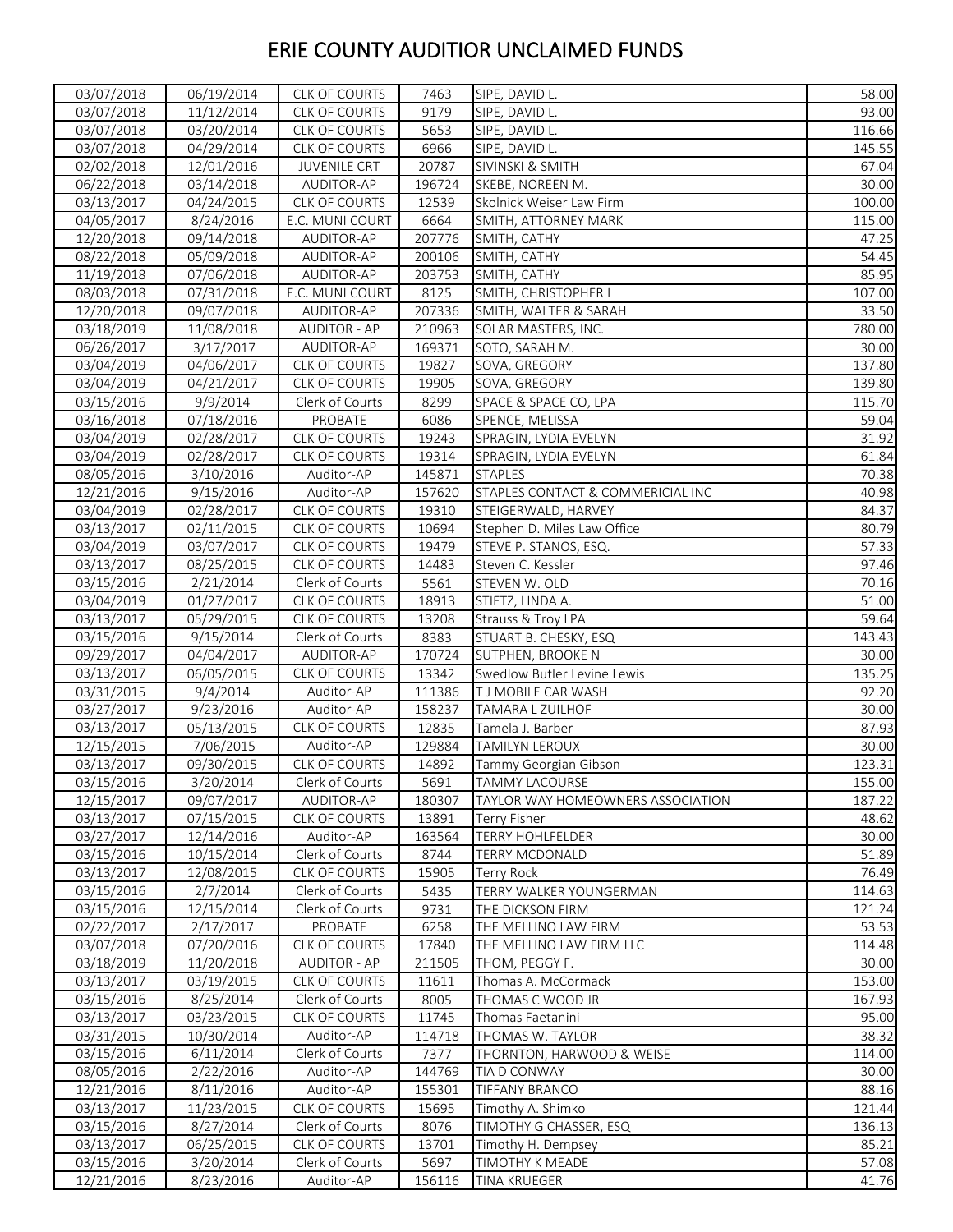| 03/07/2018               | 06/19/2014              | CLK OF COURTS                    | 7463           | SIPE, DAVID L.                    | 58.00          |
|--------------------------|-------------------------|----------------------------------|----------------|-----------------------------------|----------------|
| 03/07/2018               | 11/12/2014              | <b>CLK OF COURTS</b>             | 9179           | SIPE, DAVID L.                    | 93.00          |
| 03/07/2018               | 03/20/2014              | CLK OF COURTS                    | 5653           | SIPE, DAVID L.                    | 116.66         |
| 03/07/2018               | 04/29/2014              | CLK OF COURTS                    | 6966           | SIPE, DAVID L.                    | 145.55         |
| 02/02/2018               | 12/01/2016              | <b>JUVENILE CRT</b>              | 20787          | <b>SIVINSKI &amp; SMITH</b>       | 67.04          |
| 06/22/2018               | 03/14/2018              | AUDITOR-AP                       | 196724         | SKEBE, NOREEN M.                  | 30.00          |
| 03/13/2017               | 04/24/2015              | CLK OF COURTS                    | 12539          | Skolnick Weiser Law Firm          | 100.00         |
| 04/05/2017               | 8/24/2016               | E.C. MUNI COURT                  | 6664           | SMITH, ATTORNEY MARK              | 115.00         |
| 12/20/2018               | 09/14/2018              | AUDITOR-AP                       | 207776         | SMITH, CATHY                      | 47.25          |
| 08/22/2018               | 05/09/2018              | AUDITOR-AP                       | 200106         | SMITH, CATHY                      | 54.45          |
| 11/19/2018               | 07/06/2018              | AUDITOR-AP                       | 203753         | SMITH, CATHY                      | 85.95          |
| 08/03/2018               | 07/31/2018              | E.C. MUNI COURT                  | 8125           | SMITH, CHRISTOPHER L              | 107.00         |
| 12/20/2018               | 09/07/2018              | AUDITOR-AP                       | 207336         | SMITH, WALTER & SARAH             | 33.50          |
| 03/18/2019               | 11/08/2018              | <b>AUDITOR - AP</b>              | 210963         | SOLAR MASTERS, INC.               | 780.00         |
| 06/26/2017               | 3/17/2017               | AUDITOR-AP                       | 169371         | SOTO, SARAH M.                    | 30.00          |
| 03/04/2019               | 04/06/2017              | CLK OF COURTS                    | 19827          | SOVA, GREGORY                     | 137.80         |
| 03/04/2019               | 04/21/2017              | CLK OF COURTS                    | 19905          | SOVA, GREGORY                     | 139.80         |
| 03/15/2016               | 9/9/2014                | Clerk of Courts                  | 8299           | SPACE & SPACE CO, LPA             | 115.70         |
| 03/16/2018               | 07/18/2016              | PROBATE                          | 6086           | SPENCE, MELISSA                   | 59.04          |
| 03/04/2019               | 02/28/2017              | <b>CLK OF COURTS</b>             | 19243          | SPRAGIN, LYDIA EVELYN             | 31.92          |
| 03/04/2019               | 02/28/2017              | CLK OF COURTS                    | 19314          | SPRAGIN, LYDIA EVELYN             | 61.84          |
| 08/05/2016               | 3/10/2016               | Auditor-AP                       | 145871         | <b>STAPLES</b>                    | 70.38          |
| 12/21/2016               | 9/15/2016               | Auditor-AP                       | 157620         | STAPLES CONTACT & COMMERICIAL INC | 40.98          |
| 03/04/2019               | 02/28/2017              | <b>CLK OF COURTS</b>             | 19310          | STEIGERWALD, HARVEY               | 84.37          |
|                          |                         |                                  |                |                                   |                |
| 03/13/2017               | 02/11/2015              | CLK OF COURTS                    | 10694<br>19479 | Stephen D. Miles Law Office       | 80.79<br>57.33 |
| 03/04/2019               | 03/07/2017              | CLK OF COURTS                    |                | STEVE P. STANOS, ESQ.             |                |
| 03/13/2017<br>03/15/2016 | 08/25/2015<br>2/21/2014 | CLK OF COURTS<br>Clerk of Courts | 14483          | Steven C. Kessler                 | 97.46<br>70.16 |
|                          |                         |                                  | 5561           | STEVEN W. OLD                     |                |
| 03/04/2019               | 01/27/2017              | <b>CLK OF COURTS</b>             | 18913          | STIETZ, LINDA A.                  | 51.00          |
| 03/13/2017               | 05/29/2015              | CLK OF COURTS                    | 13208          | Strauss & Troy LPA                | 59.64          |
| 03/15/2016               | 9/15/2014               | Clerk of Courts                  | 8383           | STUART B. CHESKY, ESQ             | 143.43         |
| 09/29/2017               | 04/04/2017              | AUDITOR-AP                       | 170724         | SUTPHEN, BROOKE N                 | 30.00          |
| 03/13/2017               | 06/05/2015              | CLK OF COURTS                    | 13342          | Swedlow Butler Levine Lewis       | 135.25         |
| 03/31/2015               | 9/4/2014                | Auditor-AP                       | 111386         | T J MOBILE CAR WASH               | 92.20          |
| 03/27/2017               | 9/23/2016               | Auditor-AP                       | 158237         | TAMARA L ZUILHOF                  | 30.00          |
| 03/13/2017               | 05/13/2015              | CLK OF COURTS                    | 12835          | Tamela J. Barber                  | 87.93          |
| 12/15/2015               | 7/06/2015               | Auditor-AP                       | 129884         | <b>TAMILYN LEROUX</b>             | 30.00          |
| 03/13/2017               | 09/30/2015              | CLK OF COURTS                    | 14892          | Tammy Georgian Gibson             | 123.31         |
| 03/15/2016               | 3/20/2014               | Clerk of Courts                  | 5691           | <b>TAMMY LACOURSE</b>             | 155.00         |
| 12/15/2017               | 09/07/2017              | AUDITOR-AP                       | 180307         | TAYLOR WAY HOMEOWNERS ASSOCIATION | 187.22         |
| 03/13/2017               | 07/15/2015              | <b>CLK OF COURTS</b>             | 13891          | Terry Fisher                      | 48.62          |
| 03/27/2017               | 12/14/2016              | Auditor-AP                       | 163564         | <b>TERRY HOHLFELDER</b>           | 30.00          |
| 03/15/2016               | 10/15/2014              | Clerk of Courts                  | 8744           | TERRY MCDONALD                    | 51.89          |
| 03/13/2017               | 12/08/2015              | CLK OF COURTS                    | 15905          | Terry Rock                        | 76.49          |
| 03/15/2016               | 2/7/2014                | Clerk of Courts                  | 5435           | TERRY WALKER YOUNGERMAN           | 114.63         |
| 03/15/2016               | 12/15/2014              | Clerk of Courts                  | 9731           | THE DICKSON FIRM                  | 121.24         |
| 02/22/2017               | 2/17/2017               | PROBATE                          | 6258           | THE MELLINO LAW FIRM              | 53.53          |
| 03/07/2018               | 07/20/2016              | CLK OF COURTS                    | 17840          | THE MELLINO LAW FIRM LLC          | 114.48         |
| 03/18/2019               | 11/20/2018              | <b>AUDITOR - AP</b>              | 211505         | THOM, PEGGY F.                    | 30.00          |
| 03/13/2017               | 03/19/2015              | <b>CLK OF COURTS</b>             | 11611          | Thomas A. McCormack               | 153.00         |
| 03/15/2016               | 8/25/2014               | Clerk of Courts                  | 8005           | THOMAS C WOOD JR                  | 167.93         |
| 03/13/2017               | 03/23/2015              | <b>CLK OF COURTS</b>             | 11745          | Thomas Faetanini                  | 95.00          |
| 03/31/2015               | 10/30/2014              | Auditor-AP                       | 114718         | THOMAS W. TAYLOR                  | 38.32          |
| 03/15/2016               | 6/11/2014               | Clerk of Courts                  | 7377           | THORNTON, HARWOOD & WEISE         | 114.00         |
| 08/05/2016               | 2/22/2016               | Auditor-AP                       | 144769         | TIA D CONWAY                      | 30.00          |
| 12/21/2016               | 8/11/2016               | Auditor-AP                       | 155301         | <b>TIFFANY BRANCO</b>             | 88.16          |
| 03/13/2017               | 11/23/2015              | <b>CLK OF COURTS</b>             | 15695          | Timothy A. Shimko                 | 121.44         |
| 03/15/2016               | 8/27/2014               | Clerk of Courts                  | 8076           | TIMOTHY G CHASSER, ESQ            | 136.13         |
| 03/13/2017               | 06/25/2015              | CLK OF COURTS                    | 13701          | Timothy H. Dempsey                | 85.21          |
| 03/15/2016               | 3/20/2014               | Clerk of Courts                  | 5697           | TIMOTHY K MEADE                   | 57.08          |
| 12/21/2016               | 8/23/2016               | Auditor-AP                       | 156116         | TINA KRUEGER                      | 41.76          |